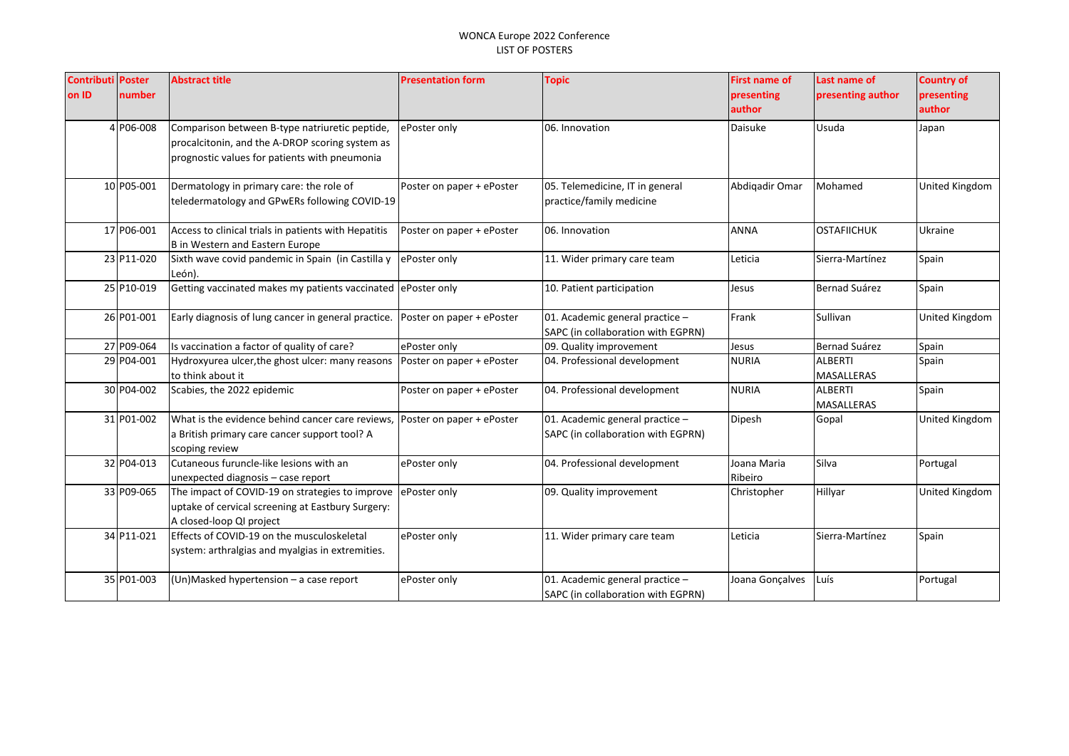| <b>Contributi Poster</b> |            | <b>Abstract title</b>                                                                                                                              | <b>Presentation form</b>  | <b>Topic</b>                                                          | <b>First name of</b>   | Last name of                        | <b>Country of</b> |
|--------------------------|------------|----------------------------------------------------------------------------------------------------------------------------------------------------|---------------------------|-----------------------------------------------------------------------|------------------------|-------------------------------------|-------------------|
| on ID                    | number     |                                                                                                                                                    |                           |                                                                       | presenting             | presenting author                   | presenting        |
|                          |            |                                                                                                                                                    |                           |                                                                       | author                 |                                     | author            |
|                          | 4 P06-008  | Comparison between B-type natriuretic peptide,<br>procalcitonin, and the A-DROP scoring system as<br>prognostic values for patients with pneumonia | ePoster only              | 06. Innovation                                                        | <b>Daisuke</b>         | Usuda                               | Japan             |
|                          | 10 P05-001 | Dermatology in primary care: the role of<br>teledermatology and GPwERs following COVID-19                                                          | Poster on paper + ePoster | 05. Telemedicine, IT in general<br>practice/family medicine           | Abdigadir Omar         | Mohamed                             | United Kingdom    |
|                          | 17 P06-001 | Access to clinical trials in patients with Hepatitis<br>B in Western and Eastern Europe                                                            | Poster on paper + ePoster | 06. Innovation                                                        | ANNA                   | <b>OSTAFIICHUK</b>                  | Ukraine           |
|                          | 23 P11-020 | Sixth wave covid pandemic in Spain (in Castilla y<br>León).                                                                                        | ePoster only              | 11. Wider primary care team                                           | Leticia                | Sierra-Martínez                     | Spain             |
|                          | 25 P10-019 | Getting vaccinated makes my patients vaccinated                                                                                                    | ePoster only              | 10. Patient participation                                             | Jesus                  | Bernad Suárez                       | Spain             |
|                          | 26 P01-001 | Early diagnosis of lung cancer in general practice.                                                                                                | Poster on paper + ePoster | 01. Academic general practice -<br>SAPC (in collaboration with EGPRN) | Frank                  | Sullivan                            | United Kingdom    |
|                          | 27 P09-064 | Is vaccination a factor of quality of care?                                                                                                        | ePoster only              | 09. Quality improvement                                               | Jesus                  | <b>Bernad Suárez</b>                | Spain             |
|                          | 29 P04-001 | Hydroxyurea ulcer, the ghost ulcer: many reasons<br>to think about it                                                                              | Poster on paper + ePoster | 04. Professional development                                          | <b>NURIA</b>           | <b>ALBERTI</b><br><b>MASALLERAS</b> | Spain             |
|                          | 30 P04-002 | Scabies, the 2022 epidemic                                                                                                                         | Poster on paper + ePoster | 04. Professional development                                          | <b>NURIA</b>           | <b>ALBERTI</b><br><b>MASALLERAS</b> | Spain             |
|                          | 31 P01-002 | What is the evidence behind cancer care reviews.<br>a British primary care cancer support tool? A<br>scoping review                                | Poster on paper + ePoster | 01. Academic general practice -<br>SAPC (in collaboration with EGPRN) | Dipesh                 | Gopal                               | United Kingdom    |
|                          | 32 P04-013 | Cutaneous furuncle-like lesions with an<br>unexpected diagnosis - case report                                                                      | ePoster only              | 04. Professional development                                          | Joana Maria<br>Ribeiro | Silva                               | Portugal          |
|                          | 33 P09-065 | The impact of COVID-19 on strategies to improve<br>uptake of cervical screening at Eastbury Surgery:<br>A closed-loop QI project                   | ePoster only              | 09. Quality improvement                                               | Christopher            | Hillyar                             | United Kingdom    |
|                          | 34 P11-021 | Effects of COVID-19 on the musculoskeletal<br>system: arthralgias and myalgias in extremities.                                                     | ePoster only              | 11. Wider primary care team                                           | Leticia                | Sierra-Martínez                     | Spain             |
|                          | 35 P01-003 | (Un)Masked hypertension - a case report                                                                                                            | ePoster only              | 01. Academic general practice -<br>SAPC (in collaboration with EGPRN) | Joana Gonçalves        | Luís                                | Portugal          |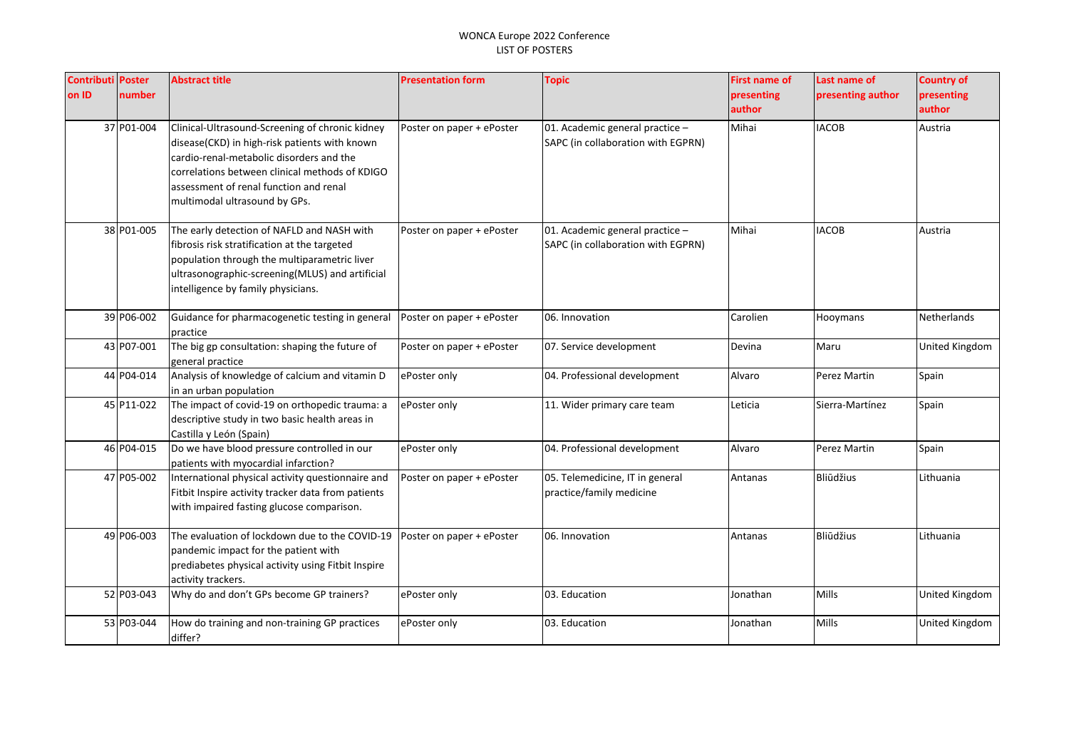| <b>Contributi Poster</b> |            | <b>Abstract title</b>                                                                                                                                                                                                                                                     | <b>Presentation form</b>  | <b>Topic</b>                                                          | First name of | Last name of      | <b>Country of</b> |
|--------------------------|------------|---------------------------------------------------------------------------------------------------------------------------------------------------------------------------------------------------------------------------------------------------------------------------|---------------------------|-----------------------------------------------------------------------|---------------|-------------------|-------------------|
| on ID                    | number     |                                                                                                                                                                                                                                                                           |                           |                                                                       | presenting    | presenting author | presenting        |
|                          |            |                                                                                                                                                                                                                                                                           |                           |                                                                       | author        |                   | author            |
|                          | 37 P01-004 | Clinical-Ultrasound-Screening of chronic kidney<br>disease(CKD) in high-risk patients with known<br>cardio-renal-metabolic disorders and the<br>correlations between clinical methods of KDIGO<br>assessment of renal function and renal<br>multimodal ultrasound by GPs. | Poster on paper + ePoster | 01. Academic general practice -<br>SAPC (in collaboration with EGPRN) | Mihai         | <b>IACOB</b>      | Austria           |
|                          | 38 P01-005 | The early detection of NAFLD and NASH with<br>fibrosis risk stratification at the targeted<br>population through the multiparametric liver<br>ultrasonographic-screening(MLUS) and artificial<br>intelligence by family physicians.                                       | Poster on paper + ePoster | 01. Academic general practice -<br>SAPC (in collaboration with EGPRN) | Mihai         | <b>IACOB</b>      | Austria           |
|                          | 39 P06-002 | Guidance for pharmacogenetic testing in general<br>practice                                                                                                                                                                                                               | Poster on paper + ePoster | 06. Innovation                                                        | Carolien      | Hooymans          | Netherlands       |
|                          | 43 P07-001 | The big gp consultation: shaping the future of<br>general practice                                                                                                                                                                                                        | Poster on paper + ePoster | 07. Service development                                               | Devina        | Maru              | United Kingdom    |
|                          | 44 P04-014 | Analysis of knowledge of calcium and vitamin D<br>in an urban population                                                                                                                                                                                                  | ePoster only              | 04. Professional development                                          | Alvaro        | Perez Martin      | Spain             |
|                          | 45 P11-022 | The impact of covid-19 on orthopedic trauma: a<br>descriptive study in two basic health areas in<br>Castilla y León (Spain)                                                                                                                                               | ePoster only              | 11. Wider primary care team                                           | Leticia       | Sierra-Martínez   | Spain             |
|                          | 46 P04-015 | Do we have blood pressure controlled in our<br>patients with myocardial infarction?                                                                                                                                                                                       | ePoster only              | 04. Professional development                                          | Alvaro        | Perez Martin      | Spain             |
|                          | 47 P05-002 | International physical activity questionnaire and<br>Fitbit Inspire activity tracker data from patients<br>with impaired fasting glucose comparison.                                                                                                                      | Poster on paper + ePoster | 05. Telemedicine, IT in general<br>practice/family medicine           | Antanas       | <b>Bliūdžius</b>  | Lithuania         |
|                          | 49 P06-003 | The evaluation of lockdown due to the COVID-19<br>pandemic impact for the patient with<br>prediabetes physical activity using Fitbit Inspire<br>activity trackers.                                                                                                        | Poster on paper + ePoster | 06. Innovation                                                        | Antanas       | Bliūdžius         | Lithuania         |
|                          | 52 P03-043 | Why do and don't GPs become GP trainers?                                                                                                                                                                                                                                  | ePoster only              | 03. Education                                                         | Jonathan      | Mills             | United Kingdom    |
|                          | 53 P03-044 | How do training and non-training GP practices<br>differ?                                                                                                                                                                                                                  | ePoster only              | 03. Education                                                         | Jonathan      | <b>Mills</b>      | United Kingdom    |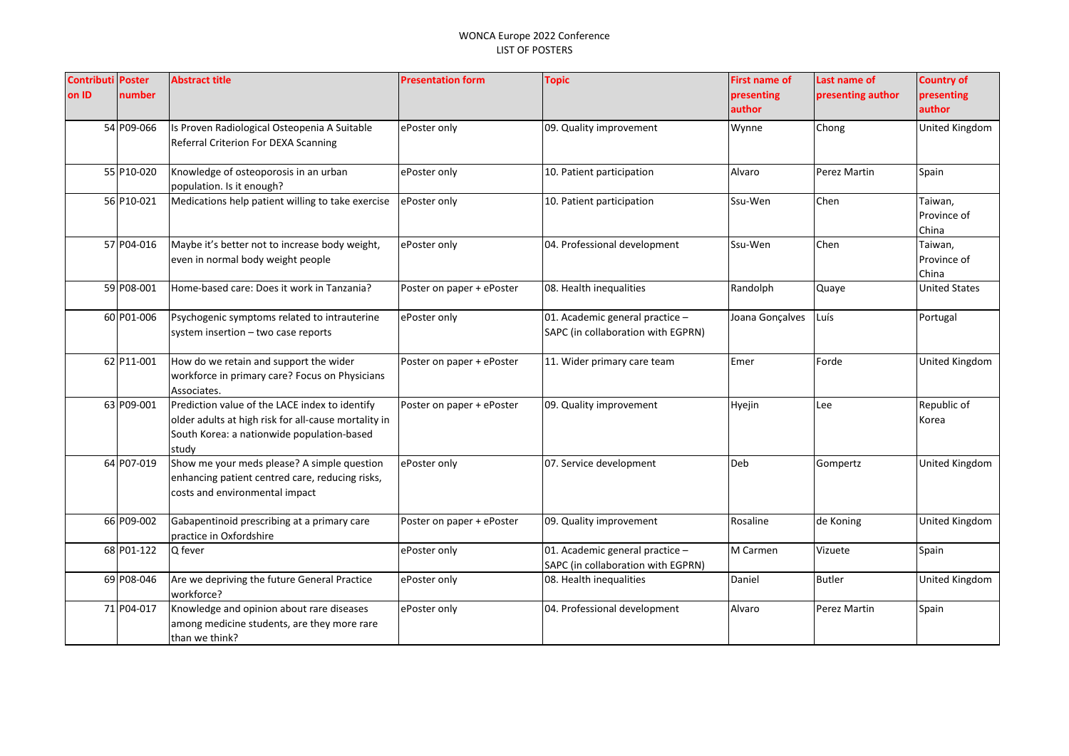| <b>Contributi Poster</b> |            | <b>Abstract title</b>                                                               | <b>Presentation form</b>  | <b>Topic</b>                       | <b>First name of</b> | Last name of      | <b>Country of</b>      |
|--------------------------|------------|-------------------------------------------------------------------------------------|---------------------------|------------------------------------|----------------------|-------------------|------------------------|
| on ID                    | number     |                                                                                     |                           |                                    | presenting           | presenting author | presenting             |
|                          |            |                                                                                     |                           |                                    | author               |                   | author                 |
|                          | 54 P09-066 | Is Proven Radiological Osteopenia A Suitable                                        | ePoster only              | 09. Quality improvement            | Wynne                | Chong             | United Kingdom         |
|                          |            | Referral Criterion For DEXA Scanning                                                |                           |                                    |                      |                   |                        |
|                          |            |                                                                                     |                           |                                    |                      |                   |                        |
|                          | 55 P10-020 | Knowledge of osteoporosis in an urban                                               | ePoster only              | 10. Patient participation          | Alvaro               | Perez Martin      | Spain                  |
|                          |            | population. Is it enough?                                                           |                           |                                    |                      |                   |                        |
|                          | 56 P10-021 | Medications help patient willing to take exercise                                   | ePoster only              | 10. Patient participation          | Ssu-Wen              | Chen              | Taiwan,                |
|                          |            |                                                                                     |                           |                                    |                      |                   | Province of            |
|                          | 57 P04-016 |                                                                                     |                           |                                    | Ssu-Wen              | Chen              | China                  |
|                          |            | Maybe it's better not to increase body weight,<br>even in normal body weight people | ePoster only              | 04. Professional development       |                      |                   | Taiwan,<br>Province of |
|                          |            |                                                                                     |                           |                                    |                      |                   | China                  |
|                          | 59 P08-001 | Home-based care: Does it work in Tanzania?                                          | Poster on paper + ePoster | 08. Health inequalities            | Randolph             | Quaye             | <b>United States</b>   |
|                          |            |                                                                                     |                           |                                    |                      |                   |                        |
|                          | 60 P01-006 | Psychogenic symptoms related to intrauterine                                        | ePoster only              | 01. Academic general practice -    | Joana Gonçalves      | Luís              | Portugal               |
|                          |            | system insertion - two case reports                                                 |                           | SAPC (in collaboration with EGPRN) |                      |                   |                        |
|                          |            |                                                                                     |                           |                                    |                      |                   |                        |
|                          | 62 P11-001 | How do we retain and support the wider                                              | Poster on paper + ePoster | 11. Wider primary care team        | Emer                 | Forde             | United Kingdom         |
|                          |            | workforce in primary care? Focus on Physicians                                      |                           |                                    |                      |                   |                        |
|                          |            | Associates.                                                                         |                           |                                    |                      |                   |                        |
|                          | 63 P09-001 | Prediction value of the LACE index to identify                                      | Poster on paper + ePoster | 09. Quality improvement            | Hyejin               | Lee               | Republic of            |
|                          |            | older adults at high risk for all-cause mortality in                                |                           |                                    |                      |                   | Korea                  |
|                          |            | South Korea: a nationwide population-based                                          |                           |                                    |                      |                   |                        |
|                          | 64 P07-019 | studv<br>Show me your meds please? A simple question                                | ePoster only              | 07. Service development            | Deb                  | Gompertz          | United Kingdom         |
|                          |            | enhancing patient centred care, reducing risks,                                     |                           |                                    |                      |                   |                        |
|                          |            | costs and environmental impact                                                      |                           |                                    |                      |                   |                        |
|                          |            |                                                                                     |                           |                                    |                      |                   |                        |
|                          | 66 P09-002 | Gabapentinoid prescribing at a primary care                                         | Poster on paper + ePoster | 09. Quality improvement            | Rosaline             | de Koning         | <b>United Kingdom</b>  |
|                          |            | practice in Oxfordshire                                                             |                           |                                    |                      |                   |                        |
|                          | 68 P01-122 | Q fever                                                                             | ePoster only              | 01. Academic general practice -    | M Carmen             | Vizuete           | Spain                  |
|                          |            |                                                                                     |                           | SAPC (in collaboration with EGPRN) |                      |                   |                        |
|                          | 69 P08-046 | Are we depriving the future General Practice                                        | ePoster only              | 08. Health inequalities            | Daniel               | <b>Butler</b>     | United Kingdom         |
|                          |            | workforce?                                                                          |                           |                                    |                      |                   |                        |
|                          | 71 P04-017 | Knowledge and opinion about rare diseases                                           | ePoster only              | 04. Professional development       | Alvaro               | Perez Martin      | Spain                  |
|                          |            | among medicine students, are they more rare                                         |                           |                                    |                      |                   |                        |
|                          |            | than we think?                                                                      |                           |                                    |                      |                   |                        |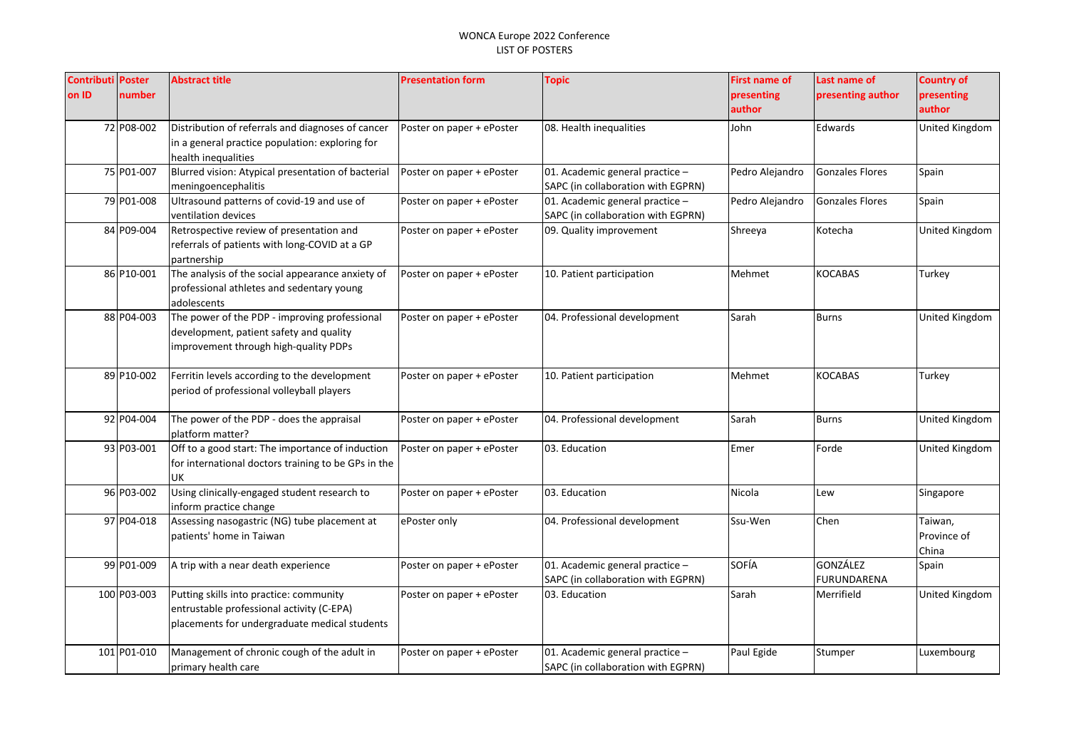| <b>Contributi Poster</b> |             | <b>Abstract title</b>                                                                                                                 | <b>Presentation form</b>  | <b>Topic</b>                                                          | <b>First name of</b> | Last name of                   | <b>Country of</b>               |
|--------------------------|-------------|---------------------------------------------------------------------------------------------------------------------------------------|---------------------------|-----------------------------------------------------------------------|----------------------|--------------------------------|---------------------------------|
| on ID                    | number      |                                                                                                                                       |                           |                                                                       | presenting<br>author | presenting author              | presenting<br>author            |
|                          | 72 P08-002  | Distribution of referrals and diagnoses of cancer<br>in a general practice population: exploring for<br>health inequalities           | Poster on paper + ePoster | 08. Health inequalities                                               | John                 | Edwards                        | United Kingdom                  |
|                          | 75 P01-007  | Blurred vision: Atypical presentation of bacterial<br>meningoencephalitis                                                             | Poster on paper + ePoster | 01. Academic general practice -<br>SAPC (in collaboration with EGPRN) | Pedro Alejandro      | <b>Gonzales Flores</b>         | Spain                           |
|                          | 79 P01-008  | Ultrasound patterns of covid-19 and use of<br>ventilation devices                                                                     | Poster on paper + ePoster | 01. Academic general practice -<br>SAPC (in collaboration with EGPRN) | Pedro Alejandro      | <b>Gonzales Flores</b>         | Spain                           |
|                          | 84 P09-004  | Retrospective review of presentation and<br>referrals of patients with long-COVID at a GP<br>partnership                              | Poster on paper + ePoster | 09. Quality improvement                                               | Shreeya              | Kotecha                        | United Kingdom                  |
|                          | 86 P10-001  | The analysis of the social appearance anxiety of<br>professional athletes and sedentary young<br>adolescents                          | Poster on paper + ePoster | 10. Patient participation                                             | Mehmet               | <b>KOCABAS</b>                 | Turkey                          |
|                          | 88 P04-003  | The power of the PDP - improving professional<br>development, patient safety and quality<br>improvement through high-quality PDPs     | Poster on paper + ePoster | 04. Professional development                                          | Sarah                | <b>Burns</b>                   | United Kingdom                  |
|                          | 89 P10-002  | Ferritin levels according to the development<br>period of professional volleyball players                                             | Poster on paper + ePoster | 10. Patient participation                                             | Mehmet               | <b>KOCABAS</b>                 | Turkey                          |
|                          | 92 P04-004  | The power of the PDP - does the appraisal<br>platform matter?                                                                         | Poster on paper + ePoster | 04. Professional development                                          | Sarah                | Burns                          | United Kingdom                  |
|                          | 93 P03-001  | Off to a good start: The importance of induction<br>for international doctors training to be GPs in the<br>UK                         | Poster on paper + ePoster | 03. Education                                                         | Emer                 | Forde                          | United Kingdom                  |
|                          | 96 P03-002  | Using clinically-engaged student research to<br>inform practice change                                                                | Poster on paper + ePoster | 03. Education                                                         | Nicola               | Lew                            | Singapore                       |
|                          | 97 P04-018  | Assessing nasogastric (NG) tube placement at<br>patients' home in Taiwan                                                              | ePoster only              | 04. Professional development                                          | Ssu-Wen              | Chen                           | Taiwan,<br>Province of<br>China |
|                          | 99 P01-009  | A trip with a near death experience                                                                                                   | Poster on paper + ePoster | 01. Academic general practice -<br>SAPC (in collaboration with EGPRN) | SOFÍA                | <b>GONZÁLEZ</b><br>FURUNDARENA | Spain                           |
|                          | 100 P03-003 | Putting skills into practice: community<br>entrustable professional activity (C-EPA)<br>placements for undergraduate medical students | Poster on paper + ePoster | 03. Education                                                         | Sarah                | Merrifield                     | United Kingdom                  |
|                          | 101 P01-010 | Management of chronic cough of the adult in<br>primary health care                                                                    | Poster on paper + ePoster | 01. Academic general practice -<br>SAPC (in collaboration with EGPRN) | Paul Egide           | Stumper                        | Luxembourg                      |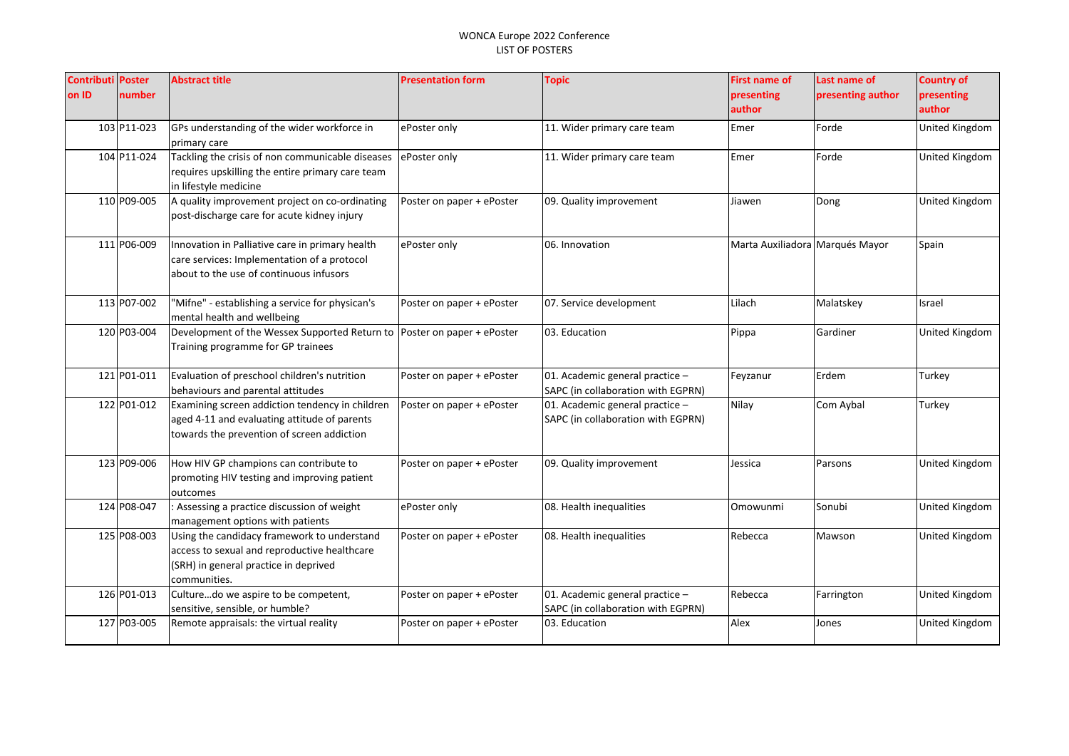| <b>Contributi Poster</b> |             | <b>Abstract title</b>                                                                           | <b>Presentation form</b>  | <b>Topic</b>                                                          | <b>First name of</b>            | Last name of      | <b>Country of</b>     |
|--------------------------|-------------|-------------------------------------------------------------------------------------------------|---------------------------|-----------------------------------------------------------------------|---------------------------------|-------------------|-----------------------|
| on ID                    | number      |                                                                                                 |                           |                                                                       | presenting                      | presenting author | presenting            |
|                          |             |                                                                                                 |                           |                                                                       | author                          |                   | author                |
|                          | 103 P11-023 | GPs understanding of the wider workforce in                                                     | ePoster only              | 11. Wider primary care team                                           | Emer                            | Forde             | United Kingdom        |
|                          |             | primary care                                                                                    |                           |                                                                       |                                 |                   |                       |
|                          | 104 P11-024 | Tackling the crisis of non communicable diseases                                                | ePoster only              | 11. Wider primary care team                                           | Emer                            | Forde             | United Kingdom        |
|                          |             | requires upskilling the entire primary care team                                                |                           |                                                                       |                                 |                   |                       |
|                          |             | in lifestyle medicine                                                                           |                           |                                                                       |                                 |                   |                       |
|                          | 110 P09-005 | A quality improvement project on co-ordinating                                                  | Poster on paper + ePoster | 09. Quality improvement                                               | Jiawen                          | Dong              | United Kingdom        |
|                          |             | post-discharge care for acute kidney injury                                                     |                           |                                                                       |                                 |                   |                       |
|                          | 111 P06-009 | Innovation in Palliative care in primary health                                                 | ePoster only              | 06. Innovation                                                        | Marta Auxiliadora Marqués Mayor |                   | Spain                 |
|                          |             | care services: Implementation of a protocol                                                     |                           |                                                                       |                                 |                   |                       |
|                          |             | about to the use of continuous infusors                                                         |                           |                                                                       |                                 |                   |                       |
|                          |             |                                                                                                 |                           |                                                                       |                                 |                   |                       |
|                          | 113 P07-002 | "Mifne" - establishing a service for physican's                                                 | Poster on paper + ePoster | 07. Service development                                               | Lilach                          | Malatskey         | Israel                |
|                          |             | mental health and wellbeing                                                                     |                           |                                                                       |                                 |                   |                       |
|                          | 120 P03-004 | Development of the Wessex Supported Return to                                                   | Poster on paper + ePoster | 03. Education                                                         | Pippa                           | Gardiner          | United Kingdom        |
|                          |             | Training programme for GP trainees                                                              |                           |                                                                       |                                 |                   |                       |
|                          |             |                                                                                                 |                           |                                                                       |                                 |                   |                       |
|                          | 121 P01-011 | Evaluation of preschool children's nutrition                                                    | Poster on paper + ePoster | 01. Academic general practice -                                       | Feyzanur                        | Erdem             | Turkey                |
|                          |             | behaviours and parental attitudes                                                               |                           | SAPC (in collaboration with EGPRN)                                    |                                 |                   |                       |
|                          | 122 P01-012 | Examining screen addiction tendency in children<br>aged 4-11 and evaluating attitude of parents | Poster on paper + ePoster | 01. Academic general practice -                                       | Nilay                           | Com Aybal         | Turkey                |
|                          |             | towards the prevention of screen addiction                                                      |                           | SAPC (in collaboration with EGPRN)                                    |                                 |                   |                       |
|                          |             |                                                                                                 |                           |                                                                       |                                 |                   |                       |
|                          | 123 P09-006 | How HIV GP champions can contribute to                                                          | Poster on paper + ePoster | 09. Quality improvement                                               | Jessica                         | Parsons           | United Kingdom        |
|                          |             | promoting HIV testing and improving patient                                                     |                           |                                                                       |                                 |                   |                       |
|                          |             | outcomes                                                                                        |                           |                                                                       |                                 |                   |                       |
|                          | 124 P08-047 | : Assessing a practice discussion of weight                                                     | ePoster only              | 08. Health inequalities                                               | Omowunmi                        | Sonubi            | United Kingdom        |
|                          |             | management options with patients                                                                |                           |                                                                       |                                 |                   |                       |
|                          | 125 P08-003 | Using the candidacy framework to understand                                                     | Poster on paper + ePoster | 08. Health inequalities                                               | Rebecca                         | Mawson            | <b>United Kingdom</b> |
|                          |             | access to sexual and reproductive healthcare                                                    |                           |                                                                       |                                 |                   |                       |
|                          |             | (SRH) in general practice in deprived                                                           |                           |                                                                       |                                 |                   |                       |
|                          | 126 P01-013 | communities.<br>Culturedo we aspire to be competent,                                            |                           |                                                                       | Rebecca                         |                   |                       |
|                          |             | sensitive, sensible, or humble?                                                                 | Poster on paper + ePoster | 01. Academic general practice -<br>SAPC (in collaboration with EGPRN) |                                 | Farrington        | <b>United Kingdom</b> |
|                          | 127 P03-005 | Remote appraisals: the virtual reality                                                          | Poster on paper + ePoster | 03. Education                                                         | Alex                            | Jones             | <b>United Kingdom</b> |
|                          |             |                                                                                                 |                           |                                                                       |                                 |                   |                       |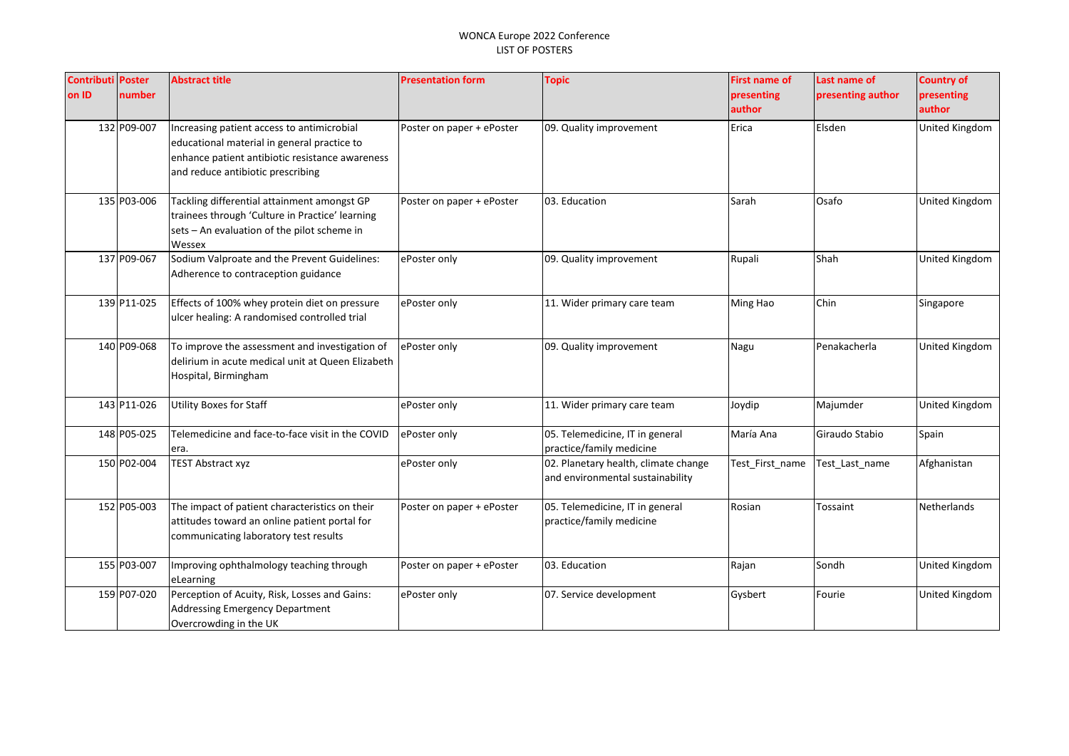| <b>Contributi Poster</b> |             | <b>Abstract title</b>                                                                                                                                   | <b>Presentation form</b>  | <b>Topic</b>                                                             | <b>First name of</b> | Last name of      | <b>Country of</b>     |
|--------------------------|-------------|---------------------------------------------------------------------------------------------------------------------------------------------------------|---------------------------|--------------------------------------------------------------------------|----------------------|-------------------|-----------------------|
| on ID                    | number      |                                                                                                                                                         |                           |                                                                          | presenting           | presenting author | presenting            |
|                          |             |                                                                                                                                                         |                           |                                                                          | author               |                   | author                |
|                          | 132 P09-007 | Increasing patient access to antimicrobial<br>educational material in general practice to<br>enhance patient antibiotic resistance awareness            | Poster on paper + ePoster | 09. Quality improvement                                                  | Erica                | Elsden            | United Kingdom        |
|                          |             | and reduce antibiotic prescribing                                                                                                                       |                           |                                                                          |                      |                   |                       |
|                          | 135 P03-006 | Tackling differential attainment amongst GP<br>trainees through 'Culture in Practice' learning<br>sets - An evaluation of the pilot scheme in<br>Wessex | Poster on paper + ePoster | 03. Education                                                            | Sarah                | Osafo             | United Kingdom        |
|                          | 137 P09-067 | Sodium Valproate and the Prevent Guidelines:<br>Adherence to contraception guidance                                                                     | ePoster only              | 09. Quality improvement                                                  | Rupali               | Shah              | United Kingdom        |
|                          | 139 P11-025 | Effects of 100% whey protein diet on pressure<br>ulcer healing: A randomised controlled trial                                                           | ePoster only              | 11. Wider primary care team                                              | Ming Hao             | Chin              | Singapore             |
|                          | 140 P09-068 | To improve the assessment and investigation of<br>delirium in acute medical unit at Queen Elizabeth<br>Hospital, Birmingham                             | ePoster only              | 09. Quality improvement                                                  | Nagu                 | Penakacherla      | <b>United Kingdom</b> |
|                          | 143 P11-026 | <b>Utility Boxes for Staff</b>                                                                                                                          | ePoster only              | 11. Wider primary care team                                              | Joydip               | Majumder          | United Kingdom        |
|                          | 148 P05-025 | Telemedicine and face-to-face visit in the COVID<br>era.                                                                                                | ePoster only              | 05. Telemedicine, IT in general<br>practice/family medicine              | María Ana            | Giraudo Stabio    | Spain                 |
|                          | 150 P02-004 | <b>TEST Abstract xyz</b>                                                                                                                                | ePoster only              | 02. Planetary health, climate change<br>and environmental sustainability | Test First name      | Test Last name    | Afghanistan           |
|                          | 152 P05-003 | The impact of patient characteristics on their<br>attitudes toward an online patient portal for<br>communicating laboratory test results                | Poster on paper + ePoster | 05. Telemedicine, IT in general<br>practice/family medicine              | Rosian               | Tossaint          | Netherlands           |
|                          | 155 P03-007 | Improving ophthalmology teaching through<br>eLearning                                                                                                   | Poster on paper + ePoster | 03. Education                                                            | Rajan                | Sondh             | United Kingdom        |
|                          | 159 P07-020 | Perception of Acuity, Risk, Losses and Gains:<br><b>Addressing Emergency Department</b><br>Overcrowding in the UK                                       | ePoster only              | 07. Service development                                                  | Gysbert              | Fourie            | United Kingdom        |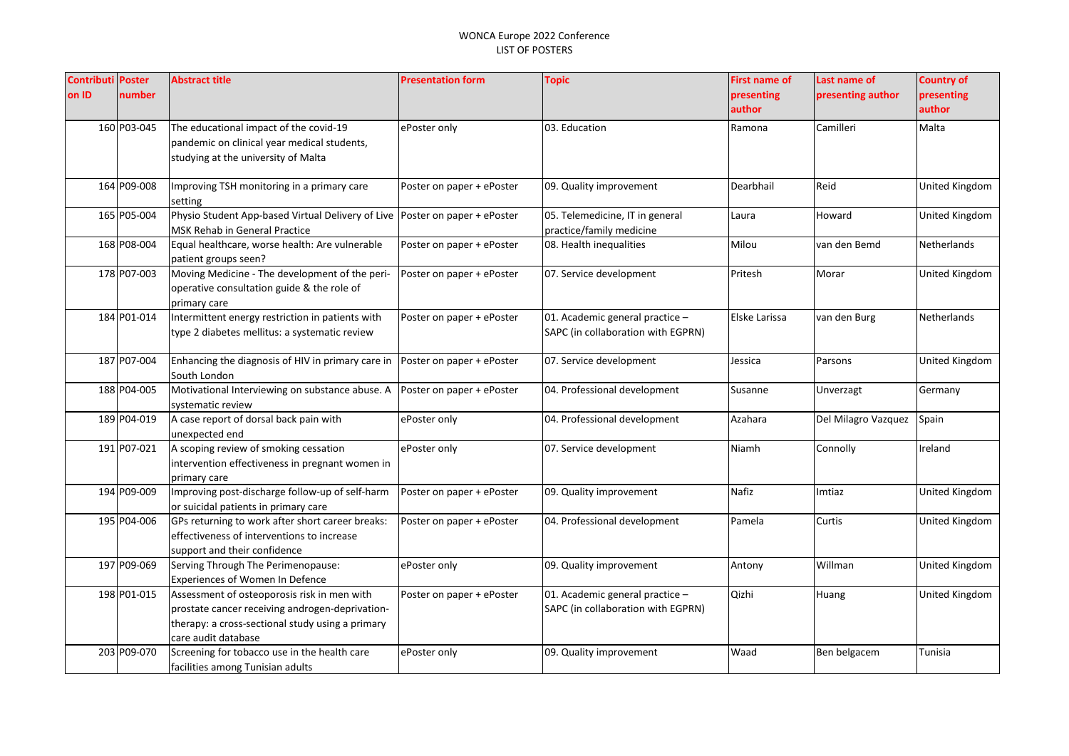| <b>Contributi Poster</b><br>on ID | number      | <b>Abstract title</b>                                                                                                                                                     | <b>Presentation form</b>  | <b>Topic</b>                                                          | <b>First name of</b><br>presenting | Last name of<br>presenting author | <b>Country of</b><br>presenting |
|-----------------------------------|-------------|---------------------------------------------------------------------------------------------------------------------------------------------------------------------------|---------------------------|-----------------------------------------------------------------------|------------------------------------|-----------------------------------|---------------------------------|
|                                   |             |                                                                                                                                                                           |                           |                                                                       | author                             |                                   | author                          |
|                                   | 160 P03-045 | The educational impact of the covid-19<br>pandemic on clinical year medical students,<br>studying at the university of Malta                                              | ePoster only              | 03. Education                                                         | Ramona                             | Camilleri                         | Malta                           |
|                                   | 164 P09-008 | Improving TSH monitoring in a primary care<br>setting                                                                                                                     | Poster on paper + ePoster | 09. Quality improvement                                               | Dearbhail                          | Reid                              | United Kingdom                  |
|                                   | 165 P05-004 | Physio Student App-based Virtual Delivery of Live Poster on paper + ePoster<br>MSK Rehab in General Practice                                                              |                           | 05. Telemedicine, IT in general<br>practice/family medicine           | Laura                              | Howard                            | <b>United Kingdom</b>           |
|                                   | 168 P08-004 | Equal healthcare, worse health: Are vulnerable<br>patient groups seen?                                                                                                    | Poster on paper + ePoster | 08. Health inequalities                                               | Milou                              | van den Bemd                      | Netherlands                     |
|                                   | 178 P07-003 | Moving Medicine - The development of the peri-<br>operative consultation guide & the role of<br>primary care                                                              | Poster on paper + ePoster | 07. Service development                                               | Pritesh                            | Morar                             | United Kingdom                  |
|                                   | 184 P01-014 | Intermittent energy restriction in patients with<br>type 2 diabetes mellitus: a systematic review                                                                         | Poster on paper + ePoster | 01. Academic general practice -<br>SAPC (in collaboration with EGPRN) | Elske Larissa                      | van den Burg                      | Netherlands                     |
|                                   | 187 P07-004 | Enhancing the diagnosis of HIV in primary care in<br>South London                                                                                                         | Poster on paper + ePoster | 07. Service development                                               | Jessica                            | Parsons                           | United Kingdom                  |
|                                   | 188 P04-005 | Motivational Interviewing on substance abuse. A<br>systematic review                                                                                                      | Poster on paper + ePoster | 04. Professional development                                          | Susanne                            | Unverzagt                         | Germany                         |
|                                   | 189 P04-019 | A case report of dorsal back pain with<br>unexpected end                                                                                                                  | ePoster only              | 04. Professional development                                          | Azahara                            | Del Milagro Vazquez               | Spain                           |
|                                   | 191 P07-021 | A scoping review of smoking cessation<br>intervention effectiveness in pregnant women in<br>primary care                                                                  | ePoster only              | 07. Service development                                               | Niamh                              | Connolly                          | Ireland                         |
|                                   | 194 P09-009 | Improving post-discharge follow-up of self-harm<br>or suicidal patients in primary care                                                                                   | Poster on paper + ePoster | 09. Quality improvement                                               | Nafiz                              | Imtiaz                            | United Kingdom                  |
|                                   | 195 P04-006 | GPs returning to work after short career breaks:<br>effectiveness of interventions to increase<br>support and their confidence                                            | Poster on paper + ePoster | 04. Professional development                                          | Pamela                             | Curtis                            | United Kingdom                  |
|                                   | 197 P09-069 | Serving Through The Perimenopause:<br>Experiences of Women In Defence                                                                                                     | ePoster only              | 09. Quality improvement                                               | Antony                             | Willman                           | United Kingdom                  |
|                                   | 198 P01-015 | Assessment of osteoporosis risk in men with<br>prostate cancer receiving androgen-deprivation-<br>therapy: a cross-sectional study using a primary<br>care audit database | Poster on paper + ePoster | 01. Academic general practice -<br>SAPC (in collaboration with EGPRN) | Qizhi                              | Huang                             | United Kingdom                  |
|                                   | 203 P09-070 | Screening for tobacco use in the health care<br>facilities among Tunisian adults                                                                                          | ePoster only              | 09. Quality improvement                                               | Waad                               | Ben belgacem                      | Tunisia                         |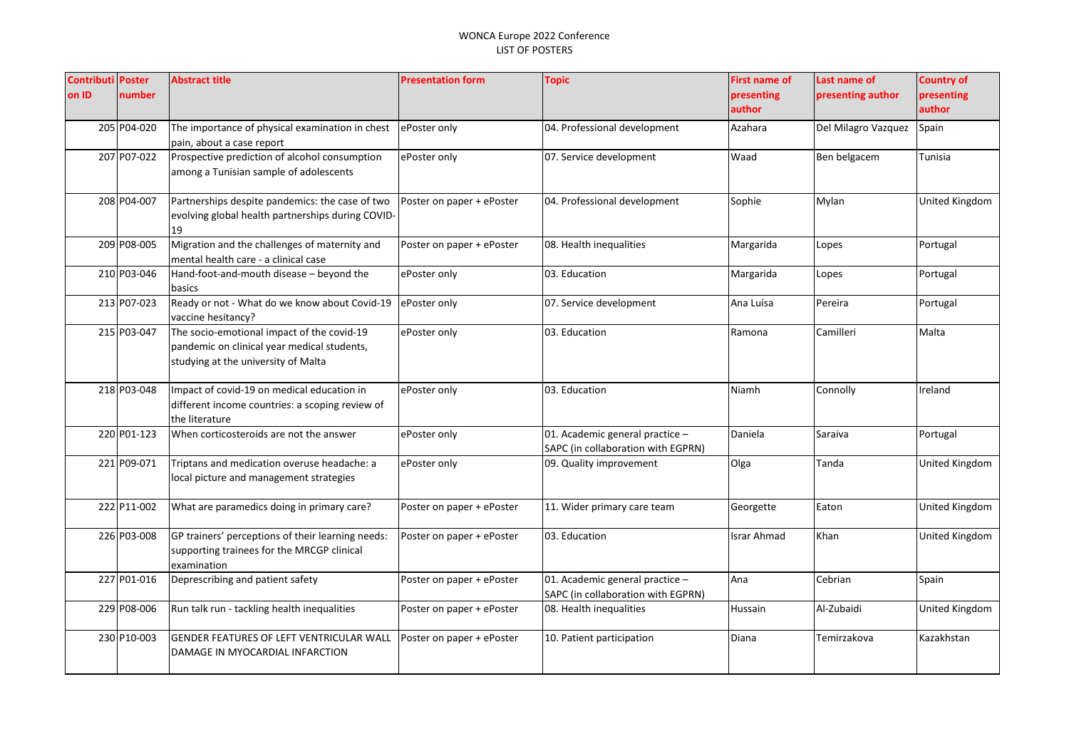| <b>Contributi Poster</b> |             | <b>Abstract title</b>                                               | <b>Presentation form</b>  | <b>Topic</b>                       | <b>First name of</b> | Last name of        | <b>Country of</b>     |
|--------------------------|-------------|---------------------------------------------------------------------|---------------------------|------------------------------------|----------------------|---------------------|-----------------------|
| on ID                    | number      |                                                                     |                           |                                    | presenting           | presenting author   | presenting            |
|                          |             |                                                                     |                           |                                    | author               |                     | author                |
|                          | 205 P04-020 | The importance of physical examination in chest                     | ePoster only              | 04. Professional development       | Azahara              | Del Milagro Vazquez | Spain                 |
|                          |             | pain, about a case report                                           |                           |                                    |                      |                     |                       |
|                          | 207 P07-022 | Prospective prediction of alcohol consumption                       | ePoster only              | 07. Service development            | Waad                 | Ben belgacem        | <b>Tunisia</b>        |
|                          |             | among a Tunisian sample of adolescents                              |                           |                                    |                      |                     |                       |
|                          | 208 P04-007 | Partnerships despite pandemics: the case of two                     | Poster on paper + ePoster | 04. Professional development       | Sophie               | Mylan               | <b>United Kingdom</b> |
|                          |             | evolving global health partnerships during COVID-                   |                           |                                    |                      |                     |                       |
|                          |             | 19                                                                  |                           |                                    |                      |                     |                       |
|                          | 209 P08-005 | Migration and the challenges of maternity and                       | Poster on paper + ePoster | 08. Health inequalities            | Margarida            | Lopes               | Portugal              |
|                          |             | mental health care - a clinical case                                |                           |                                    |                      |                     |                       |
|                          | 210 P03-046 | Hand-foot-and-mouth disease - beyond the                            | ePoster only              | 03. Education                      | Margarida            | Lopes               | Portugal              |
|                          |             | basics                                                              |                           |                                    |                      |                     |                       |
|                          | 213 P07-023 | Ready or not - What do we know about Covid-19<br>vaccine hesitancy? | ePoster only              | 07. Service development            | Ana Luísa            | Pereira             | Portugal              |
|                          | 215 P03-047 | The socio-emotional impact of the covid-19                          | ePoster only              | 03. Education                      | Ramona               | Camilleri           | Malta                 |
|                          |             | pandemic on clinical year medical students,                         |                           |                                    |                      |                     |                       |
|                          |             | studying at the university of Malta                                 |                           |                                    |                      |                     |                       |
|                          | 218 P03-048 | Impact of covid-19 on medical education in                          | ePoster only              | 03. Education                      | Niamh                | Connolly            | Ireland               |
|                          |             | different income countries: a scoping review of                     |                           |                                    |                      |                     |                       |
|                          |             | the literature                                                      |                           |                                    |                      |                     |                       |
|                          | 220 P01-123 | When corticosteroids are not the answer                             | ePoster only              | 01. Academic general practice -    | Daniela              | Saraiva             | Portugal              |
|                          |             |                                                                     |                           | SAPC (in collaboration with EGPRN) |                      |                     |                       |
|                          | 221 P09-071 | Triptans and medication overuse headache: a                         | ePoster only              | 09. Quality improvement            | Olga                 | Tanda               | United Kingdom        |
|                          |             | local picture and management strategies                             |                           |                                    |                      |                     |                       |
|                          | 222 P11-002 | What are paramedics doing in primary care?                          | Poster on paper + ePoster | 11. Wider primary care team        | Georgette            | Eaton               | United Kingdom        |
|                          |             |                                                                     |                           |                                    |                      |                     |                       |
|                          | 226 P03-008 | GP trainers' perceptions of their learning needs:                   | Poster on paper + ePoster | 03. Education                      | <b>Israr Ahmad</b>   | Khan                | <b>United Kingdom</b> |
|                          |             | supporting trainees for the MRCGP clinical                          |                           |                                    |                      |                     |                       |
|                          |             | examination                                                         |                           |                                    |                      |                     |                       |
|                          | 227 P01-016 | Deprescribing and patient safety                                    | Poster on paper + ePoster | 01. Academic general practice -    | Ana                  | Cebrian             | Spain                 |
|                          |             |                                                                     |                           | SAPC (in collaboration with EGPRN) |                      |                     |                       |
|                          | 229 P08-006 | Run talk run - tackling health inequalities                         | Poster on paper + ePoster | 08. Health inequalities            | Hussain              | Al-Zubaidi          | <b>United Kingdom</b> |
|                          | 230 P10-003 | <b>GENDER FEATURES OF LEFT VENTRICULAR WALL</b>                     | Poster on paper + ePoster | 10. Patient participation          | Diana                | Temirzakova         | Kazakhstan            |
|                          |             | DAMAGE IN MYOCARDIAL INFARCTION                                     |                           |                                    |                      |                     |                       |
|                          |             |                                                                     |                           |                                    |                      |                     |                       |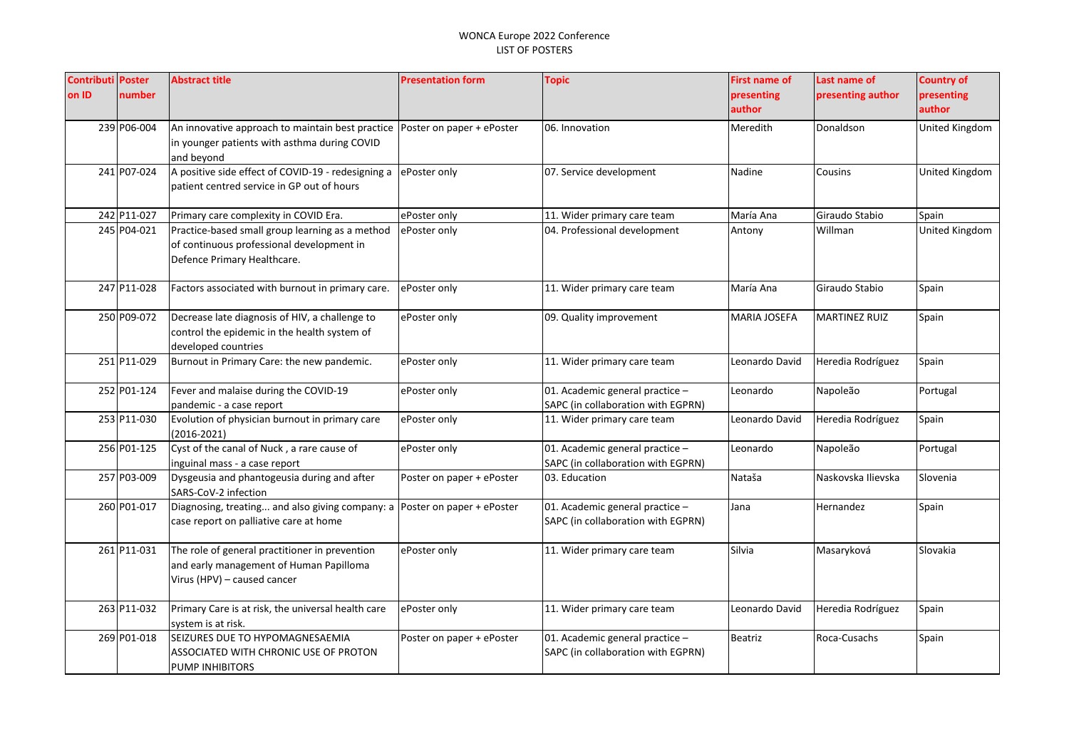| <b>Contributi Poster</b> |             | <b>Abstract title</b>                                                        | <b>Presentation form</b>  | <b>Topic</b>                       | <b>First name of</b> | Last name of         | <b>Country of</b> |
|--------------------------|-------------|------------------------------------------------------------------------------|---------------------------|------------------------------------|----------------------|----------------------|-------------------|
| on ID                    | number      |                                                                              |                           |                                    | presenting           | presenting author    | presenting        |
|                          |             |                                                                              |                           |                                    | author               |                      | author            |
|                          | 239 P06-004 | An innovative approach to maintain best practice   Poster on paper + ePoster |                           | 06. Innovation                     | Meredith             | Donaldson            | United Kingdom    |
|                          |             | in younger patients with asthma during COVID                                 |                           |                                    |                      |                      |                   |
|                          |             | and beyond                                                                   |                           |                                    |                      |                      |                   |
|                          | 241 P07-024 | A positive side effect of COVID-19 - redesigning a                           | ePoster only              | 07. Service development            | Nadine               | Cousins              | United Kingdom    |
|                          |             | patient centred service in GP out of hours                                   |                           |                                    |                      |                      |                   |
|                          |             |                                                                              |                           |                                    |                      |                      |                   |
|                          | 242 P11-027 | Primary care complexity in COVID Era.                                        | ePoster only              | 11. Wider primary care team        | María Ana            | Giraudo Stabio       | Spain             |
|                          | 245 P04-021 | Practice-based small group learning as a method                              | ePoster only              | 04. Professional development       | Antony               | Willman              | United Kingdom    |
|                          |             | of continuous professional development in                                    |                           |                                    |                      |                      |                   |
|                          |             | Defence Primary Healthcare.                                                  |                           |                                    |                      |                      |                   |
|                          | 247 P11-028 | Factors associated with burnout in primary care.                             | ePoster only              | 11. Wider primary care team        | María Ana            | Giraudo Stabio       | Spain             |
|                          |             |                                                                              |                           |                                    |                      |                      |                   |
|                          | 250 P09-072 | Decrease late diagnosis of HIV, a challenge to                               | ePoster only              | 09. Quality improvement            | <b>MARIA JOSEFA</b>  | <b>MARTINEZ RUIZ</b> | Spain             |
|                          |             | control the epidemic in the health system of                                 |                           |                                    |                      |                      |                   |
|                          |             | developed countries                                                          |                           |                                    |                      |                      |                   |
|                          | 251 P11-029 | Burnout in Primary Care: the new pandemic.                                   | ePoster only              | 11. Wider primary care team        | Leonardo David       | Heredia Rodríguez    | Spain             |
|                          |             |                                                                              |                           |                                    |                      |                      |                   |
|                          | 252 P01-124 | Fever and malaise during the COVID-19                                        | ePoster only              | 01. Academic general practice -    | Leonardo             | Napoleão             | Portugal          |
|                          |             | pandemic - a case report                                                     |                           | SAPC (in collaboration with EGPRN) |                      |                      |                   |
|                          | 253 P11-030 | Evolution of physician burnout in primary care                               | ePoster only              | 11. Wider primary care team        | Leonardo David       | Heredia Rodríguez    | Spain             |
|                          |             | $(2016 - 2021)$                                                              |                           |                                    |                      |                      |                   |
|                          | 256 P01-125 | Cyst of the canal of Nuck, a rare cause of                                   | ePoster only              | 01. Academic general practice -    | Leonardo             | Napoleão             | Portugal          |
|                          |             | inguinal mass - a case report                                                |                           | SAPC (in collaboration with EGPRN) |                      |                      |                   |
|                          | 257 P03-009 | Dysgeusia and phantogeusia during and after                                  | Poster on paper + ePoster | 03. Education                      | Nataša               | Naskovska Ilievska   | Slovenia          |
|                          |             | SARS-CoV-2 infection                                                         |                           |                                    |                      |                      |                   |
|                          | 260 P01-017 | Diagnosing, treating and also giving company: a                              | Poster on paper + ePoster | 01. Academic general practice -    | Jana                 | Hernandez            | Spain             |
|                          |             | case report on palliative care at home                                       |                           | SAPC (in collaboration with EGPRN) |                      |                      |                   |
|                          | 261 P11-031 | The role of general practitioner in prevention                               | ePoster only              | 11. Wider primary care team        | Silvia               | Masaryková           | Slovakia          |
|                          |             | and early management of Human Papilloma                                      |                           |                                    |                      |                      |                   |
|                          |             | Virus (HPV) - caused cancer                                                  |                           |                                    |                      |                      |                   |
|                          |             |                                                                              |                           |                                    |                      |                      |                   |
|                          | 263 P11-032 | Primary Care is at risk, the universal health care                           | ePoster only              | 11. Wider primary care team        | Leonardo David       | Heredia Rodríguez    | Spain             |
|                          |             | system is at risk.                                                           |                           |                                    |                      |                      |                   |
|                          | 269 P01-018 | SEIZURES DUE TO HYPOMAGNESAEMIA                                              | Poster on paper + ePoster | 01. Academic general practice -    | Beatriz              | Roca-Cusachs         | Spain             |
|                          |             | ASSOCIATED WITH CHRONIC USE OF PROTON                                        |                           | SAPC (in collaboration with EGPRN) |                      |                      |                   |
|                          |             | <b>PUMP INHIBITORS</b>                                                       |                           |                                    |                      |                      |                   |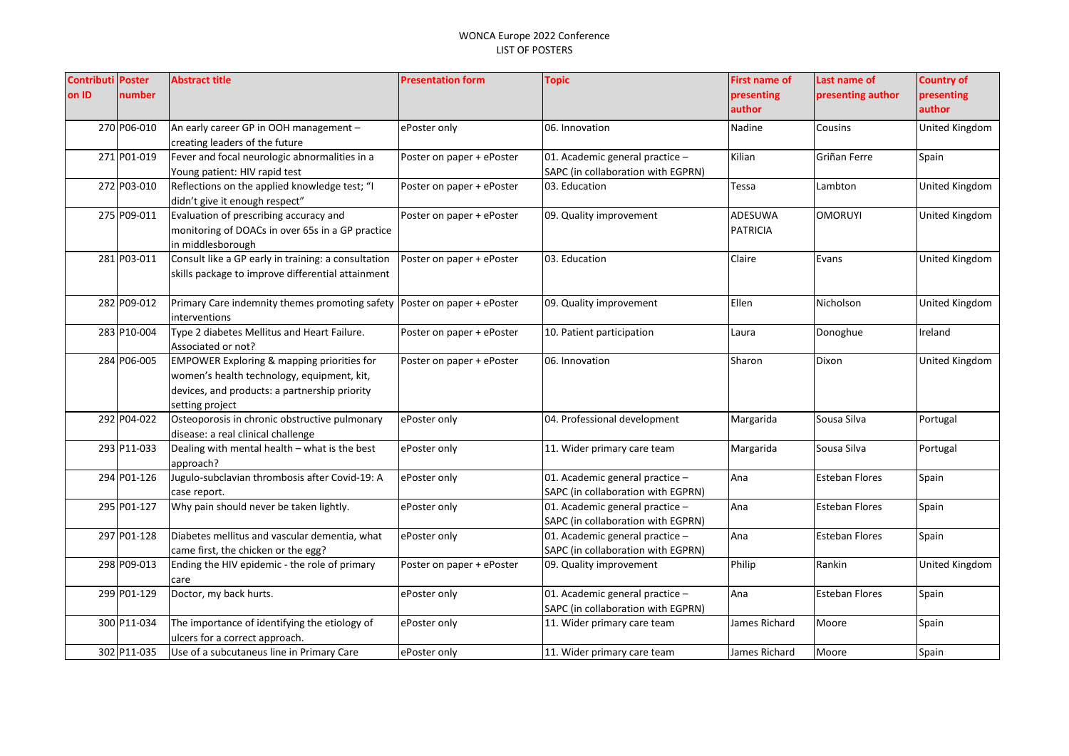| <b>Contributi Poster</b> |             | <b>Abstract title</b>                                                                    | <b>Presentation form</b>  | <b>Topic</b>                       | <b>First name of</b> | Last name of          | <b>Country of</b> |
|--------------------------|-------------|------------------------------------------------------------------------------------------|---------------------------|------------------------------------|----------------------|-----------------------|-------------------|
| on ID                    | number      |                                                                                          |                           |                                    | presenting           | presenting author     | presenting        |
|                          |             |                                                                                          |                           |                                    | author               |                       | author            |
|                          | 270 P06-010 | An early career GP in OOH management -                                                   | ePoster only              | 06. Innovation                     | Nadine               | Cousins               | United Kingdom    |
|                          |             | creating leaders of the future                                                           |                           |                                    |                      |                       |                   |
|                          | 271 P01-019 | Fever and focal neurologic abnormalities in a                                            | Poster on paper + ePoster | 01. Academic general practice -    | Kilian               | Griñan Ferre          | Spain             |
|                          |             | Young patient: HIV rapid test                                                            |                           | SAPC (in collaboration with EGPRN) |                      |                       |                   |
|                          | 272 P03-010 | Reflections on the applied knowledge test; "I                                            | Poster on paper + ePoster | 03. Education                      | Tessa                | Lambton               | United Kingdom    |
|                          |             | didn't give it enough respect"                                                           |                           |                                    |                      |                       |                   |
|                          | 275 P09-011 | Evaluation of prescribing accuracy and                                                   | Poster on paper + ePoster | 09. Quality improvement            | ADESUWA              | <b>OMORUYI</b>        | United Kingdom    |
|                          |             | monitoring of DOACs in over 65s in a GP practice                                         |                           |                                    | PATRICIA             |                       |                   |
|                          |             | in middlesborough                                                                        |                           |                                    |                      |                       |                   |
|                          | 281 P03-011 | Consult like a GP early in training: a consultation                                      | Poster on paper + ePoster | 03. Education                      | Claire               | Evans                 | United Kingdom    |
|                          |             | skills package to improve differential attainment                                        |                           |                                    |                      |                       |                   |
|                          |             |                                                                                          |                           |                                    |                      |                       |                   |
|                          | 282 P09-012 | Primary Care indemnity themes promoting safety   Poster on paper + ePoster               |                           | 09. Quality improvement            | Ellen                | Nicholson             | United Kingdom    |
|                          |             | interventions                                                                            |                           |                                    |                      |                       |                   |
|                          | 283 P10-004 | Type 2 diabetes Mellitus and Heart Failure.                                              | Poster on paper + ePoster | 10. Patient participation          | Laura                | Donoghue              | Ireland           |
|                          | 284 P06-005 | Associated or not?                                                                       |                           |                                    |                      | Dixon                 |                   |
|                          |             | EMPOWER Exploring & mapping priorities for<br>women's health technology, equipment, kit, | Poster on paper + ePoster | 06. Innovation                     | Sharon               |                       | United Kingdom    |
|                          |             | devices, and products: a partnership priority                                            |                           |                                    |                      |                       |                   |
|                          |             | setting project                                                                          |                           |                                    |                      |                       |                   |
|                          | 292 P04-022 | Osteoporosis in chronic obstructive pulmonary                                            | ePoster only              | 04. Professional development       | Margarida            | Sousa Silva           | Portugal          |
|                          |             | disease: a real clinical challenge                                                       |                           |                                    |                      |                       |                   |
|                          | 293 P11-033 | Dealing with mental health - what is the best                                            | ePoster only              | 11. Wider primary care team        | Margarida            | Sousa Silva           | Portugal          |
|                          |             | approach?                                                                                |                           |                                    |                      |                       |                   |
|                          | 294 P01-126 | Jugulo-subclavian thrombosis after Covid-19: A                                           | ePoster only              | 01. Academic general practice -    | Ana                  | <b>Esteban Flores</b> | Spain             |
|                          |             | case report.                                                                             |                           | SAPC (in collaboration with EGPRN) |                      |                       |                   |
|                          | 295 P01-127 | Why pain should never be taken lightly.                                                  | ePoster only              | 01. Academic general practice -    | Ana                  | <b>Esteban Flores</b> | Spain             |
|                          |             |                                                                                          |                           | SAPC (in collaboration with EGPRN) |                      |                       |                   |
|                          | 297 P01-128 | Diabetes mellitus and vascular dementia, what                                            | ePoster only              | 01. Academic general practice -    | Ana                  | <b>Esteban Flores</b> | Spain             |
|                          |             | came first, the chicken or the egg?                                                      |                           | SAPC (in collaboration with EGPRN) |                      |                       |                   |
|                          | 298 P09-013 | Ending the HIV epidemic - the role of primary                                            | Poster on paper + ePoster | 09. Quality improvement            | Philip               | Rankin                | United Kingdom    |
|                          |             | care                                                                                     |                           |                                    |                      |                       |                   |
|                          | 299 P01-129 | Doctor, my back hurts.                                                                   | ePoster only              | 01. Academic general practice -    | Ana                  | <b>Esteban Flores</b> | Spain             |
|                          |             |                                                                                          |                           | SAPC (in collaboration with EGPRN) |                      |                       |                   |
|                          | 300 P11-034 | The importance of identifying the etiology of                                            | ePoster only              | 11. Wider primary care team        | James Richard        | Moore                 | Spain             |
|                          |             | ulcers for a correct approach.                                                           |                           |                                    |                      |                       |                   |
|                          | 302 P11-035 | Use of a subcutaneus line in Primary Care                                                | ePoster only              | 11. Wider primary care team        | James Richard        | Moore                 | Spain             |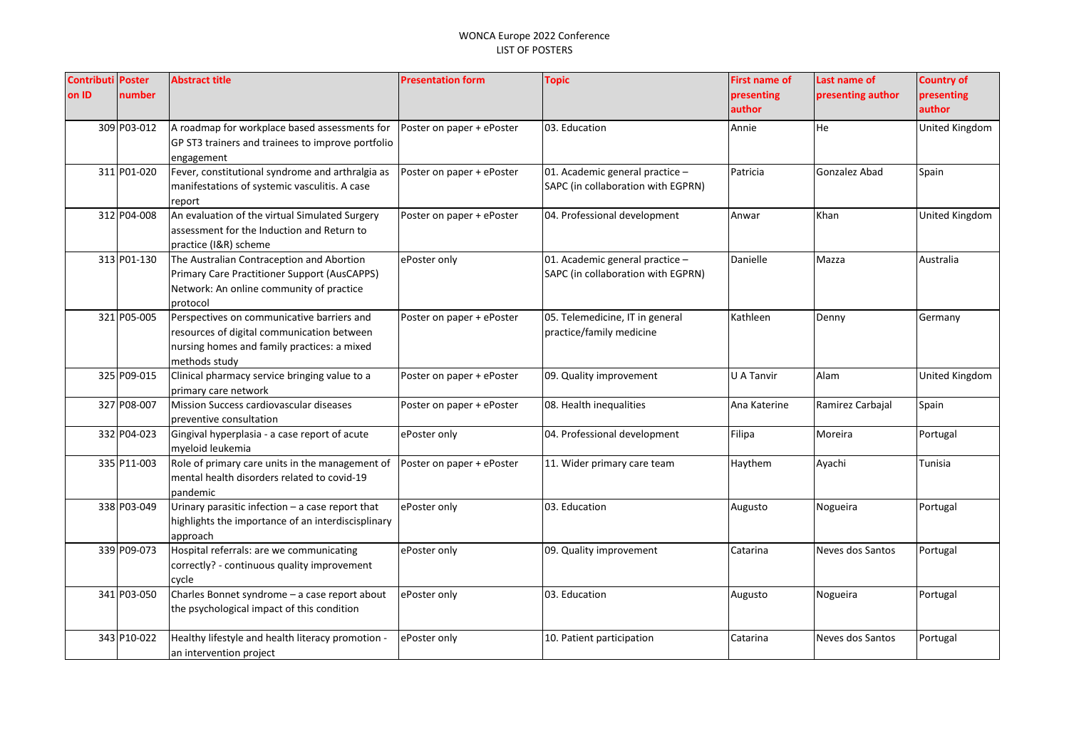| <b>Contributi Poster</b><br>on ID | number      | <b>Abstract title</b>                                                                                                                                    | <b>Presentation form</b>  | <b>Topic</b>                                                          | <b>First name of</b><br>presenting<br>author | Last name of<br>presenting author | <b>Country of</b><br>presenting<br>author |
|-----------------------------------|-------------|----------------------------------------------------------------------------------------------------------------------------------------------------------|---------------------------|-----------------------------------------------------------------------|----------------------------------------------|-----------------------------------|-------------------------------------------|
|                                   | 309 P03-012 | A roadmap for workplace based assessments for<br>GP ST3 trainers and trainees to improve portfolio<br>engagement                                         | Poster on paper + ePoster | 03. Education                                                         | Annie                                        | He                                | United Kingdom                            |
|                                   | 311 P01-020 | Fever, constitutional syndrome and arthralgia as<br>manifestations of systemic vasculitis. A case<br>report                                              | Poster on paper + ePoster | 01. Academic general practice -<br>SAPC (in collaboration with EGPRN) | Patricia                                     | Gonzalez Abad                     | Spain                                     |
|                                   | 312 P04-008 | An evaluation of the virtual Simulated Surgery<br>assessment for the Induction and Return to<br>practice (I&R) scheme                                    | Poster on paper + ePoster | 04. Professional development                                          | Anwar                                        | Khan                              | United Kingdom                            |
|                                   | 313 P01-130 | The Australian Contraception and Abortion<br>Primary Care Practitioner Support (AusCAPPS)<br>Network: An online community of practice<br>protocol        | ePoster only              | 01. Academic general practice -<br>SAPC (in collaboration with EGPRN) | Danielle                                     | Mazza                             | Australia                                 |
|                                   | 321 P05-005 | Perspectives on communicative barriers and<br>resources of digital communication between<br>nursing homes and family practices: a mixed<br>methods study | Poster on paper + ePoster | 05. Telemedicine, IT in general<br>practice/family medicine           | Kathleen                                     | Denny                             | Germany                                   |
|                                   | 325 P09-015 | Clinical pharmacy service bringing value to a<br>primary care network                                                                                    | Poster on paper + ePoster | 09. Quality improvement                                               | U A Tanvir                                   | Alam                              | United Kingdom                            |
|                                   | 327 P08-007 | Mission Success cardiovascular diseases<br>preventive consultation                                                                                       | Poster on paper + ePoster | 08. Health inequalities                                               | Ana Katerine                                 | Ramirez Carbajal                  | Spain                                     |
|                                   | 332 P04-023 | Gingival hyperplasia - a case report of acute<br>myeloid leukemia                                                                                        | ePoster only              | 04. Professional development                                          | Filipa                                       | Moreira                           | Portugal                                  |
|                                   | 335 P11-003 | Role of primary care units in the management of<br>mental health disorders related to covid-19<br>pandemic                                               | Poster on paper + ePoster | 11. Wider primary care team                                           | Haythem                                      | Ayachi                            | Tunisia                                   |
|                                   | 338 P03-049 | Urinary parasitic infection - a case report that<br>highlights the importance of an interdiscisplinary<br>approach                                       | ePoster only              | 03. Education                                                         | Augusto                                      | Nogueira                          | Portugal                                  |
|                                   | 339 P09-073 | Hospital referrals: are we communicating<br>correctly? - continuous quality improvement<br>cycle                                                         | ePoster only              | 09. Quality improvement                                               | Catarina                                     | Neves dos Santos                  | Portugal                                  |
|                                   | 341 P03-050 | Charles Bonnet syndrome - a case report about<br>the psychological impact of this condition                                                              | ePoster only              | 03. Education                                                         | Augusto                                      | Nogueira                          | Portugal                                  |
|                                   | 343 P10-022 | Healthy lifestyle and health literacy promotion -<br>an intervention project                                                                             | ePoster only              | 10. Patient participation                                             | Catarina                                     | Neves dos Santos                  | Portugal                                  |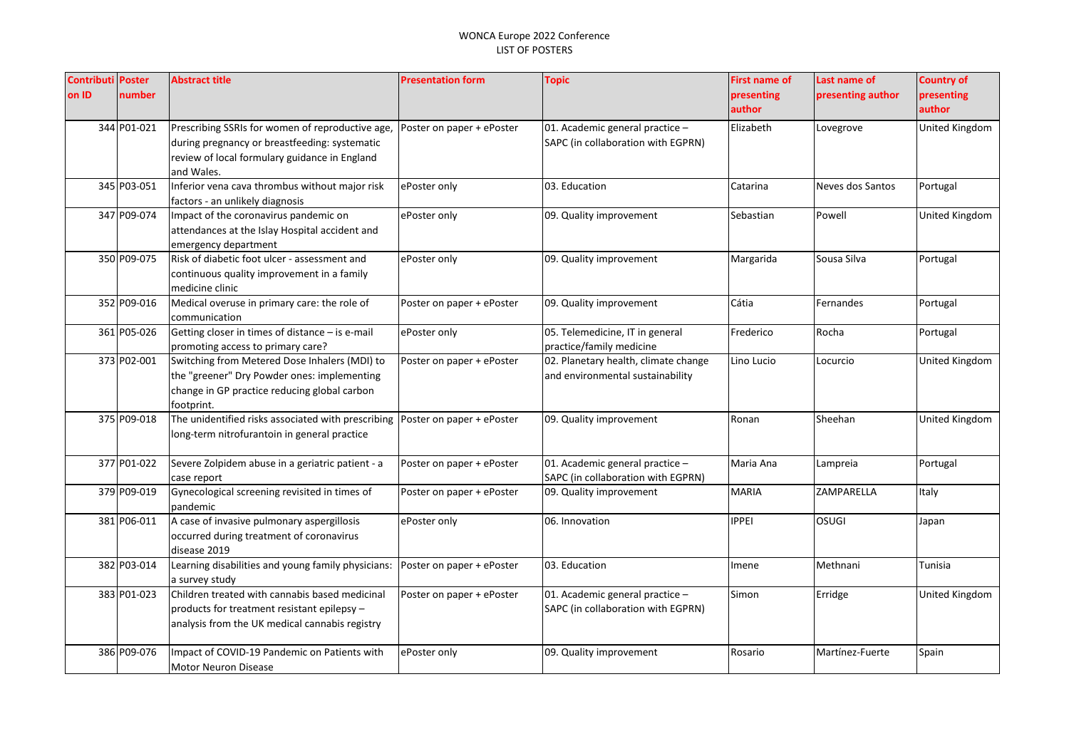| on ID<br>number<br>presenting<br>presenting author<br>presenting<br>author<br>author<br>344 P01-021<br>Prescribing SSRIs for women of reproductive age,<br>01. Academic general practice -<br>Elizabeth<br>United Kingdom<br>Poster on paper + ePoster<br>Lovegrove<br>during pregnancy or breastfeeding: systematic<br>SAPC (in collaboration with EGPRN)<br>review of local formulary guidance in England<br>and Wales.<br>345 P03-051<br>Inferior vena cava thrombus without major risk<br>ePoster only<br>03. Education<br>Neves dos Santos<br>Portugal<br>Catarina<br>factors - an unlikely diagnosis<br>347 P09-074<br><b>United Kingdom</b><br>Impact of the coronavirus pandemic on<br>ePoster only<br>09. Quality improvement<br>Sebastian<br>Powell<br>attendances at the Islay Hospital accident and<br>emergency department<br>350 P09-075<br>Risk of diabetic foot ulcer - assessment and<br>Sousa Silva<br>ePoster only<br>09. Quality improvement<br>Margarida<br>Portugal<br>continuous quality improvement in a family<br>medicine clinic<br>352 P09-016<br>Cátia<br>Portugal<br>Medical overuse in primary care: the role of<br>09. Quality improvement<br>Poster on paper + ePoster<br>Fernandes<br>communication<br>361 P05-026<br>Getting closer in times of distance - is e-mail<br>05. Telemedicine, IT in general<br>Rocha<br>Portugal<br>ePoster only<br>Frederico<br>practice/family medicine<br>promoting access to primary care?<br>373 P02-001<br>Switching from Metered Dose Inhalers (MDI) to<br>02. Planetary health, climate change<br>Poster on paper + ePoster<br>Lino Lucio<br>United Kingdom<br>Locurcio<br>the "greener" Dry Powder ones: implementing<br>and environmental sustainability<br>change in GP practice reducing global carbon<br>footprint.<br>375 P09-018<br>The unidentified risks associated with prescribing<br>Poster on paper + ePoster<br>09. Quality improvement<br>Sheehan<br>United Kingdom<br>Ronan<br>long-term nitrofurantoin in general practice<br>377 P01-022<br>01. Academic general practice -<br>Maria Ana<br>Severe Zolpidem abuse in a geriatric patient - a<br>Poster on paper + ePoster<br>Portugal<br>Lampreia<br>SAPC (in collaboration with EGPRN)<br>case report<br>379 P09-019<br>Gynecological screening revisited in times of<br><b>MARIA</b><br>ZAMPARELLA<br>Italy<br>Poster on paper + ePoster<br>09. Quality improvement<br>pandemic<br>381 P06-011<br>A case of invasive pulmonary aspergillosis<br><b>IPPEI</b><br><b>OSUGI</b><br>ePoster only<br>06. Innovation<br>Japan<br>occurred during treatment of coronavirus<br>disease 2019<br>382 P03-014<br>Learning disabilities and young family physicians:<br>03. Education<br>Poster on paper + ePoster<br>Methnani<br>Tunisia<br>Imene<br>a survey study<br>Children treated with cannabis based medicinal<br>383 P01-023<br>01. Academic general practice -<br>Poster on paper + ePoster<br>Simon<br>Erridge<br>United Kingdom<br>SAPC (in collaboration with EGPRN)<br>products for treatment resistant epilepsy -<br>analysis from the UK medical cannabis registry<br>386 P09-076<br>Impact of COVID-19 Pandemic on Patients with<br>09. Quality improvement<br>Martínez-Fuerte<br>ePoster only<br>Rosario<br>Spain<br><b>Motor Neuron Disease</b> | <b>Contributi Poster</b> | <b>Abstract title</b> | <b>Presentation form</b> | <b>Topic</b> | <b>First name of</b> | Last name of | <b>Country of</b> |
|--------------------------------------------------------------------------------------------------------------------------------------------------------------------------------------------------------------------------------------------------------------------------------------------------------------------------------------------------------------------------------------------------------------------------------------------------------------------------------------------------------------------------------------------------------------------------------------------------------------------------------------------------------------------------------------------------------------------------------------------------------------------------------------------------------------------------------------------------------------------------------------------------------------------------------------------------------------------------------------------------------------------------------------------------------------------------------------------------------------------------------------------------------------------------------------------------------------------------------------------------------------------------------------------------------------------------------------------------------------------------------------------------------------------------------------------------------------------------------------------------------------------------------------------------------------------------------------------------------------------------------------------------------------------------------------------------------------------------------------------------------------------------------------------------------------------------------------------------------------------------------------------------------------------------------------------------------------------------------------------------------------------------------------------------------------------------------------------------------------------------------------------------------------------------------------------------------------------------------------------------------------------------------------------------------------------------------------------------------------------------------------------------------------------------------------------------------------------------------------------------------------------------------------------------------------------------------------------------------------------------------------------------------------------------------------------------------------------------------------------------------------------------------------------------------------------------------------------------------------------------------------------------------------------------------------------------------------------------------------------------------------------------------------------------------------------------------------------------------------------------------------------------------------------------------------------------------------------------------------------------------------------------------------------------|--------------------------|-----------------------|--------------------------|--------------|----------------------|--------------|-------------------|
|                                                                                                                                                                                                                                                                                                                                                                                                                                                                                                                                                                                                                                                                                                                                                                                                                                                                                                                                                                                                                                                                                                                                                                                                                                                                                                                                                                                                                                                                                                                                                                                                                                                                                                                                                                                                                                                                                                                                                                                                                                                                                                                                                                                                                                                                                                                                                                                                                                                                                                                                                                                                                                                                                                                                                                                                                                                                                                                                                                                                                                                                                                                                                                                                                                                                                                  |                          |                       |                          |              |                      |              |                   |
|                                                                                                                                                                                                                                                                                                                                                                                                                                                                                                                                                                                                                                                                                                                                                                                                                                                                                                                                                                                                                                                                                                                                                                                                                                                                                                                                                                                                                                                                                                                                                                                                                                                                                                                                                                                                                                                                                                                                                                                                                                                                                                                                                                                                                                                                                                                                                                                                                                                                                                                                                                                                                                                                                                                                                                                                                                                                                                                                                                                                                                                                                                                                                                                                                                                                                                  |                          |                       |                          |              |                      |              |                   |
|                                                                                                                                                                                                                                                                                                                                                                                                                                                                                                                                                                                                                                                                                                                                                                                                                                                                                                                                                                                                                                                                                                                                                                                                                                                                                                                                                                                                                                                                                                                                                                                                                                                                                                                                                                                                                                                                                                                                                                                                                                                                                                                                                                                                                                                                                                                                                                                                                                                                                                                                                                                                                                                                                                                                                                                                                                                                                                                                                                                                                                                                                                                                                                                                                                                                                                  |                          |                       |                          |              |                      |              |                   |
|                                                                                                                                                                                                                                                                                                                                                                                                                                                                                                                                                                                                                                                                                                                                                                                                                                                                                                                                                                                                                                                                                                                                                                                                                                                                                                                                                                                                                                                                                                                                                                                                                                                                                                                                                                                                                                                                                                                                                                                                                                                                                                                                                                                                                                                                                                                                                                                                                                                                                                                                                                                                                                                                                                                                                                                                                                                                                                                                                                                                                                                                                                                                                                                                                                                                                                  |                          |                       |                          |              |                      |              |                   |
|                                                                                                                                                                                                                                                                                                                                                                                                                                                                                                                                                                                                                                                                                                                                                                                                                                                                                                                                                                                                                                                                                                                                                                                                                                                                                                                                                                                                                                                                                                                                                                                                                                                                                                                                                                                                                                                                                                                                                                                                                                                                                                                                                                                                                                                                                                                                                                                                                                                                                                                                                                                                                                                                                                                                                                                                                                                                                                                                                                                                                                                                                                                                                                                                                                                                                                  |                          |                       |                          |              |                      |              |                   |
|                                                                                                                                                                                                                                                                                                                                                                                                                                                                                                                                                                                                                                                                                                                                                                                                                                                                                                                                                                                                                                                                                                                                                                                                                                                                                                                                                                                                                                                                                                                                                                                                                                                                                                                                                                                                                                                                                                                                                                                                                                                                                                                                                                                                                                                                                                                                                                                                                                                                                                                                                                                                                                                                                                                                                                                                                                                                                                                                                                                                                                                                                                                                                                                                                                                                                                  |                          |                       |                          |              |                      |              |                   |
|                                                                                                                                                                                                                                                                                                                                                                                                                                                                                                                                                                                                                                                                                                                                                                                                                                                                                                                                                                                                                                                                                                                                                                                                                                                                                                                                                                                                                                                                                                                                                                                                                                                                                                                                                                                                                                                                                                                                                                                                                                                                                                                                                                                                                                                                                                                                                                                                                                                                                                                                                                                                                                                                                                                                                                                                                                                                                                                                                                                                                                                                                                                                                                                                                                                                                                  |                          |                       |                          |              |                      |              |                   |
|                                                                                                                                                                                                                                                                                                                                                                                                                                                                                                                                                                                                                                                                                                                                                                                                                                                                                                                                                                                                                                                                                                                                                                                                                                                                                                                                                                                                                                                                                                                                                                                                                                                                                                                                                                                                                                                                                                                                                                                                                                                                                                                                                                                                                                                                                                                                                                                                                                                                                                                                                                                                                                                                                                                                                                                                                                                                                                                                                                                                                                                                                                                                                                                                                                                                                                  |                          |                       |                          |              |                      |              |                   |
|                                                                                                                                                                                                                                                                                                                                                                                                                                                                                                                                                                                                                                                                                                                                                                                                                                                                                                                                                                                                                                                                                                                                                                                                                                                                                                                                                                                                                                                                                                                                                                                                                                                                                                                                                                                                                                                                                                                                                                                                                                                                                                                                                                                                                                                                                                                                                                                                                                                                                                                                                                                                                                                                                                                                                                                                                                                                                                                                                                                                                                                                                                                                                                                                                                                                                                  |                          |                       |                          |              |                      |              |                   |
|                                                                                                                                                                                                                                                                                                                                                                                                                                                                                                                                                                                                                                                                                                                                                                                                                                                                                                                                                                                                                                                                                                                                                                                                                                                                                                                                                                                                                                                                                                                                                                                                                                                                                                                                                                                                                                                                                                                                                                                                                                                                                                                                                                                                                                                                                                                                                                                                                                                                                                                                                                                                                                                                                                                                                                                                                                                                                                                                                                                                                                                                                                                                                                                                                                                                                                  |                          |                       |                          |              |                      |              |                   |
|                                                                                                                                                                                                                                                                                                                                                                                                                                                                                                                                                                                                                                                                                                                                                                                                                                                                                                                                                                                                                                                                                                                                                                                                                                                                                                                                                                                                                                                                                                                                                                                                                                                                                                                                                                                                                                                                                                                                                                                                                                                                                                                                                                                                                                                                                                                                                                                                                                                                                                                                                                                                                                                                                                                                                                                                                                                                                                                                                                                                                                                                                                                                                                                                                                                                                                  |                          |                       |                          |              |                      |              |                   |
|                                                                                                                                                                                                                                                                                                                                                                                                                                                                                                                                                                                                                                                                                                                                                                                                                                                                                                                                                                                                                                                                                                                                                                                                                                                                                                                                                                                                                                                                                                                                                                                                                                                                                                                                                                                                                                                                                                                                                                                                                                                                                                                                                                                                                                                                                                                                                                                                                                                                                                                                                                                                                                                                                                                                                                                                                                                                                                                                                                                                                                                                                                                                                                                                                                                                                                  |                          |                       |                          |              |                      |              |                   |
|                                                                                                                                                                                                                                                                                                                                                                                                                                                                                                                                                                                                                                                                                                                                                                                                                                                                                                                                                                                                                                                                                                                                                                                                                                                                                                                                                                                                                                                                                                                                                                                                                                                                                                                                                                                                                                                                                                                                                                                                                                                                                                                                                                                                                                                                                                                                                                                                                                                                                                                                                                                                                                                                                                                                                                                                                                                                                                                                                                                                                                                                                                                                                                                                                                                                                                  |                          |                       |                          |              |                      |              |                   |
|                                                                                                                                                                                                                                                                                                                                                                                                                                                                                                                                                                                                                                                                                                                                                                                                                                                                                                                                                                                                                                                                                                                                                                                                                                                                                                                                                                                                                                                                                                                                                                                                                                                                                                                                                                                                                                                                                                                                                                                                                                                                                                                                                                                                                                                                                                                                                                                                                                                                                                                                                                                                                                                                                                                                                                                                                                                                                                                                                                                                                                                                                                                                                                                                                                                                                                  |                          |                       |                          |              |                      |              |                   |
|                                                                                                                                                                                                                                                                                                                                                                                                                                                                                                                                                                                                                                                                                                                                                                                                                                                                                                                                                                                                                                                                                                                                                                                                                                                                                                                                                                                                                                                                                                                                                                                                                                                                                                                                                                                                                                                                                                                                                                                                                                                                                                                                                                                                                                                                                                                                                                                                                                                                                                                                                                                                                                                                                                                                                                                                                                                                                                                                                                                                                                                                                                                                                                                                                                                                                                  |                          |                       |                          |              |                      |              |                   |
|                                                                                                                                                                                                                                                                                                                                                                                                                                                                                                                                                                                                                                                                                                                                                                                                                                                                                                                                                                                                                                                                                                                                                                                                                                                                                                                                                                                                                                                                                                                                                                                                                                                                                                                                                                                                                                                                                                                                                                                                                                                                                                                                                                                                                                                                                                                                                                                                                                                                                                                                                                                                                                                                                                                                                                                                                                                                                                                                                                                                                                                                                                                                                                                                                                                                                                  |                          |                       |                          |              |                      |              |                   |
|                                                                                                                                                                                                                                                                                                                                                                                                                                                                                                                                                                                                                                                                                                                                                                                                                                                                                                                                                                                                                                                                                                                                                                                                                                                                                                                                                                                                                                                                                                                                                                                                                                                                                                                                                                                                                                                                                                                                                                                                                                                                                                                                                                                                                                                                                                                                                                                                                                                                                                                                                                                                                                                                                                                                                                                                                                                                                                                                                                                                                                                                                                                                                                                                                                                                                                  |                          |                       |                          |              |                      |              |                   |
|                                                                                                                                                                                                                                                                                                                                                                                                                                                                                                                                                                                                                                                                                                                                                                                                                                                                                                                                                                                                                                                                                                                                                                                                                                                                                                                                                                                                                                                                                                                                                                                                                                                                                                                                                                                                                                                                                                                                                                                                                                                                                                                                                                                                                                                                                                                                                                                                                                                                                                                                                                                                                                                                                                                                                                                                                                                                                                                                                                                                                                                                                                                                                                                                                                                                                                  |                          |                       |                          |              |                      |              |                   |
|                                                                                                                                                                                                                                                                                                                                                                                                                                                                                                                                                                                                                                                                                                                                                                                                                                                                                                                                                                                                                                                                                                                                                                                                                                                                                                                                                                                                                                                                                                                                                                                                                                                                                                                                                                                                                                                                                                                                                                                                                                                                                                                                                                                                                                                                                                                                                                                                                                                                                                                                                                                                                                                                                                                                                                                                                                                                                                                                                                                                                                                                                                                                                                                                                                                                                                  |                          |                       |                          |              |                      |              |                   |
|                                                                                                                                                                                                                                                                                                                                                                                                                                                                                                                                                                                                                                                                                                                                                                                                                                                                                                                                                                                                                                                                                                                                                                                                                                                                                                                                                                                                                                                                                                                                                                                                                                                                                                                                                                                                                                                                                                                                                                                                                                                                                                                                                                                                                                                                                                                                                                                                                                                                                                                                                                                                                                                                                                                                                                                                                                                                                                                                                                                                                                                                                                                                                                                                                                                                                                  |                          |                       |                          |              |                      |              |                   |
|                                                                                                                                                                                                                                                                                                                                                                                                                                                                                                                                                                                                                                                                                                                                                                                                                                                                                                                                                                                                                                                                                                                                                                                                                                                                                                                                                                                                                                                                                                                                                                                                                                                                                                                                                                                                                                                                                                                                                                                                                                                                                                                                                                                                                                                                                                                                                                                                                                                                                                                                                                                                                                                                                                                                                                                                                                                                                                                                                                                                                                                                                                                                                                                                                                                                                                  |                          |                       |                          |              |                      |              |                   |
|                                                                                                                                                                                                                                                                                                                                                                                                                                                                                                                                                                                                                                                                                                                                                                                                                                                                                                                                                                                                                                                                                                                                                                                                                                                                                                                                                                                                                                                                                                                                                                                                                                                                                                                                                                                                                                                                                                                                                                                                                                                                                                                                                                                                                                                                                                                                                                                                                                                                                                                                                                                                                                                                                                                                                                                                                                                                                                                                                                                                                                                                                                                                                                                                                                                                                                  |                          |                       |                          |              |                      |              |                   |
|                                                                                                                                                                                                                                                                                                                                                                                                                                                                                                                                                                                                                                                                                                                                                                                                                                                                                                                                                                                                                                                                                                                                                                                                                                                                                                                                                                                                                                                                                                                                                                                                                                                                                                                                                                                                                                                                                                                                                                                                                                                                                                                                                                                                                                                                                                                                                                                                                                                                                                                                                                                                                                                                                                                                                                                                                                                                                                                                                                                                                                                                                                                                                                                                                                                                                                  |                          |                       |                          |              |                      |              |                   |
|                                                                                                                                                                                                                                                                                                                                                                                                                                                                                                                                                                                                                                                                                                                                                                                                                                                                                                                                                                                                                                                                                                                                                                                                                                                                                                                                                                                                                                                                                                                                                                                                                                                                                                                                                                                                                                                                                                                                                                                                                                                                                                                                                                                                                                                                                                                                                                                                                                                                                                                                                                                                                                                                                                                                                                                                                                                                                                                                                                                                                                                                                                                                                                                                                                                                                                  |                          |                       |                          |              |                      |              |                   |
|                                                                                                                                                                                                                                                                                                                                                                                                                                                                                                                                                                                                                                                                                                                                                                                                                                                                                                                                                                                                                                                                                                                                                                                                                                                                                                                                                                                                                                                                                                                                                                                                                                                                                                                                                                                                                                                                                                                                                                                                                                                                                                                                                                                                                                                                                                                                                                                                                                                                                                                                                                                                                                                                                                                                                                                                                                                                                                                                                                                                                                                                                                                                                                                                                                                                                                  |                          |                       |                          |              |                      |              |                   |
|                                                                                                                                                                                                                                                                                                                                                                                                                                                                                                                                                                                                                                                                                                                                                                                                                                                                                                                                                                                                                                                                                                                                                                                                                                                                                                                                                                                                                                                                                                                                                                                                                                                                                                                                                                                                                                                                                                                                                                                                                                                                                                                                                                                                                                                                                                                                                                                                                                                                                                                                                                                                                                                                                                                                                                                                                                                                                                                                                                                                                                                                                                                                                                                                                                                                                                  |                          |                       |                          |              |                      |              |                   |
|                                                                                                                                                                                                                                                                                                                                                                                                                                                                                                                                                                                                                                                                                                                                                                                                                                                                                                                                                                                                                                                                                                                                                                                                                                                                                                                                                                                                                                                                                                                                                                                                                                                                                                                                                                                                                                                                                                                                                                                                                                                                                                                                                                                                                                                                                                                                                                                                                                                                                                                                                                                                                                                                                                                                                                                                                                                                                                                                                                                                                                                                                                                                                                                                                                                                                                  |                          |                       |                          |              |                      |              |                   |
|                                                                                                                                                                                                                                                                                                                                                                                                                                                                                                                                                                                                                                                                                                                                                                                                                                                                                                                                                                                                                                                                                                                                                                                                                                                                                                                                                                                                                                                                                                                                                                                                                                                                                                                                                                                                                                                                                                                                                                                                                                                                                                                                                                                                                                                                                                                                                                                                                                                                                                                                                                                                                                                                                                                                                                                                                                                                                                                                                                                                                                                                                                                                                                                                                                                                                                  |                          |                       |                          |              |                      |              |                   |
|                                                                                                                                                                                                                                                                                                                                                                                                                                                                                                                                                                                                                                                                                                                                                                                                                                                                                                                                                                                                                                                                                                                                                                                                                                                                                                                                                                                                                                                                                                                                                                                                                                                                                                                                                                                                                                                                                                                                                                                                                                                                                                                                                                                                                                                                                                                                                                                                                                                                                                                                                                                                                                                                                                                                                                                                                                                                                                                                                                                                                                                                                                                                                                                                                                                                                                  |                          |                       |                          |              |                      |              |                   |
|                                                                                                                                                                                                                                                                                                                                                                                                                                                                                                                                                                                                                                                                                                                                                                                                                                                                                                                                                                                                                                                                                                                                                                                                                                                                                                                                                                                                                                                                                                                                                                                                                                                                                                                                                                                                                                                                                                                                                                                                                                                                                                                                                                                                                                                                                                                                                                                                                                                                                                                                                                                                                                                                                                                                                                                                                                                                                                                                                                                                                                                                                                                                                                                                                                                                                                  |                          |                       |                          |              |                      |              |                   |
|                                                                                                                                                                                                                                                                                                                                                                                                                                                                                                                                                                                                                                                                                                                                                                                                                                                                                                                                                                                                                                                                                                                                                                                                                                                                                                                                                                                                                                                                                                                                                                                                                                                                                                                                                                                                                                                                                                                                                                                                                                                                                                                                                                                                                                                                                                                                                                                                                                                                                                                                                                                                                                                                                                                                                                                                                                                                                                                                                                                                                                                                                                                                                                                                                                                                                                  |                          |                       |                          |              |                      |              |                   |
|                                                                                                                                                                                                                                                                                                                                                                                                                                                                                                                                                                                                                                                                                                                                                                                                                                                                                                                                                                                                                                                                                                                                                                                                                                                                                                                                                                                                                                                                                                                                                                                                                                                                                                                                                                                                                                                                                                                                                                                                                                                                                                                                                                                                                                                                                                                                                                                                                                                                                                                                                                                                                                                                                                                                                                                                                                                                                                                                                                                                                                                                                                                                                                                                                                                                                                  |                          |                       |                          |              |                      |              |                   |
|                                                                                                                                                                                                                                                                                                                                                                                                                                                                                                                                                                                                                                                                                                                                                                                                                                                                                                                                                                                                                                                                                                                                                                                                                                                                                                                                                                                                                                                                                                                                                                                                                                                                                                                                                                                                                                                                                                                                                                                                                                                                                                                                                                                                                                                                                                                                                                                                                                                                                                                                                                                                                                                                                                                                                                                                                                                                                                                                                                                                                                                                                                                                                                                                                                                                                                  |                          |                       |                          |              |                      |              |                   |
|                                                                                                                                                                                                                                                                                                                                                                                                                                                                                                                                                                                                                                                                                                                                                                                                                                                                                                                                                                                                                                                                                                                                                                                                                                                                                                                                                                                                                                                                                                                                                                                                                                                                                                                                                                                                                                                                                                                                                                                                                                                                                                                                                                                                                                                                                                                                                                                                                                                                                                                                                                                                                                                                                                                                                                                                                                                                                                                                                                                                                                                                                                                                                                                                                                                                                                  |                          |                       |                          |              |                      |              |                   |
|                                                                                                                                                                                                                                                                                                                                                                                                                                                                                                                                                                                                                                                                                                                                                                                                                                                                                                                                                                                                                                                                                                                                                                                                                                                                                                                                                                                                                                                                                                                                                                                                                                                                                                                                                                                                                                                                                                                                                                                                                                                                                                                                                                                                                                                                                                                                                                                                                                                                                                                                                                                                                                                                                                                                                                                                                                                                                                                                                                                                                                                                                                                                                                                                                                                                                                  |                          |                       |                          |              |                      |              |                   |
|                                                                                                                                                                                                                                                                                                                                                                                                                                                                                                                                                                                                                                                                                                                                                                                                                                                                                                                                                                                                                                                                                                                                                                                                                                                                                                                                                                                                                                                                                                                                                                                                                                                                                                                                                                                                                                                                                                                                                                                                                                                                                                                                                                                                                                                                                                                                                                                                                                                                                                                                                                                                                                                                                                                                                                                                                                                                                                                                                                                                                                                                                                                                                                                                                                                                                                  |                          |                       |                          |              |                      |              |                   |
|                                                                                                                                                                                                                                                                                                                                                                                                                                                                                                                                                                                                                                                                                                                                                                                                                                                                                                                                                                                                                                                                                                                                                                                                                                                                                                                                                                                                                                                                                                                                                                                                                                                                                                                                                                                                                                                                                                                                                                                                                                                                                                                                                                                                                                                                                                                                                                                                                                                                                                                                                                                                                                                                                                                                                                                                                                                                                                                                                                                                                                                                                                                                                                                                                                                                                                  |                          |                       |                          |              |                      |              |                   |
|                                                                                                                                                                                                                                                                                                                                                                                                                                                                                                                                                                                                                                                                                                                                                                                                                                                                                                                                                                                                                                                                                                                                                                                                                                                                                                                                                                                                                                                                                                                                                                                                                                                                                                                                                                                                                                                                                                                                                                                                                                                                                                                                                                                                                                                                                                                                                                                                                                                                                                                                                                                                                                                                                                                                                                                                                                                                                                                                                                                                                                                                                                                                                                                                                                                                                                  |                          |                       |                          |              |                      |              |                   |
|                                                                                                                                                                                                                                                                                                                                                                                                                                                                                                                                                                                                                                                                                                                                                                                                                                                                                                                                                                                                                                                                                                                                                                                                                                                                                                                                                                                                                                                                                                                                                                                                                                                                                                                                                                                                                                                                                                                                                                                                                                                                                                                                                                                                                                                                                                                                                                                                                                                                                                                                                                                                                                                                                                                                                                                                                                                                                                                                                                                                                                                                                                                                                                                                                                                                                                  |                          |                       |                          |              |                      |              |                   |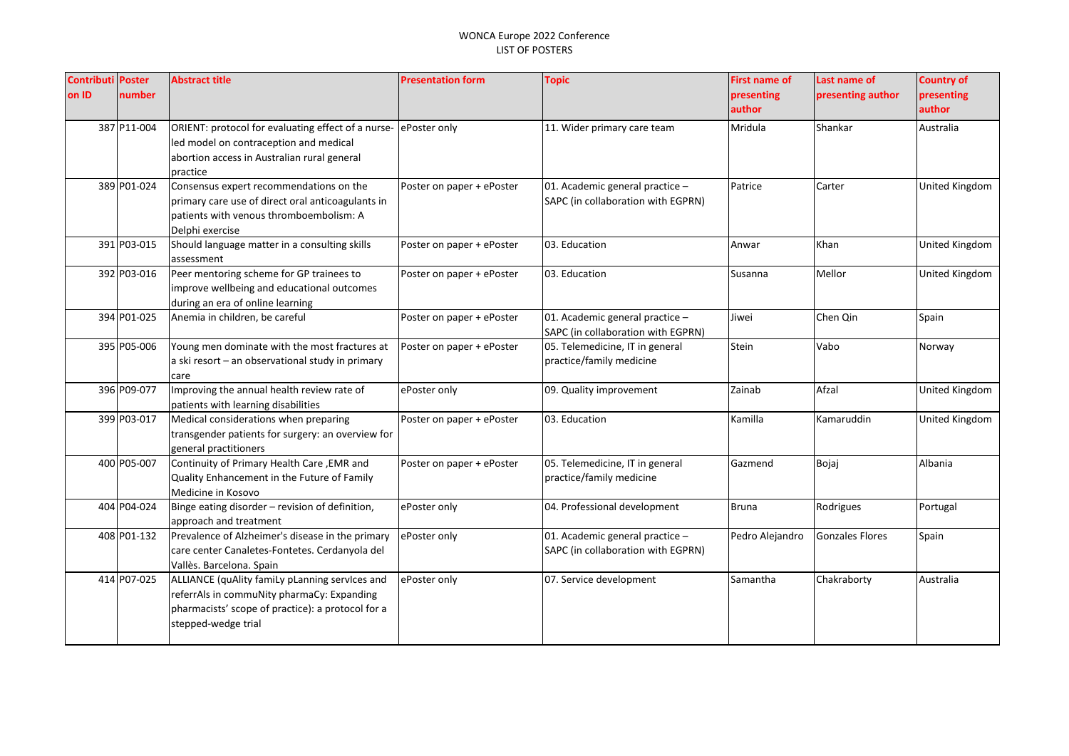| <b>Contributi Poster</b> |             | <b>Abstract title</b>                                    | <b>Presentation form</b>  | <b>Topic</b>                                                          | <b>First name of</b> | Last name of      | <b>Country of</b>     |
|--------------------------|-------------|----------------------------------------------------------|---------------------------|-----------------------------------------------------------------------|----------------------|-------------------|-----------------------|
| on ID                    | number      |                                                          |                           |                                                                       | presenting           | presenting author | presenting            |
|                          |             |                                                          |                           |                                                                       | author               |                   | author                |
|                          | 387 P11-004 | ORIENT: protocol for evaluating effect of a nurse-       | ePoster only              | 11. Wider primary care team                                           | Mridula              | Shankar           | Australia             |
|                          |             | led model on contraception and medical                   |                           |                                                                       |                      |                   |                       |
|                          |             | abortion access in Australian rural general              |                           |                                                                       |                      |                   |                       |
|                          |             | practice                                                 |                           |                                                                       |                      |                   |                       |
|                          | 389 P01-024 | Consensus expert recommendations on the                  | Poster on paper + ePoster | 01. Academic general practice -                                       | Patrice              | Carter            | United Kingdom        |
|                          |             | primary care use of direct oral anticoagulants in        |                           | SAPC (in collaboration with EGPRN)                                    |                      |                   |                       |
|                          |             | patients with venous thromboembolism: A                  |                           |                                                                       |                      |                   |                       |
|                          |             | Delphi exercise                                          |                           |                                                                       |                      |                   |                       |
|                          | 391 P03-015 | Should language matter in a consulting skills            | Poster on paper + ePoster | 03. Education                                                         | Anwar                | Khan              | United Kingdom        |
|                          |             | assessment                                               |                           |                                                                       |                      |                   |                       |
|                          | 392 P03-016 | Peer mentoring scheme for GP trainees to                 | Poster on paper + ePoster | 03. Education                                                         | Susanna              | Mellor            | <b>United Kingdom</b> |
|                          |             | improve wellbeing and educational outcomes               |                           |                                                                       |                      |                   |                       |
|                          |             | during an era of online learning                         |                           |                                                                       |                      |                   |                       |
|                          | 394 P01-025 | Anemia in children, be careful                           | Poster on paper + ePoster | 01. Academic general practice -                                       | Jiwei                | Chen Qin          | Spain                 |
|                          | 395 P05-006 | Young men dominate with the most fractures at            |                           | SAPC (in collaboration with EGPRN)<br>05. Telemedicine, IT in general | Stein                | Vabo              |                       |
|                          |             |                                                          | Poster on paper + ePoster | practice/family medicine                                              |                      |                   | Norway                |
|                          |             | a ski resort - an observational study in primary<br>care |                           |                                                                       |                      |                   |                       |
|                          | 396 P09-077 | Improving the annual health review rate of               | ePoster only              | 09. Quality improvement                                               | Zainab               | Afzal             | United Kingdom        |
|                          |             | patients with learning disabilities                      |                           |                                                                       |                      |                   |                       |
|                          | 399 P03-017 | Medical considerations when preparing                    | Poster on paper + ePoster | 03. Education                                                         | Kamilla              | Kamaruddin        | United Kingdom        |
|                          |             | transgender patients for surgery: an overview for        |                           |                                                                       |                      |                   |                       |
|                          |             | general practitioners                                    |                           |                                                                       |                      |                   |                       |
|                          | 400 P05-007 | Continuity of Primary Health Care, EMR and               | Poster on paper + ePoster | 05. Telemedicine, IT in general                                       | Gazmend              | Bojaj             | Albania               |
|                          |             | Quality Enhancement in the Future of Family              |                           | practice/family medicine                                              |                      |                   |                       |
|                          |             | Medicine in Kosovo                                       |                           |                                                                       |                      |                   |                       |
|                          | 404 P04-024 | Binge eating disorder - revision of definition,          | ePoster only              | 04. Professional development                                          | <b>Bruna</b>         | Rodrigues         | Portugal              |
|                          |             | approach and treatment                                   |                           |                                                                       |                      |                   |                       |
|                          | 408 P01-132 | Prevalence of Alzheimer's disease in the primary         | ePoster only              | 01. Academic general practice -                                       | Pedro Alejandro      | Gonzales Flores   | Spain                 |
|                          |             | care center Canaletes-Fontetes. Cerdanyola del           |                           | SAPC (in collaboration with EGPRN)                                    |                      |                   |                       |
|                          |             | Vallès. Barcelona. Spain                                 |                           |                                                                       |                      |                   |                       |
|                          | 414 P07-025 | ALLIANCE (quAlity famiLy pLanning services and           | ePoster only              | 07. Service development                                               | Samantha             | Chakraborty       | Australia             |
|                          |             | referrAls in commuNity pharmaCy: Expanding               |                           |                                                                       |                      |                   |                       |
|                          |             | pharmacists' scope of practice): a protocol for a        |                           |                                                                       |                      |                   |                       |
|                          |             | stepped-wedge trial                                      |                           |                                                                       |                      |                   |                       |
|                          |             |                                                          |                           |                                                                       |                      |                   |                       |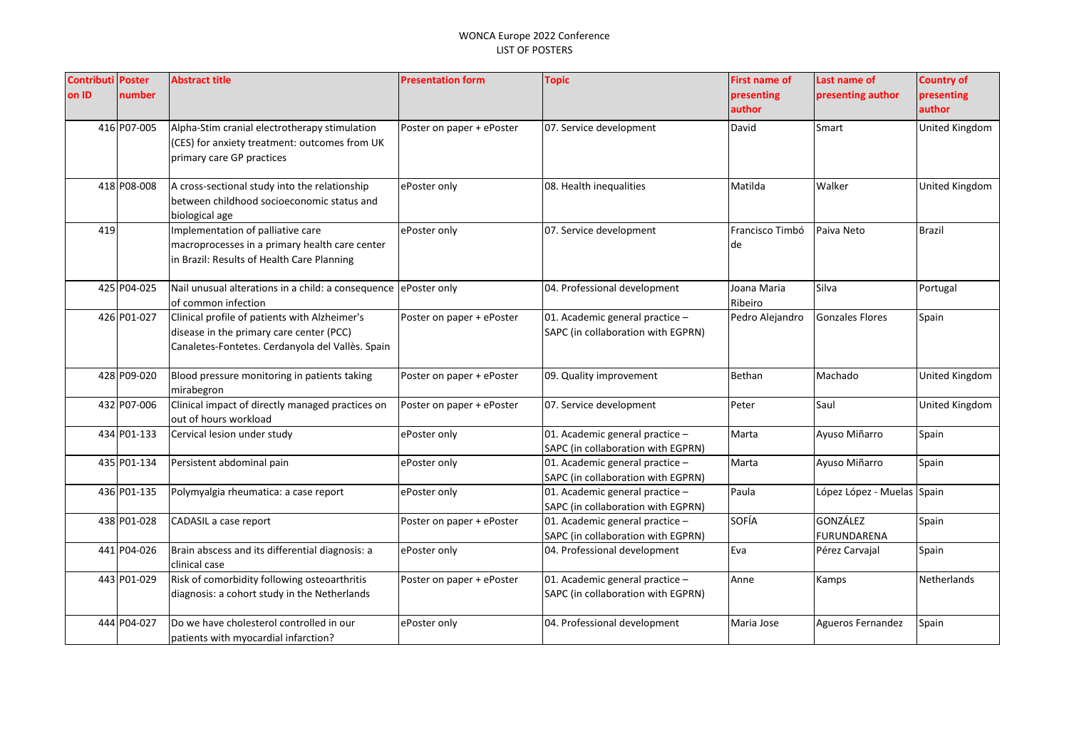| <b>Contributi Poster</b> |             | <b>Abstract title</b>                              | <b>Presentation form</b>  | <b>Topic</b>                       | First name of   | Last name of               | <b>Country of</b>     |
|--------------------------|-------------|----------------------------------------------------|---------------------------|------------------------------------|-----------------|----------------------------|-----------------------|
| on ID                    | number      |                                                    |                           |                                    | presenting      | presenting author          | presenting            |
|                          |             |                                                    |                           |                                    | author          |                            | author                |
|                          | 416 P07-005 | Alpha-Stim cranial electrotherapy stimulation      | Poster on paper + ePoster | 07. Service development            | David           | Smart                      | United Kingdom        |
|                          |             | (CES) for anxiety treatment: outcomes from UK      |                           |                                    |                 |                            |                       |
|                          |             | primary care GP practices                          |                           |                                    |                 |                            |                       |
|                          |             |                                                    |                           |                                    |                 |                            |                       |
|                          | 418 P08-008 | A cross-sectional study into the relationship      | ePoster only              | 08. Health inequalities            | Matilda         | Walker                     | United Kingdom        |
|                          |             | between childhood socioeconomic status and         |                           |                                    |                 |                            |                       |
|                          |             | biological age                                     |                           |                                    |                 |                            |                       |
| 419                      |             | Implementation of palliative care                  | ePoster only              | 07. Service development            | Francisco Timbó | Paiva Neto                 | <b>Brazil</b>         |
|                          |             | macroprocesses in a primary health care center     |                           |                                    | de              |                            |                       |
|                          |             | in Brazil: Results of Health Care Planning         |                           |                                    |                 |                            |                       |
|                          |             |                                                    |                           |                                    |                 |                            |                       |
|                          | 425 P04-025 | Nail unusual alterations in a child: a consequence | ePoster only              | 04. Professional development       | Joana Maria     | Silva                      | Portugal              |
|                          |             | of common infection                                |                           |                                    | Ribeiro         |                            |                       |
|                          | 426 P01-027 | Clinical profile of patients with Alzheimer's      | Poster on paper + ePoster | 01. Academic general practice -    | Pedro Alejandro | <b>Gonzales Flores</b>     | Spain                 |
|                          |             | disease in the primary care center (PCC)           |                           | SAPC (in collaboration with EGPRN) |                 |                            |                       |
|                          |             | Canaletes-Fontetes. Cerdanyola del Vallès. Spain   |                           |                                    |                 |                            |                       |
|                          |             |                                                    |                           |                                    |                 |                            |                       |
|                          | 428 P09-020 | Blood pressure monitoring in patients taking       | Poster on paper + ePoster | 09. Quality improvement            | Bethan          | Machado                    | <b>United Kingdom</b> |
|                          |             | mirabegron                                         |                           |                                    |                 |                            |                       |
|                          | 432 P07-006 | Clinical impact of directly managed practices on   | Poster on paper + ePoster | 07. Service development            | Peter           | Saul                       | United Kingdom        |
|                          |             | out of hours workload                              |                           |                                    |                 |                            |                       |
|                          | 434 P01-133 | Cervical lesion under study                        | ePoster only              | 01. Academic general practice -    | Marta           | Ayuso Miñarro              | Spain                 |
|                          |             |                                                    |                           | SAPC (in collaboration with EGPRN) |                 |                            |                       |
|                          | 435 P01-134 | Persistent abdominal pain                          | ePoster only              | 01. Academic general practice $-$  | Marta           | Ayuso Miñarro              | Spain                 |
|                          |             |                                                    |                           | SAPC (in collaboration with EGPRN) |                 |                            |                       |
|                          | 436 P01-135 | Polymyalgia rheumatica: a case report              | ePoster only              | 01. Academic general practice -    | Paula           | López López - Muelas Spain |                       |
|                          |             |                                                    |                           | SAPC (in collaboration with EGPRN) |                 | <b>GONZÁLEZ</b>            |                       |
|                          | 438 P01-028 | CADASIL a case report                              | Poster on paper + ePoster | 01. Academic general practice -    | SOFÍA           |                            | Spain                 |
|                          |             |                                                    |                           | SAPC (in collaboration with EGPRN) |                 | FURUNDARENA                |                       |
|                          | 441 P04-026 | Brain abscess and its differential diagnosis: a    | ePoster only              | 04. Professional development       | Eva             | Pérez Carvajal             | Spain                 |
|                          |             | clinical case                                      |                           |                                    |                 |                            |                       |
|                          | 443 P01-029 | Risk of comorbidity following osteoarthritis       | Poster on paper + ePoster | 01. Academic general practice -    | Anne            | Kamps                      | Netherlands           |
|                          |             | diagnosis: a cohort study in the Netherlands       |                           | SAPC (in collaboration with EGPRN) |                 |                            |                       |
|                          | 444 P04-027 | Do we have cholesterol controlled in our           | ePoster only              | 04. Professional development       | Maria Jose      | Agueros Fernandez          | Spain                 |
|                          |             |                                                    |                           |                                    |                 |                            |                       |
|                          |             | patients with myocardial infarction?               |                           |                                    |                 |                            |                       |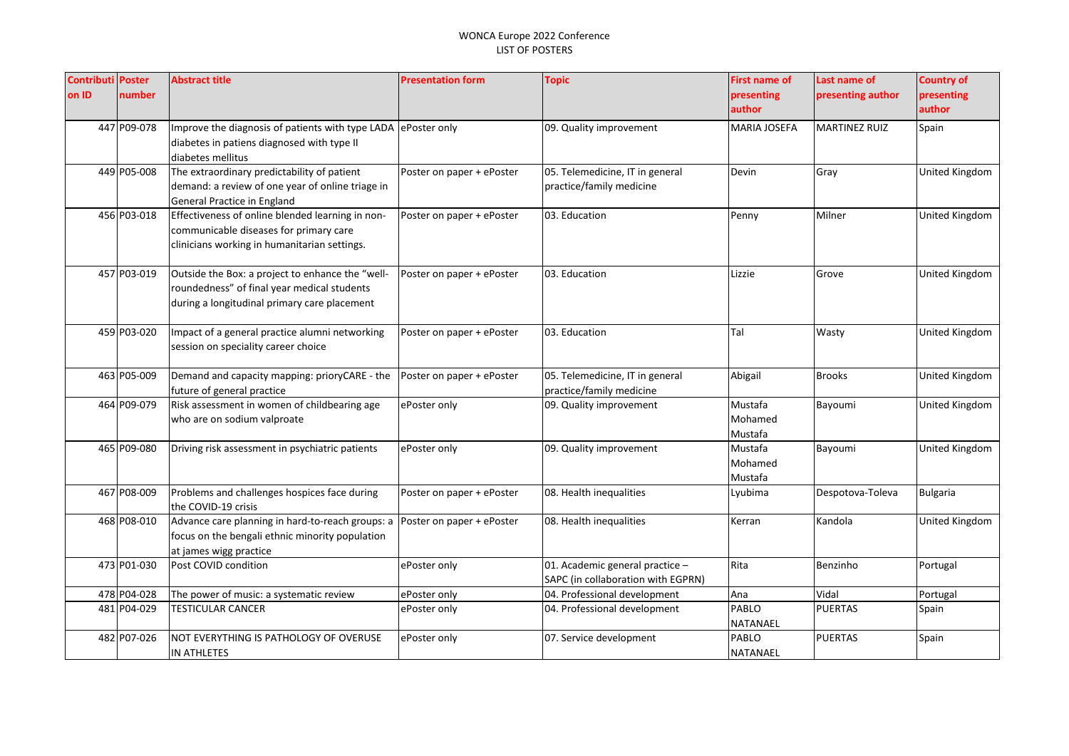| <b>Contributi Poster</b> |             | <b>Abstract title</b>                                         | <b>Presentation form</b>  | <b>Topic</b>                       | <b>First name of</b> | Last name of         | <b>Country of</b>     |
|--------------------------|-------------|---------------------------------------------------------------|---------------------------|------------------------------------|----------------------|----------------------|-----------------------|
| on ID                    | number      |                                                               |                           |                                    | presenting           | presenting author    | presenting            |
|                          |             |                                                               |                           |                                    | author               |                      | author                |
|                          | 447 P09-078 | Improve the diagnosis of patients with type LADA ePoster only |                           | 09. Quality improvement            | MARIA JOSEFA         | <b>MARTINEZ RUIZ</b> | Spain                 |
|                          |             | diabetes in patiens diagnosed with type II                    |                           |                                    |                      |                      |                       |
|                          |             | diabetes mellitus                                             |                           |                                    |                      |                      |                       |
|                          | 449 P05-008 | The extraordinary predictability of patient                   | Poster on paper + ePoster | 05. Telemedicine, IT in general    | Devin                | Gray                 | United Kingdom        |
|                          |             | demand: a review of one year of online triage in              |                           | practice/family medicine           |                      |                      |                       |
|                          |             | General Practice in England                                   |                           |                                    |                      |                      |                       |
|                          | 456 P03-018 | Effectiveness of online blended learning in non-              | Poster on paper + ePoster | 03. Education                      | Penny                | Milner               | United Kingdom        |
|                          |             | communicable diseases for primary care                        |                           |                                    |                      |                      |                       |
|                          |             | clinicians working in humanitarian settings.                  |                           |                                    |                      |                      |                       |
|                          | 457 P03-019 | Outside the Box: a project to enhance the "well-              | Poster on paper + ePoster | 03. Education                      | Lizzie               | Grove                | United Kingdom        |
|                          |             | roundedness" of final year medical students                   |                           |                                    |                      |                      |                       |
|                          |             | during a longitudinal primary care placement                  |                           |                                    |                      |                      |                       |
|                          |             |                                                               |                           |                                    |                      |                      |                       |
|                          | 459 P03-020 | Impact of a general practice alumni networking                | Poster on paper + ePoster | 03. Education                      | Tal                  | Wasty                | United Kingdom        |
|                          |             | session on speciality career choice                           |                           |                                    |                      |                      |                       |
|                          |             |                                                               |                           |                                    |                      |                      |                       |
|                          | 463 P05-009 | Demand and capacity mapping: prioryCARE - the                 | Poster on paper + ePoster | 05. Telemedicine, IT in general    | Abigail              | <b>Brooks</b>        | <b>United Kingdom</b> |
|                          |             | future of general practice                                    |                           | practice/family medicine           |                      |                      |                       |
|                          | 464 P09-079 | Risk assessment in women of childbearing age                  | ePoster only              | 09. Quality improvement            | Mustafa              | Bayoumi              | United Kingdom        |
|                          |             | who are on sodium valproate                                   |                           |                                    | Mohamed              |                      |                       |
|                          |             |                                                               |                           |                                    | Mustafa              |                      |                       |
|                          | 465 P09-080 | Driving risk assessment in psychiatric patients               | ePoster only              | 09. Quality improvement            | Mustafa              | Bayoumi              | <b>United Kingdom</b> |
|                          |             |                                                               |                           |                                    | Mohamed              |                      |                       |
|                          |             |                                                               |                           |                                    | Mustafa              |                      |                       |
|                          | 467 P08-009 | Problems and challenges hospices face during                  | Poster on paper + ePoster | 08. Health inequalities            | Lyubima              | Despotova-Toleva     | <b>Bulgaria</b>       |
|                          |             | the COVID-19 crisis                                           |                           |                                    |                      |                      |                       |
|                          | 468 P08-010 | Advance care planning in hard-to-reach groups: a              | Poster on paper + ePoster | 08. Health inequalities            | Kerran               | Kandola              | United Kingdom        |
|                          |             | focus on the bengali ethnic minority population               |                           |                                    |                      |                      |                       |
|                          | 473 P01-030 | at james wigg practice<br>Post COVID condition                |                           | 01. Academic general practice -    | Rita                 | Benzinho             | Portugal              |
|                          |             |                                                               | ePoster only              | SAPC (in collaboration with EGPRN) |                      |                      |                       |
|                          | 478 P04-028 |                                                               | ePoster only              | 04. Professional development       | Ana                  | Vidal                | Portugal              |
|                          | 481 P04-029 | The power of music: a systematic review<br>TESTICULAR CANCER  | ePoster only              | 04. Professional development       | PABLO                | <b>PUERTAS</b>       | Spain                 |
|                          |             |                                                               |                           |                                    | NATANAEL             |                      |                       |
|                          | 482 P07-026 | NOT EVERYTHING IS PATHOLOGY OF OVERUSE                        | ePoster only              | 07. Service development            | PABLO                | <b>PUERTAS</b>       | Spain                 |
|                          |             | IN ATHLETES                                                   |                           |                                    | <b>NATANAEL</b>      |                      |                       |
|                          |             |                                                               |                           |                                    |                      |                      |                       |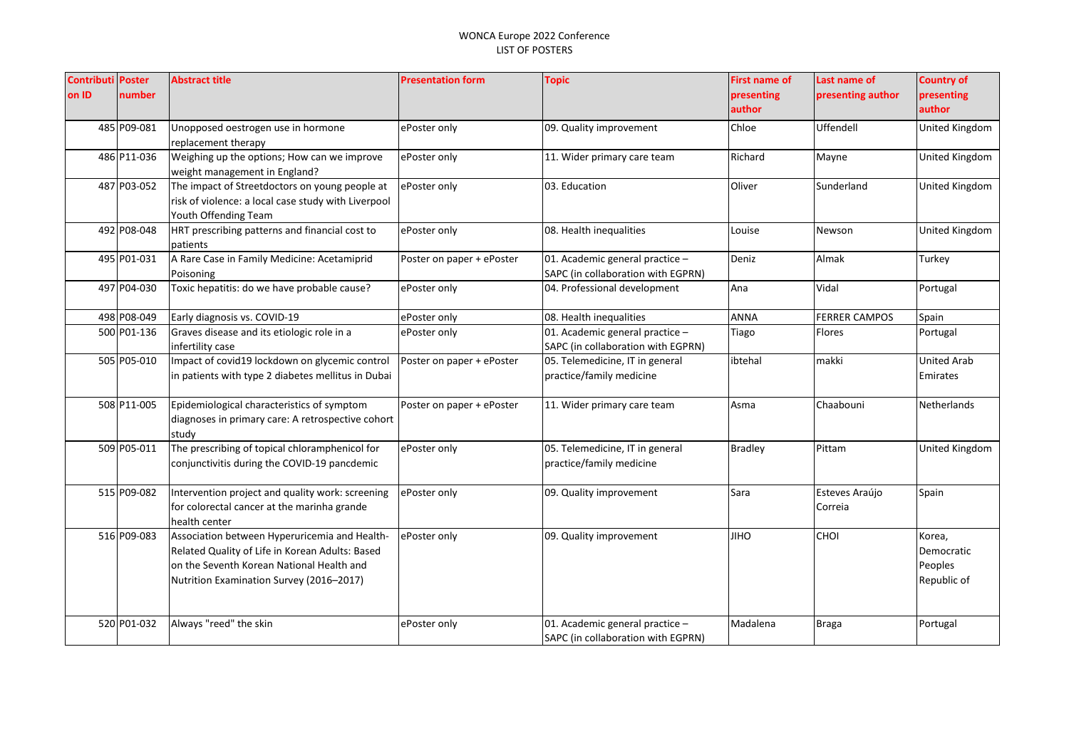| <b>Contributi</b><br>on ID | <b>Poster</b><br>number | <b>Abstract title</b>                                                                                                                                                                     | <b>Presentation form</b>  | <b>Topic</b>                                                          | <b>First name of</b><br>presenting<br>author | Last name of<br>presenting author | <b>Country of</b><br>presenting<br>author      |
|----------------------------|-------------------------|-------------------------------------------------------------------------------------------------------------------------------------------------------------------------------------------|---------------------------|-----------------------------------------------------------------------|----------------------------------------------|-----------------------------------|------------------------------------------------|
|                            | 485 P09-081             | Unopposed oestrogen use in hormone<br>replacement therapy                                                                                                                                 | ePoster only              | 09. Quality improvement                                               | Chloe                                        | Uffendell                         | United Kingdom                                 |
|                            | 486 P11-036             | Weighing up the options; How can we improve<br>weight management in England?                                                                                                              | ePoster only              | 11. Wider primary care team                                           | Richard                                      | Mayne                             | United Kingdom                                 |
|                            | 487 P03-052             | The impact of Streetdoctors on young people at<br>risk of violence: a local case study with Liverpool<br>Youth Offending Team                                                             | ePoster only              | 03. Education                                                         | Oliver                                       | Sunderland                        | United Kingdom                                 |
|                            | 492 P08-048             | HRT prescribing patterns and financial cost to<br>patients                                                                                                                                | ePoster only              | 08. Health inequalities                                               | Louise                                       | Newson                            | United Kingdom                                 |
|                            | 495 P01-031             | A Rare Case in Family Medicine: Acetamiprid<br>Poisoning                                                                                                                                  | Poster on paper + ePoster | 01. Academic general practice -<br>SAPC (in collaboration with EGPRN) | Deniz                                        | Almak                             | Turkey                                         |
|                            | 497 P04-030             | Toxic hepatitis: do we have probable cause?                                                                                                                                               | ePoster only              | 04. Professional development                                          | Ana                                          | Vidal                             | Portugal                                       |
|                            | 498 P08-049             | Early diagnosis vs. COVID-19                                                                                                                                                              | ePoster only              | 08. Health inequalities                                               | <b>ANNA</b>                                  | <b>FERRER CAMPOS</b>              | Spain                                          |
|                            | 500 P01-136             | Graves disease and its etiologic role in a<br>infertility case                                                                                                                            | ePoster only              | 01. Academic general practice -<br>SAPC (in collaboration with EGPRN) | Tiago                                        | Flores                            | Portugal                                       |
|                            | 505 P05-010             | Impact of covid19 lockdown on glycemic control<br>in patients with type 2 diabetes mellitus in Dubai                                                                                      | Poster on paper + ePoster | 05. Telemedicine, IT in general<br>practice/family medicine           | ibtehal                                      | makki                             | <b>United Arab</b><br>Emirates                 |
|                            | 508 P11-005             | Epidemiological characteristics of symptom<br>diagnoses in primary care: A retrospective cohort<br>study                                                                                  | Poster on paper + ePoster | 11. Wider primary care team                                           | Asma                                         | Chaabouni                         | <b>Netherlands</b>                             |
|                            | 509 P05-011             | The prescribing of topical chloramphenicol for<br>conjunctivitis during the COVID-19 pancdemic                                                                                            | ePoster only              | 05. Telemedicine, IT in general<br>practice/family medicine           | <b>Bradley</b>                               | Pittam                            | United Kingdom                                 |
|                            | 515 P09-082             | Intervention project and quality work: screening<br>for colorectal cancer at the marinha grande<br>health center                                                                          | ePoster only              | 09. Quality improvement                                               | Sara                                         | Esteves Araújo<br>Correia         | Spain                                          |
|                            | 516 P09-083             | Association between Hyperuricemia and Health-<br>Related Quality of Life in Korean Adults: Based<br>on the Seventh Korean National Health and<br>Nutrition Examination Survey (2016-2017) | ePoster only              | 09. Quality improvement                                               | <b>JIHO</b>                                  | <b>CHOI</b>                       | Korea,<br>Democratic<br>Peoples<br>Republic of |
|                            | 520 P01-032             | Always "reed" the skin                                                                                                                                                                    | ePoster only              | 01. Academic general practice -<br>SAPC (in collaboration with EGPRN) | Madalena                                     | Braga                             | Portugal                                       |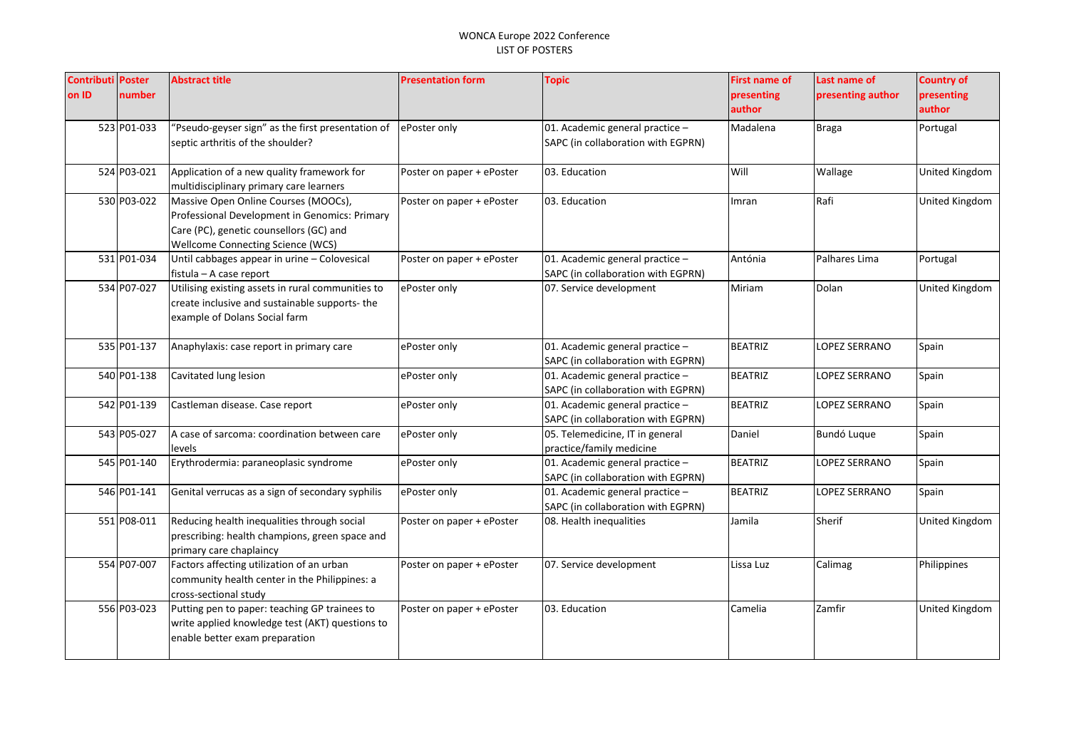| <b>Contributi Poster</b><br>on ID | number      | <b>Abstract title</b>                                                                                                                                                 | <b>Presentation form</b>  | <b>Topic</b>                                                          | <b>First name of</b><br>presenting<br>author | Last name of<br>presenting author | <b>Country of</b><br>presenting<br>author |
|-----------------------------------|-------------|-----------------------------------------------------------------------------------------------------------------------------------------------------------------------|---------------------------|-----------------------------------------------------------------------|----------------------------------------------|-----------------------------------|-------------------------------------------|
|                                   | 523 P01-033 | 'Pseudo-geyser sign" as the first presentation of<br>septic arthritis of the shoulder?                                                                                | ePoster only              | 01. Academic general practice -<br>SAPC (in collaboration with EGPRN) | Madalena                                     | <b>Braga</b>                      | Portugal                                  |
|                                   | 524 P03-021 | Application of a new quality framework for<br>multidisciplinary primary care learners                                                                                 | Poster on paper + ePoster | 03. Education                                                         | Will                                         | Wallage                           | United Kingdom                            |
|                                   | 530 P03-022 | Massive Open Online Courses (MOOCs),<br>Professional Development in Genomics: Primary<br>Care (PC), genetic counsellors (GC) and<br>Wellcome Connecting Science (WCS) | Poster on paper + ePoster | 03. Education                                                         | Imran                                        | Rafi                              | United Kingdom                            |
|                                   | 531 P01-034 | Until cabbages appear in urine - Colovesical<br>fistula - A case report                                                                                               | Poster on paper + ePoster | 01. Academic general practice -<br>SAPC (in collaboration with EGPRN) | Antónia                                      | Palhares Lima                     | Portugal                                  |
|                                   | 534 P07-027 | Utilising existing assets in rural communities to<br>create inclusive and sustainable supports- the<br>example of Dolans Social farm                                  | ePoster only              | 07. Service development                                               | Miriam                                       | Dolan                             | United Kingdom                            |
|                                   | 535 P01-137 | Anaphylaxis: case report in primary care                                                                                                                              | ePoster only              | 01. Academic general practice -<br>SAPC (in collaboration with EGPRN) | <b>BEATRIZ</b>                               | LOPEZ SERRANO                     | Spain                                     |
|                                   | 540 P01-138 | Cavitated lung lesion                                                                                                                                                 | ePoster only              | 01. Academic general practice -<br>SAPC (in collaboration with EGPRN) | <b>BEATRIZ</b>                               | LOPEZ SERRANO                     | Spain                                     |
|                                   | 542 P01-139 | Castleman disease. Case report                                                                                                                                        | ePoster only              | 01. Academic general practice -<br>SAPC (in collaboration with EGPRN) | <b>BEATRIZ</b>                               | LOPEZ SERRANO                     | Spain                                     |
|                                   | 543 P05-027 | A case of sarcoma: coordination between care<br>levels                                                                                                                | ePoster only              | 05. Telemedicine, IT in general<br>practice/family medicine           | Daniel                                       | Bundó Luque                       | Spain                                     |
|                                   | 545 P01-140 | Erythrodermia: paraneoplasic syndrome                                                                                                                                 | ePoster only              | 01. Academic general practice -<br>SAPC (in collaboration with EGPRN) | <b>BEATRIZ</b>                               | <b>LOPEZ SERRANO</b>              | Spain                                     |
|                                   | 546 P01-141 | Genital verrucas as a sign of secondary syphilis                                                                                                                      | ePoster only              | 01. Academic general practice -<br>SAPC (in collaboration with EGPRN) | <b>BEATRIZ</b>                               | LOPEZ SERRANO                     | Spain                                     |
|                                   | 551 P08-011 | Reducing health inequalities through social<br>prescribing: health champions, green space and<br>primary care chaplaincy                                              | Poster on paper + ePoster | 08. Health inequalities                                               | Jamila                                       | Sherif                            | United Kingdom                            |
|                                   | 554 P07-007 | Factors affecting utilization of an urban<br>community health center in the Philippines: a<br>cross-sectional study                                                   | Poster on paper + ePoster | 07. Service development                                               | Lissa Luz                                    | Calimag                           | Philippines                               |
|                                   | 556 P03-023 | Putting pen to paper: teaching GP trainees to<br>write applied knowledge test (AKT) questions to<br>enable better exam preparation                                    | Poster on paper + ePoster | 03. Education                                                         | Camelia                                      | Zamfir                            | United Kingdom                            |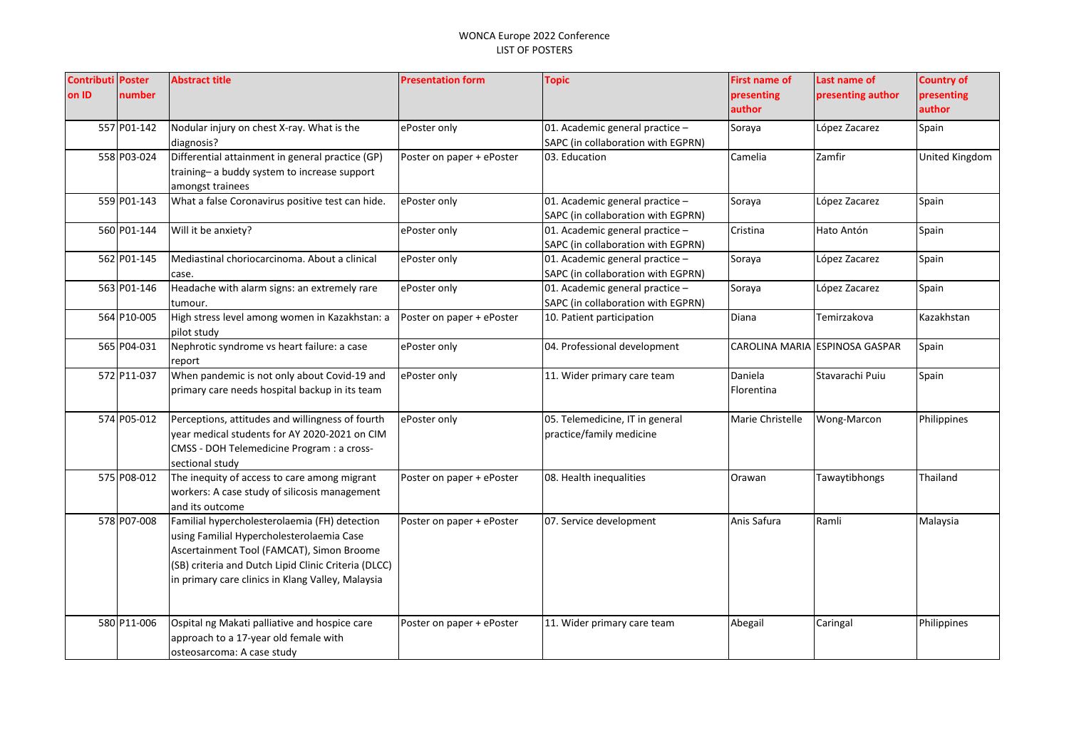| <b>Contributi Poster</b> |             | <b>Abstract title</b>                                  | <b>Presentation form</b>  | <b>Topic</b>                       | <b>First name of</b> | Last name of                   | <b>Country of</b> |
|--------------------------|-------------|--------------------------------------------------------|---------------------------|------------------------------------|----------------------|--------------------------------|-------------------|
| on ID                    | number      |                                                        |                           |                                    | presenting           | presenting author              | presenting        |
|                          |             |                                                        |                           |                                    | author               |                                | author            |
|                          | 557 P01-142 | Nodular injury on chest X-ray. What is the             | ePoster only              | 01. Academic general practice -    | Soraya               | López Zacarez                  | Spain             |
|                          |             | diagnosis?                                             |                           | SAPC (in collaboration with EGPRN) |                      |                                |                   |
|                          | 558 P03-024 | Differential attainment in general practice (GP)       | Poster on paper + ePoster | 03. Education                      | Camelia              | Zamfir                         | United Kingdom    |
|                          |             | training-a buddy system to increase support            |                           |                                    |                      |                                |                   |
|                          |             | amongst trainees                                       |                           |                                    |                      |                                |                   |
|                          | 559 P01-143 | What a false Coronavirus positive test can hide.       | ePoster only              | 01. Academic general practice -    | Soraya               | López Zacarez                  | Spain             |
|                          |             |                                                        |                           | SAPC (in collaboration with EGPRN) |                      |                                |                   |
|                          | 560 P01-144 | Will it be anxiety?                                    | ePoster only              | 01. Academic general practice -    | Cristina             | Hato Antón                     | Spain             |
|                          |             |                                                        |                           | SAPC (in collaboration with EGPRN) |                      |                                |                   |
|                          | 562 P01-145 | Mediastinal choriocarcinoma. About a clinical          | ePoster only              | 01. Academic general practice -    | Soraya               | López Zacarez                  | Spain             |
|                          |             | case.                                                  |                           | SAPC (in collaboration with EGPRN) |                      |                                |                   |
|                          | 563 P01-146 | Headache with alarm signs: an extremely rare           | ePoster only              | 01. Academic general practice -    | Soraya               | López Zacarez                  | Spain             |
|                          |             | tumour.                                                |                           | SAPC (in collaboration with EGPRN) |                      |                                |                   |
|                          | 564 P10-005 | High stress level among women in Kazakhstan: a         | Poster on paper + ePoster | 10. Patient participation          | Diana                | Temirzakova                    | Kazakhstan        |
|                          |             | pilot study                                            |                           |                                    |                      |                                |                   |
|                          | 565 P04-031 | Nephrotic syndrome vs heart failure: a case            | ePoster only              | 04. Professional development       |                      | CAROLINA MARIA ESPINOSA GASPAR | Spain             |
|                          | 572 P11-037 | report<br>When pandemic is not only about Covid-19 and | ePoster only              | 11. Wider primary care team        | Daniela              | Stavarachi Puiu                | Spain             |
|                          |             | primary care needs hospital backup in its team         |                           |                                    | Florentina           |                                |                   |
|                          |             |                                                        |                           |                                    |                      |                                |                   |
|                          | 574 P05-012 | Perceptions, attitudes and willingness of fourth       | ePoster only              | 05. Telemedicine, IT in general    | Marie Christelle     | Wong-Marcon                    | Philippines       |
|                          |             | vear medical students for AY 2020-2021 on CIM          |                           | practice/family medicine           |                      |                                |                   |
|                          |             | CMSS - DOH Telemedicine Program : a cross-             |                           |                                    |                      |                                |                   |
|                          |             | sectional study                                        |                           |                                    |                      |                                |                   |
|                          | 575 P08-012 | The inequity of access to care among migrant           | Poster on paper + ePoster | 08. Health inequalities            | Orawan               | Tawaytibhongs                  | Thailand          |
|                          |             | workers: A case study of silicosis management          |                           |                                    |                      |                                |                   |
|                          |             | and its outcome                                        |                           |                                    |                      |                                |                   |
|                          | 578 P07-008 | Familial hypercholesterolaemia (FH) detection          | Poster on paper + ePoster | 07. Service development            | Anis Safura          | Ramli                          | Malaysia          |
|                          |             | using Familial Hypercholesterolaemia Case              |                           |                                    |                      |                                |                   |
|                          |             | Ascertainment Tool (FAMCAT), Simon Broome              |                           |                                    |                      |                                |                   |
|                          |             | (SB) criteria and Dutch Lipid Clinic Criteria (DLCC)   |                           |                                    |                      |                                |                   |
|                          |             | in primary care clinics in Klang Valley, Malaysia      |                           |                                    |                      |                                |                   |
|                          |             |                                                        |                           |                                    |                      |                                |                   |
|                          |             |                                                        |                           |                                    |                      |                                |                   |
|                          | 580 P11-006 | Ospital ng Makati palliative and hospice care          | Poster on paper + ePoster | 11. Wider primary care team        | Abegail              | Caringal                       | Philippines       |
|                          |             | approach to a 17-year old female with                  |                           |                                    |                      |                                |                   |
|                          |             | osteosarcoma: A case study                             |                           |                                    |                      |                                |                   |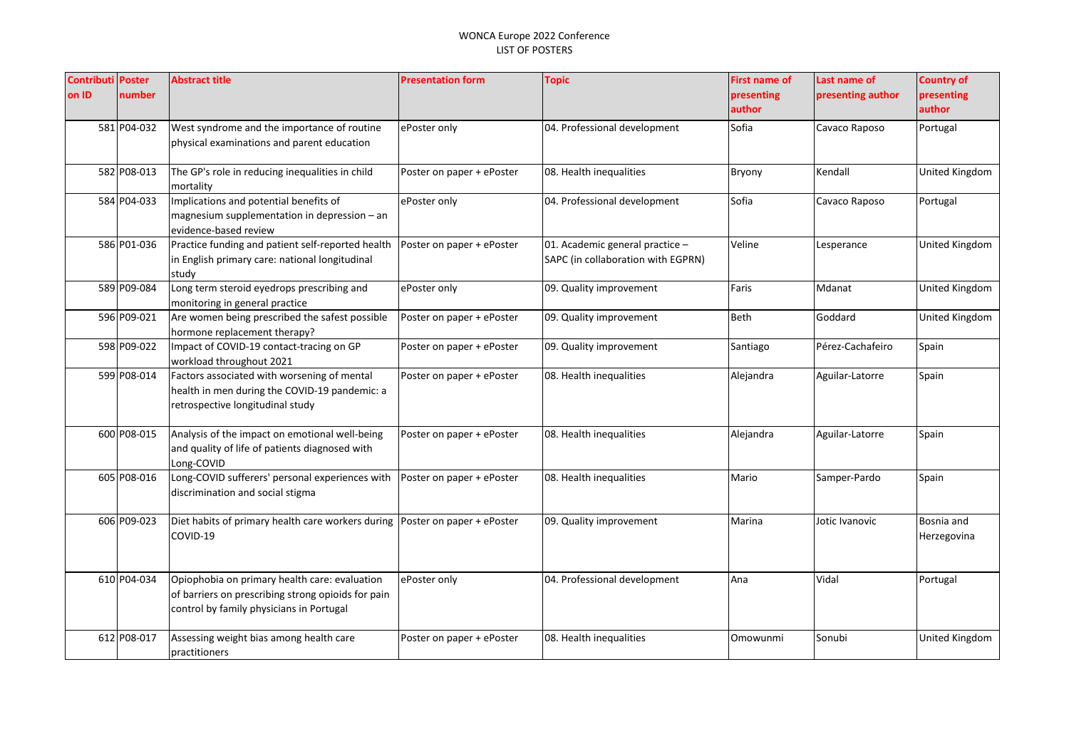| <b>Contributi Poster</b><br>on ID | number      | <b>Abstract title</b>                                                                                                                           | <b>Presentation form</b>  | <b>Topic</b>                                                          | <b>First name of</b><br>presenting<br>author | Last name of<br>presenting author | <b>Country of</b><br>presenting<br>author |
|-----------------------------------|-------------|-------------------------------------------------------------------------------------------------------------------------------------------------|---------------------------|-----------------------------------------------------------------------|----------------------------------------------|-----------------------------------|-------------------------------------------|
|                                   | 581 P04-032 | West syndrome and the importance of routine<br>physical examinations and parent education                                                       | ePoster only              | 04. Professional development                                          | Sofia                                        | Cavaco Raposo                     | Portugal                                  |
|                                   | 582 P08-013 | The GP's role in reducing inequalities in child<br>mortality                                                                                    | Poster on paper + ePoster | 08. Health inequalities                                               | Bryony                                       | Kendall                           | <b>United Kingdom</b>                     |
|                                   | 584 P04-033 | Implications and potential benefits of<br>magnesium supplementation in depression $-$ an<br>evidence-based review                               | ePoster only              | 04. Professional development                                          | Sofia                                        | Cavaco Raposo                     | Portugal                                  |
|                                   | 586 P01-036 | Practice funding and patient self-reported health<br>in English primary care: national longitudinal<br>study                                    | Poster on paper + ePoster | 01. Academic general practice -<br>SAPC (in collaboration with EGPRN) | Veline                                       | Lesperance                        | <b>United Kingdom</b>                     |
|                                   | 589 P09-084 | Long term steroid eyedrops prescribing and<br>monitoring in general practice                                                                    | ePoster only              | 09. Quality improvement                                               | Faris                                        | Mdanat                            | <b>United Kingdom</b>                     |
|                                   | 596 P09-021 | Are women being prescribed the safest possible<br>hormone replacement therapy?                                                                  | Poster on paper + ePoster | 09. Quality improvement                                               | Beth                                         | Goddard                           | United Kingdom                            |
|                                   | 598 P09-022 | Impact of COVID-19 contact-tracing on GP<br>workload throughout 2021                                                                            | Poster on paper + ePoster | 09. Quality improvement                                               | Santiago                                     | Pérez-Cachafeiro                  | Spain                                     |
|                                   | 599 P08-014 | Factors associated with worsening of mental<br>health in men during the COVID-19 pandemic: a<br>retrospective longitudinal study                | Poster on paper + ePoster | 08. Health inequalities                                               | Alejandra                                    | Aguilar-Latorre                   | Spain                                     |
|                                   | 600 P08-015 | Analysis of the impact on emotional well-being<br>and quality of life of patients diagnosed with<br>Long-COVID                                  | Poster on paper + ePoster | 08. Health inequalities                                               | Alejandra                                    | Aguilar-Latorre                   | Spain                                     |
|                                   | 605 P08-016 | Long-COVID sufferers' personal experiences with<br>discrimination and social stigma                                                             | Poster on paper + ePoster | 08. Health inequalities                                               | Mario                                        | Samper-Pardo                      | Spain                                     |
|                                   | 606 P09-023 | Diet habits of primary health care workers during   Poster on paper + ePoster<br>COVID-19                                                       |                           | 09. Quality improvement                                               | Marina                                       | Jotic Ivanovic                    | Bosnia and<br>Herzegovina                 |
|                                   | 610 P04-034 | Opiophobia on primary health care: evaluation<br>of barriers on prescribing strong opioids for pain<br>control by family physicians in Portugal | ePoster only              | 04. Professional development                                          | Ana                                          | Vidal                             | Portugal                                  |
|                                   | 612 P08-017 | Assessing weight bias among health care<br>practitioners                                                                                        | Poster on paper + ePoster | 08. Health inequalities                                               | Omowunmi                                     | Sonubi                            | United Kingdom                            |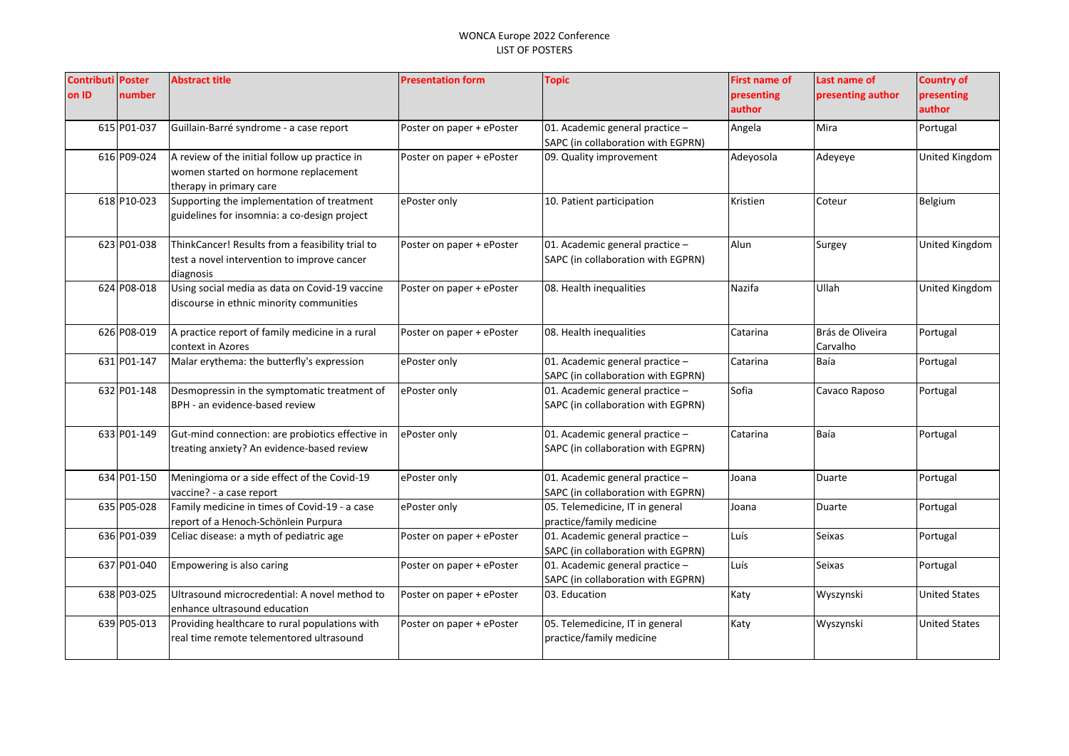| <b>Contributi Poster</b> |             | <b>Abstract title</b>                                                          | <b>Presentation form</b>  | <b>Topic</b>                       | <b>First name of</b> | Last name of      | <b>Country of</b>     |
|--------------------------|-------------|--------------------------------------------------------------------------------|---------------------------|------------------------------------|----------------------|-------------------|-----------------------|
| on ID                    | number      |                                                                                |                           |                                    | presenting           | presenting author | presenting            |
|                          |             |                                                                                |                           |                                    | author               |                   | author                |
|                          | 615 P01-037 | Guillain-Barré syndrome - a case report                                        | Poster on paper + ePoster | 01. Academic general practice -    | Angela               | Mira              | Portugal              |
|                          |             |                                                                                |                           | SAPC (in collaboration with EGPRN) |                      |                   |                       |
|                          | 616 P09-024 | A review of the initial follow up practice in                                  | Poster on paper + ePoster | 09. Quality improvement            | Adeyosola            | Adeyeye           | United Kingdom        |
|                          |             | women started on hormone replacement                                           |                           |                                    |                      |                   |                       |
|                          |             | therapy in primary care                                                        |                           |                                    |                      |                   |                       |
|                          | 618 P10-023 | Supporting the implementation of treatment                                     | ePoster only              | 10. Patient participation          | Kristien             | Coteur            | Belgium               |
|                          |             | guidelines for insomnia: a co-design project                                   |                           |                                    |                      |                   |                       |
|                          | 623 P01-038 | ThinkCancer! Results from a feasibility trial to                               | Poster on paper + ePoster | 01. Academic general practice -    | Alun                 | Surgey            | <b>United Kingdom</b> |
|                          |             | test a novel intervention to improve cancer                                    |                           | SAPC (in collaboration with EGPRN) |                      |                   |                       |
|                          |             | diagnosis                                                                      |                           |                                    |                      |                   |                       |
|                          | 624 P08-018 | Using social media as data on Covid-19 vaccine                                 | Poster on paper + ePoster | 08. Health inequalities            | Nazifa               | Ullah             | <b>United Kingdom</b> |
|                          |             | discourse in ethnic minority communities                                       |                           |                                    |                      |                   |                       |
|                          |             |                                                                                |                           |                                    |                      |                   |                       |
|                          | 626 P08-019 | A practice report of family medicine in a rural                                | Poster on paper + ePoster | 08. Health inequalities            | Catarina             | Brás de Oliveira  | Portugal              |
|                          |             | context in Azores                                                              |                           |                                    |                      | Carvalho          |                       |
|                          | 631 P01-147 | Malar erythema: the butterfly's expression                                     | ePoster only              | 01. Academic general practice -    | Catarina             | Baía              | Portugal              |
|                          | 632 P01-148 |                                                                                |                           | SAPC (in collaboration with EGPRN) | Sofia                |                   |                       |
|                          |             | Desmopressin in the symptomatic treatment of<br>BPH - an evidence-based review | ePoster only              | 01. Academic general practice -    |                      | Cavaco Raposo     | Portugal              |
|                          |             |                                                                                |                           | SAPC (in collaboration with EGPRN) |                      |                   |                       |
|                          | 633 P01-149 | Gut-mind connection: are probiotics effective in                               | ePoster only              | 01. Academic general practice -    | Catarina             | Baía              | Portugal              |
|                          |             | treating anxiety? An evidence-based review                                     |                           | SAPC (in collaboration with EGPRN) |                      |                   |                       |
|                          |             |                                                                                |                           |                                    |                      |                   |                       |
|                          | 634 P01-150 | Meningioma or a side effect of the Covid-19                                    | ePoster only              | 01. Academic general practice -    | Joana                | <b>Duarte</b>     | Portugal              |
|                          |             | vaccine? - a case report                                                       |                           | SAPC (in collaboration with EGPRN) |                      |                   |                       |
|                          | 635 P05-028 | Family medicine in times of Covid-19 - a case                                  | ePoster only              | 05. Telemedicine, IT in general    | Joana                | Duarte            | Portugal              |
|                          |             | report of a Henoch-Schönlein Purpura                                           |                           | practice/family medicine           |                      |                   |                       |
|                          | 636 P01-039 | Celiac disease: a myth of pediatric age                                        | Poster on paper + ePoster | 01. Academic general practice -    | Luís                 | <b>Seixas</b>     | Portugal              |
|                          |             |                                                                                |                           | SAPC (in collaboration with EGPRN) |                      |                   |                       |
|                          | 637 P01-040 | Empowering is also caring                                                      | Poster on paper + ePoster | 01. Academic general practice -    | Luís                 | <b>Seixas</b>     | Portugal              |
|                          |             |                                                                                |                           | SAPC (in collaboration with EGPRN) |                      |                   |                       |
|                          | 638 P03-025 | Ultrasound microcredential: A novel method to<br>enhance ultrasound education  | Poster on paper + ePoster | 03. Education                      | Katy                 | Wyszynski         | <b>United States</b>  |
|                          | 639 P05-013 | Providing healthcare to rural populations with                                 | Poster on paper + ePoster | 05. Telemedicine, IT in general    | Katy                 | Wyszynski         | <b>United States</b>  |
|                          |             | real time remote telementored ultrasound                                       |                           | practice/family medicine           |                      |                   |                       |
|                          |             |                                                                                |                           |                                    |                      |                   |                       |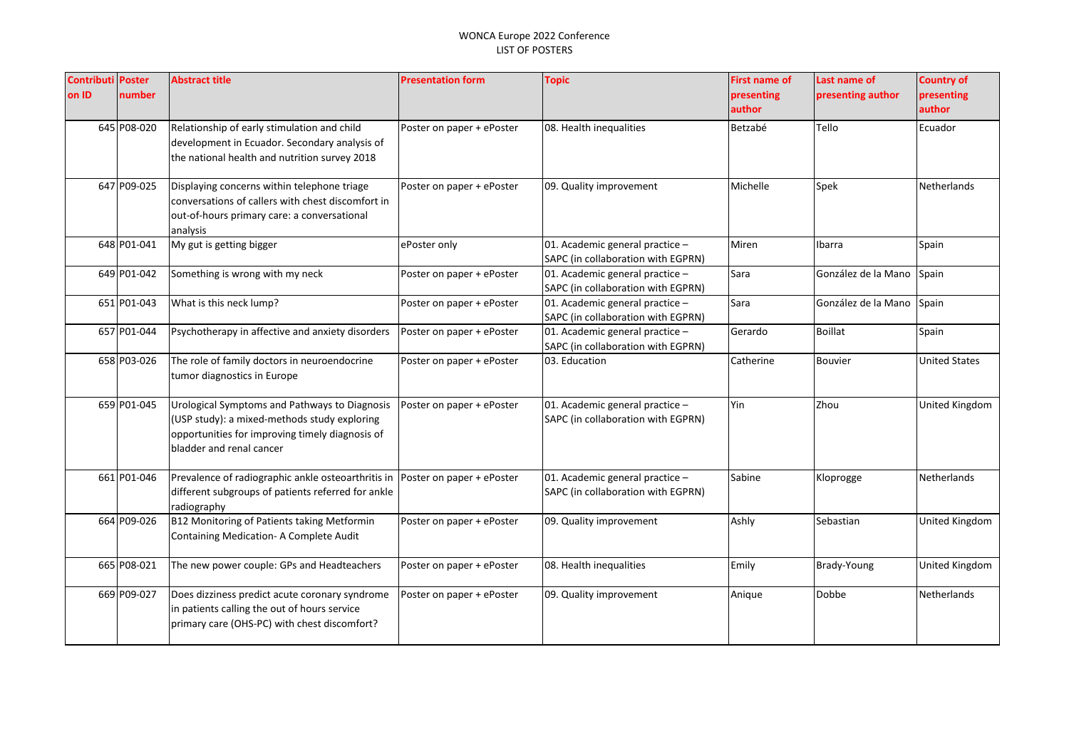| <b>Contributi Poster</b> |             | <b>Abstract title</b>                                                       | <b>Presentation form</b>  | <b>Topic</b>                                                          | <b>First name of</b> | Last name of        | <b>Country of</b>  |
|--------------------------|-------------|-----------------------------------------------------------------------------|---------------------------|-----------------------------------------------------------------------|----------------------|---------------------|--------------------|
| on ID                    | number      |                                                                             |                           |                                                                       | presenting           | presenting author   | presenting         |
|                          |             |                                                                             |                           |                                                                       | author               |                     | author             |
|                          | 645 P08-020 | Relationship of early stimulation and child                                 | Poster on paper + ePoster | 08. Health inequalities                                               | Betzabé              | Tello               | Ecuador            |
|                          |             | development in Ecuador. Secondary analysis of                               |                           |                                                                       |                      |                     |                    |
|                          |             | the national health and nutrition survey 2018                               |                           |                                                                       |                      |                     |                    |
|                          | 647 P09-025 | Displaying concerns within telephone triage                                 | Poster on paper + ePoster | 09. Quality improvement                                               | Michelle             | Spek                | Netherlands        |
|                          |             | conversations of callers with chest discomfort in                           |                           |                                                                       |                      |                     |                    |
|                          |             | out-of-hours primary care: a conversational                                 |                           |                                                                       |                      |                     |                    |
|                          |             | analysis                                                                    |                           |                                                                       |                      |                     |                    |
|                          | 648 P01-041 | My gut is getting bigger                                                    | ePoster only              | 01. Academic general practice -<br>SAPC (in collaboration with EGPRN) | Miren                | Ibarra              | Spain              |
|                          | 649 P01-042 | Something is wrong with my neck                                             | Poster on paper + ePoster | 01. Academic general practice -                                       | Sara                 | González de la Mano | Spain              |
|                          |             |                                                                             |                           | SAPC (in collaboration with EGPRN)                                    |                      |                     |                    |
|                          | 651 P01-043 | What is this neck lump?                                                     | Poster on paper + ePoster | 01. Academic general practice -                                       | Sara                 | González de la Mano | Spain              |
|                          |             |                                                                             |                           | SAPC (in collaboration with EGPRN)                                    |                      |                     |                    |
|                          | 657 P01-044 | Psychotherapy in affective and anxiety disorders                            | Poster on paper + ePoster | 01. Academic general practice -                                       | Gerardo              | <b>Boillat</b>      | Spain              |
|                          |             |                                                                             |                           | SAPC (in collaboration with EGPRN)                                    |                      |                     |                    |
|                          | 658 P03-026 | The role of family doctors in neuroendocrine<br>tumor diagnostics in Europe | Poster on paper + ePoster | 03. Education                                                         | Catherine            | <b>Bouvier</b>      | United States      |
|                          | 659 P01-045 | Urological Symptoms and Pathways to Diagnosis                               | Poster on paper + ePoster | 01. Academic general practice -                                       | Yin                  | Zhou                | United Kingdom     |
|                          |             | (USP study): a mixed-methods study exploring                                |                           | SAPC (in collaboration with EGPRN)                                    |                      |                     |                    |
|                          |             | opportunities for improving timely diagnosis of                             |                           |                                                                       |                      |                     |                    |
|                          |             | bladder and renal cancer                                                    |                           |                                                                       |                      |                     |                    |
|                          |             |                                                                             |                           |                                                                       |                      |                     |                    |
|                          | 661 P01-046 | Prevalence of radiographic ankle osteoarthritis in                          | Poster on paper + ePoster | 01. Academic general practice -                                       | Sabine               | Kloprogge           | Netherlands        |
|                          |             | different subgroups of patients referred for ankle                          |                           | SAPC (in collaboration with EGPRN)                                    |                      |                     |                    |
|                          |             | radiography                                                                 |                           |                                                                       |                      |                     |                    |
|                          | 664 P09-026 | B12 Monitoring of Patients taking Metformin                                 | Poster on paper + ePoster | 09. Quality improvement                                               | Ashly                | Sebastian           | United Kingdom     |
|                          |             | Containing Medication- A Complete Audit                                     |                           |                                                                       |                      |                     |                    |
|                          |             |                                                                             |                           |                                                                       |                      |                     |                    |
|                          | 665 P08-021 | The new power couple: GPs and Headteachers                                  | Poster on paper + ePoster | 08. Health inequalities                                               | Emily                | Brady-Young         | United Kingdom     |
|                          | 669 P09-027 | Does dizziness predict acute coronary syndrome                              | Poster on paper + ePoster | 09. Quality improvement                                               | Anique               | Dobbe               | <b>Netherlands</b> |
|                          |             | in patients calling the out of hours service                                |                           |                                                                       |                      |                     |                    |
|                          |             | primary care (OHS-PC) with chest discomfort?                                |                           |                                                                       |                      |                     |                    |
|                          |             |                                                                             |                           |                                                                       |                      |                     |                    |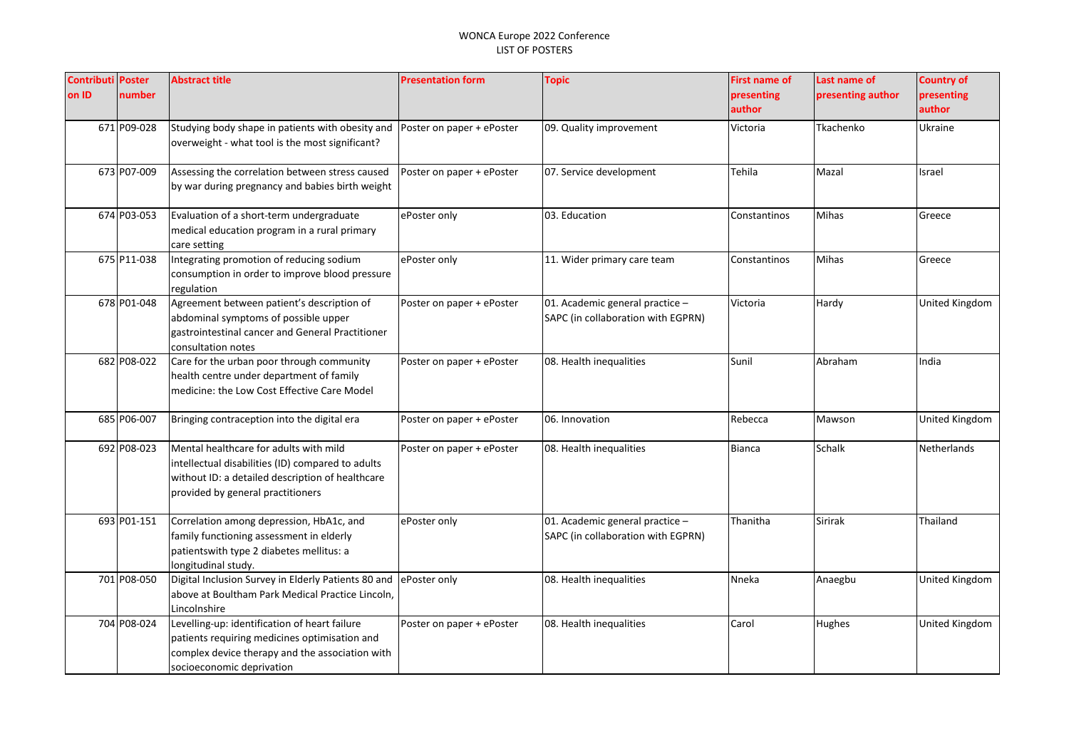| <b>Contributi Poster</b> |             | <b>Abstract title</b>                                                                                 | <b>Presentation form</b>  | <b>Topic</b>                       | <b>First name of</b> | Last name of      | <b>Country of</b>     |
|--------------------------|-------------|-------------------------------------------------------------------------------------------------------|---------------------------|------------------------------------|----------------------|-------------------|-----------------------|
| on ID                    | number      |                                                                                                       |                           |                                    | presenting           | presenting author | presenting            |
|                          |             |                                                                                                       |                           |                                    | author               |                   | author                |
|                          | 671 P09-028 | Studying body shape in patients with obesity and                                                      | Poster on paper + ePoster | 09. Quality improvement            | Victoria             | Tkachenko         | Ukraine               |
|                          |             | overweight - what tool is the most significant?                                                       |                           |                                    |                      |                   |                       |
|                          | 673 P07-009 | Assessing the correlation between stress caused                                                       | Poster on paper + ePoster | 07. Service development            | Tehila               | Mazal             | Israel                |
|                          |             | by war during pregnancy and babies birth weight                                                       |                           |                                    |                      |                   |                       |
|                          | 674 P03-053 | Evaluation of a short-term undergraduate                                                              | ePoster only              | 03. Education                      | Constantinos         | Mihas             | Greece                |
|                          |             | medical education program in a rural primary                                                          |                           |                                    |                      |                   |                       |
|                          |             | care setting                                                                                          |                           |                                    |                      |                   |                       |
|                          | 675 P11-038 | Integrating promotion of reducing sodium<br>consumption in order to improve blood pressure            | ePoster only              | 11. Wider primary care team        | Constantinos         | Mihas             | Greece                |
|                          |             | regulation                                                                                            |                           |                                    |                      |                   |                       |
|                          | 678 P01-048 | Agreement between patient's description of                                                            | Poster on paper + ePoster | 01. Academic general practice -    | Victoria             | Hardy             | <b>United Kingdom</b> |
|                          |             | abdominal symptoms of possible upper                                                                  |                           | SAPC (in collaboration with EGPRN) |                      |                   |                       |
|                          |             | gastrointestinal cancer and General Practitioner                                                      |                           |                                    |                      |                   |                       |
|                          |             | consultation notes                                                                                    |                           |                                    |                      |                   |                       |
|                          | 682 P08-022 | Care for the urban poor through community<br>health centre under department of family                 | Poster on paper + ePoster | 08. Health inequalities            | Sunil                | Abraham           | India                 |
|                          |             | medicine: the Low Cost Effective Care Model                                                           |                           |                                    |                      |                   |                       |
|                          |             |                                                                                                       |                           |                                    |                      |                   |                       |
|                          | 685 P06-007 | Bringing contraception into the digital era                                                           | Poster on paper + ePoster | 06. Innovation                     | Rebecca              | Mawson            | United Kingdom        |
|                          |             |                                                                                                       |                           |                                    |                      |                   |                       |
|                          | 692 P08-023 | Mental healthcare for adults with mild                                                                | Poster on paper + ePoster | 08. Health inequalities            | <b>Bianca</b>        | Schalk            | Netherlands           |
|                          |             | intellectual disabilities (ID) compared to adults<br>without ID: a detailed description of healthcare |                           |                                    |                      |                   |                       |
|                          |             | provided by general practitioners                                                                     |                           |                                    |                      |                   |                       |
|                          |             |                                                                                                       |                           |                                    |                      |                   |                       |
|                          | 693 P01-151 | Correlation among depression, HbA1c, and                                                              | ePoster only              | 01. Academic general practice -    | Thanitha             | <b>Sirirak</b>    | Thailand              |
|                          |             | family functioning assessment in elderly                                                              |                           | SAPC (in collaboration with EGPRN) |                      |                   |                       |
|                          |             | patientswith type 2 diabetes mellitus: a                                                              |                           |                                    |                      |                   |                       |
|                          |             | longitudinal study.                                                                                   |                           |                                    |                      |                   |                       |
|                          | 701 P08-050 | Digital Inclusion Survey in Elderly Patients 80 and                                                   | ePoster only              | 08. Health inequalities            | Nneka                | Anaegbu           | United Kingdom        |
|                          |             | above at Boultham Park Medical Practice Lincoln,<br>Lincolnshire                                      |                           |                                    |                      |                   |                       |
|                          | 704 P08-024 | Levelling-up: identification of heart failure                                                         | Poster on paper + ePoster | 08. Health inequalities            | Carol                | Hughes            | <b>United Kingdom</b> |
|                          |             | patients requiring medicines optimisation and                                                         |                           |                                    |                      |                   |                       |
|                          |             | complex device therapy and the association with                                                       |                           |                                    |                      |                   |                       |
|                          |             | socioeconomic deprivation                                                                             |                           |                                    |                      |                   |                       |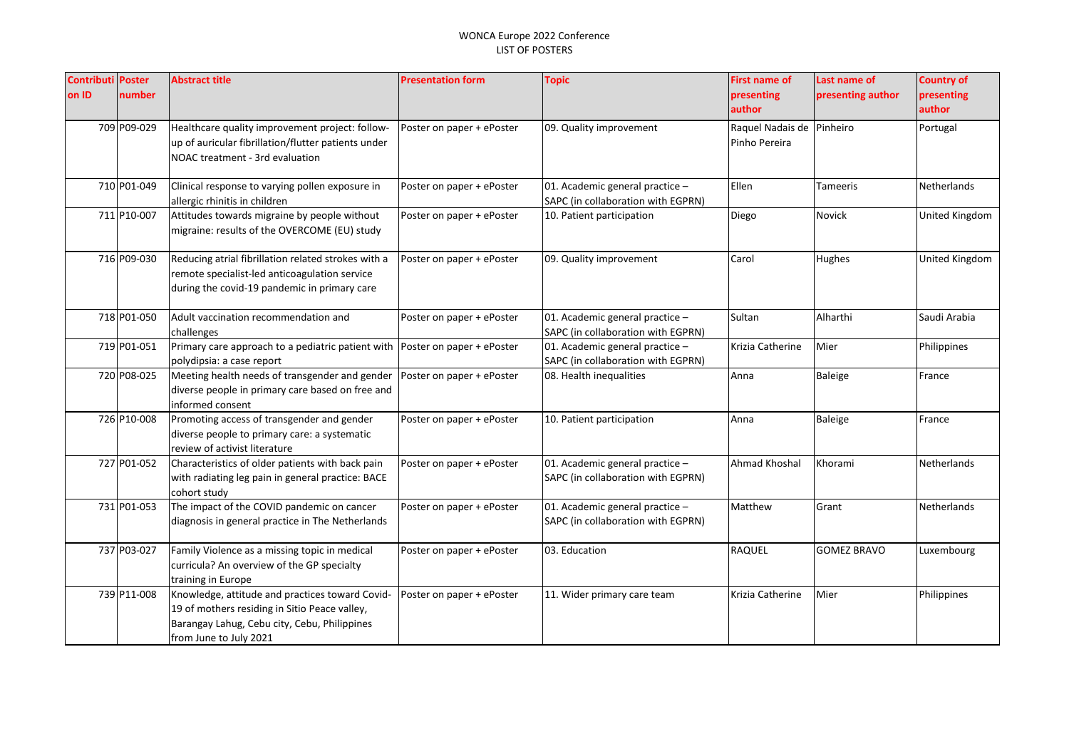| <b>Contributi</b><br>on ID | <b>Poster</b><br>number | <b>Abstract title</b>                                                                                                                                                      | <b>Presentation form</b>  | <b>Topic</b>                                                          | <b>First name of</b><br>presenting         | Last name of<br>presenting author | <b>Country of</b>    |
|----------------------------|-------------------------|----------------------------------------------------------------------------------------------------------------------------------------------------------------------------|---------------------------|-----------------------------------------------------------------------|--------------------------------------------|-----------------------------------|----------------------|
|                            |                         |                                                                                                                                                                            |                           |                                                                       | author                                     |                                   | presenting<br>author |
|                            | 709 P09-029             | Healthcare quality improvement project: follow-<br>up of auricular fibrillation/flutter patients under<br>NOAC treatment - 3rd evaluation                                  | Poster on paper + ePoster | 09. Quality improvement                                               | Raquel Nadais de Pinheiro<br>Pinho Pereira |                                   | Portugal             |
|                            | 710 P01-049             | Clinical response to varying pollen exposure in<br>allergic rhinitis in children                                                                                           | Poster on paper + ePoster | 01. Academic general practice -<br>SAPC (in collaboration with EGPRN) | Ellen                                      | Tameeris                          | Netherlands          |
|                            | 711 P10-007             | Attitudes towards migraine by people without<br>migraine: results of the OVERCOME (EU) study                                                                               | Poster on paper + ePoster | 10. Patient participation                                             | Diego                                      | <b>Novick</b>                     | United Kingdom       |
|                            | 716 P09-030             | Reducing atrial fibrillation related strokes with a<br>remote specialist-led anticoagulation service<br>during the covid-19 pandemic in primary care                       | Poster on paper + ePoster | 09. Quality improvement                                               | Carol                                      | Hughes                            | United Kingdom       |
|                            | 718 P01-050             | Adult vaccination recommendation and<br>challenges                                                                                                                         | Poster on paper + ePoster | 01. Academic general practice -<br>SAPC (in collaboration with EGPRN) | Sultan                                     | Alharthi                          | Saudi Arabia         |
|                            | 719 P01-051             | Primary care approach to a pediatric patient with Poster on paper + ePoster<br>polydipsia: a case report                                                                   |                           | 01. Academic general practice -<br>SAPC (in collaboration with EGPRN) | Krizia Catherine                           | Mier                              | Philippines          |
|                            | 720 P08-025             | Meeting health needs of transgender and gender<br>diverse people in primary care based on free and<br>informed consent                                                     | Poster on paper + ePoster | 08. Health inequalities                                               | Anna                                       | Baleige                           | France               |
|                            | 726 P10-008             | Promoting access of transgender and gender<br>diverse people to primary care: a systematic<br>review of activist literature                                                | Poster on paper + ePoster | 10. Patient participation                                             | Anna                                       | <b>Baleige</b>                    | France               |
|                            | 727 P01-052             | Characteristics of older patients with back pain<br>with radiating leg pain in general practice: BACE<br>cohort study                                                      | Poster on paper + ePoster | 01. Academic general practice -<br>SAPC (in collaboration with EGPRN) | Ahmad Khoshal                              | Khorami                           | Netherlands          |
|                            | 731 P01-053             | The impact of the COVID pandemic on cancer<br>diagnosis in general practice in The Netherlands                                                                             | Poster on paper + ePoster | 01. Academic general practice -<br>SAPC (in collaboration with EGPRN) | Matthew                                    | Grant                             | Netherlands          |
|                            | 737 P03-027             | Family Violence as a missing topic in medical<br>curricula? An overview of the GP specialty<br>training in Europe                                                          | Poster on paper + ePoster | 03. Education                                                         | RAQUEL                                     | <b>GOMEZ BRAVO</b>                | Luxembourg           |
|                            | 739 P11-008             | Knowledge, attitude and practices toward Covid-<br>19 of mothers residing in Sitio Peace valley,<br>Barangay Lahug, Cebu city, Cebu, Philippines<br>from June to July 2021 | Poster on paper + ePoster | 11. Wider primary care team                                           | Krizia Catherine                           | Mier                              | Philippines          |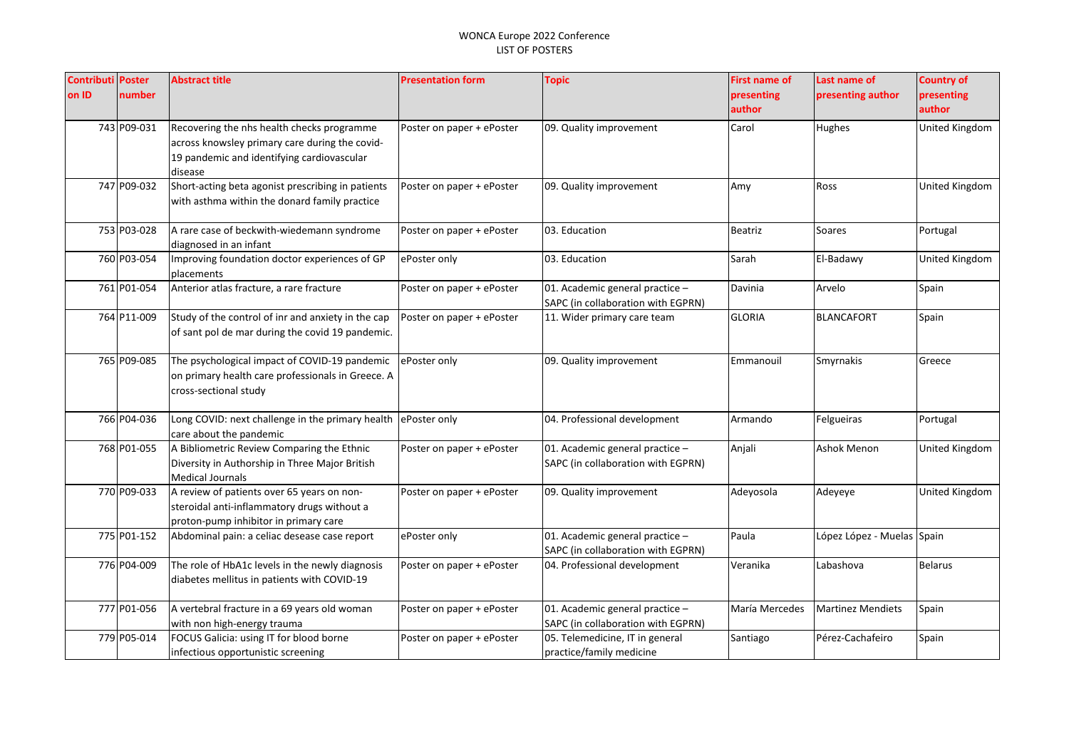| <b>Contributi Poster</b> |             | <b>Abstract title</b>                              | <b>Presentation form</b>  | <b>Topic</b>                                                          | <b>First name of</b> | Last name of               | <b>Country of</b>     |
|--------------------------|-------------|----------------------------------------------------|---------------------------|-----------------------------------------------------------------------|----------------------|----------------------------|-----------------------|
| on ID                    | number      |                                                    |                           |                                                                       | presenting           | presenting author          | presenting            |
|                          |             |                                                    |                           |                                                                       | author               |                            | author                |
|                          | 743 P09-031 | Recovering the nhs health checks programme         | Poster on paper + ePoster | 09. Quality improvement                                               | Carol                | Hughes                     | United Kingdom        |
|                          |             | across knowsley primary care during the covid-     |                           |                                                                       |                      |                            |                       |
|                          |             | 19 pandemic and identifying cardiovascular         |                           |                                                                       |                      |                            |                       |
|                          |             | disease                                            |                           |                                                                       |                      |                            |                       |
|                          | 747 P09-032 | Short-acting beta agonist prescribing in patients  | Poster on paper + ePoster | 09. Quality improvement                                               | Amy                  | Ross                       | <b>United Kingdom</b> |
|                          |             | with asthma within the donard family practice      |                           |                                                                       |                      |                            |                       |
|                          | 753 P03-028 | A rare case of beckwith-wiedemann syndrome         | Poster on paper + ePoster | 03. Education                                                         | Beatriz              | Soares                     | Portugal              |
|                          |             | diagnosed in an infant                             |                           |                                                                       |                      |                            |                       |
|                          | 760 P03-054 | Improving foundation doctor experiences of GP      | ePoster only              | 03. Education                                                         | Sarah                | El-Badawy                  | <b>United Kingdom</b> |
|                          |             | placements                                         |                           |                                                                       |                      |                            |                       |
|                          | 761 P01-054 | Anterior atlas fracture, a rare fracture           | Poster on paper + ePoster | 01. Academic general practice -                                       | Davinia              | Arvelo                     | Spain                 |
|                          |             |                                                    |                           | SAPC (in collaboration with EGPRN)                                    |                      |                            |                       |
|                          | 764 P11-009 | Study of the control of inr and anxiety in the cap | Poster on paper + ePoster | 11. Wider primary care team                                           | <b>GLORIA</b>        | <b>BLANCAFORT</b>          | Spain                 |
|                          |             | of sant pol de mar during the covid 19 pandemic.   |                           |                                                                       |                      |                            |                       |
|                          | 765 P09-085 | The psychological impact of COVID-19 pandemic      | ePoster only              | 09. Quality improvement                                               | Emmanouil            | Smyrnakis                  | Greece                |
|                          |             | on primary health care professionals in Greece. A  |                           |                                                                       |                      |                            |                       |
|                          |             | cross-sectional study                              |                           |                                                                       |                      |                            |                       |
|                          |             |                                                    |                           |                                                                       |                      |                            |                       |
|                          | 766 P04-036 | Long COVID: next challenge in the primary health   | ePoster only              | 04. Professional development                                          | Armando              | Felgueiras                 | Portugal              |
|                          |             | care about the pandemic                            |                           |                                                                       |                      |                            |                       |
|                          | 768 P01-055 | A Bibliometric Review Comparing the Ethnic         | Poster on paper + ePoster | 01. Academic general practice -                                       | Anjali               | <b>Ashok Menon</b>         | United Kingdom        |
|                          |             | Diversity in Authorship in Three Major British     |                           | SAPC (in collaboration with EGPRN)                                    |                      |                            |                       |
|                          |             | <b>Medical Journals</b>                            |                           |                                                                       |                      |                            |                       |
|                          | 770 P09-033 | A review of patients over 65 years on non-         | Poster on paper + ePoster | 09. Quality improvement                                               | Adevosola            | Adeyeye                    | <b>United Kingdom</b> |
|                          |             | steroidal anti-inflammatory drugs without a        |                           |                                                                       |                      |                            |                       |
|                          | 775 P01-152 | proton-pump inhibitor in primary care              |                           |                                                                       | Paula                | López López - Muelas Spain |                       |
|                          |             | Abdominal pain: a celiac desease case report       | ePoster only              | 01. Academic general practice -<br>SAPC (in collaboration with EGPRN) |                      |                            |                       |
|                          | 776 P04-009 | The role of HbA1c levels in the newly diagnosis    | Poster on paper + ePoster | 04. Professional development                                          | Veranika             | Labashova                  | <b>Belarus</b>        |
|                          |             | diabetes mellitus in patients with COVID-19        |                           |                                                                       |                      |                            |                       |
|                          |             |                                                    |                           |                                                                       |                      |                            |                       |
|                          | 777 P01-056 | A vertebral fracture in a 69 years old woman       | Poster on paper + ePoster | 01. Academic general practice -                                       | María Mercedes       | <b>Martinez Mendiets</b>   | Spain                 |
|                          |             | with non high-energy trauma                        |                           | SAPC (in collaboration with EGPRN)                                    |                      |                            |                       |
|                          | 779 P05-014 | FOCUS Galicia: using IT for blood borne            | Poster on paper + ePoster | 05. Telemedicine, IT in general                                       | Santiago             | Pérez-Cachafeiro           | Spain                 |
|                          |             | infectious opportunistic screening                 |                           | practice/family medicine                                              |                      |                            |                       |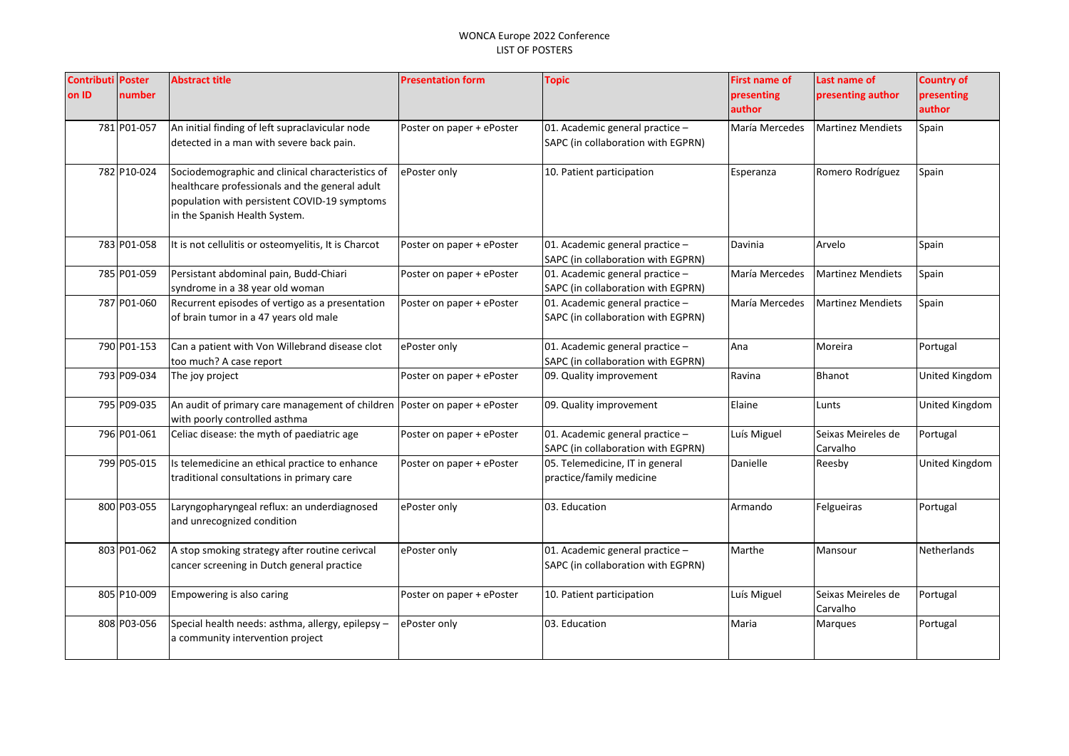| <b>Contributi Poster</b><br>on ID | number      | <b>Abstract title</b>                                                                                                                                                               | <b>Presentation form</b>  | <b>Topic</b>                                                          | <b>First name of</b><br>presenting<br>author | Last name of<br>presenting author | <b>Country of</b><br>presenting<br>author |
|-----------------------------------|-------------|-------------------------------------------------------------------------------------------------------------------------------------------------------------------------------------|---------------------------|-----------------------------------------------------------------------|----------------------------------------------|-----------------------------------|-------------------------------------------|
|                                   | 781 P01-057 | An initial finding of left supraclavicular node<br>detected in a man with severe back pain.                                                                                         | Poster on paper + ePoster | 01. Academic general practice -<br>SAPC (in collaboration with EGPRN) | María Mercedes                               | <b>Martinez Mendiets</b>          | Spain                                     |
|                                   | 782 P10-024 | Sociodemographic and clinical characteristics of<br>healthcare professionals and the general adult<br>population with persistent COVID-19 symptoms<br>in the Spanish Health System. | ePoster only              | 10. Patient participation                                             | Esperanza                                    | Romero Rodríguez                  | Spain                                     |
|                                   | 783 P01-058 | It is not cellulitis or osteomyelitis, It is Charcot                                                                                                                                | Poster on paper + ePoster | 01. Academic general practice -<br>SAPC (in collaboration with EGPRN) | Davinia                                      | Arvelo                            | Spain                                     |
|                                   | 785 P01-059 | Persistant abdominal pain, Budd-Chiari<br>syndrome in a 38 year old woman                                                                                                           | Poster on paper + ePoster | 01. Academic general practice -<br>SAPC (in collaboration with EGPRN) | María Mercedes                               | <b>Martinez Mendiets</b>          | Spain                                     |
|                                   | 787 P01-060 | Recurrent episodes of vertigo as a presentation<br>of brain tumor in a 47 years old male                                                                                            | Poster on paper + ePoster | 01. Academic general practice -<br>SAPC (in collaboration with EGPRN) | María Mercedes                               | <b>Martinez Mendiets</b>          | Spain                                     |
|                                   | 790 P01-153 | Can a patient with Von Willebrand disease clot<br>too much? A case report                                                                                                           | ePoster only              | 01. Academic general practice -<br>SAPC (in collaboration with EGPRN) | Ana                                          | Moreira                           | Portugal                                  |
|                                   | 793 P09-034 | The joy project                                                                                                                                                                     | Poster on paper + ePoster | 09. Quality improvement                                               | Ravina                                       | <b>Bhanot</b>                     | United Kingdom                            |
|                                   | 795 P09-035 | An audit of primary care management of children<br>with poorly controlled asthma                                                                                                    | Poster on paper + ePoster | 09. Quality improvement                                               | Elaine                                       | Lunts                             | United Kingdom                            |
|                                   | 796 P01-061 | Celiac disease: the myth of paediatric age                                                                                                                                          | Poster on paper + ePoster | 01. Academic general practice -<br>SAPC (in collaboration with EGPRN) | Luís Miguel                                  | Seixas Meireles de<br>Carvalho    | Portugal                                  |
|                                   | 799 P05-015 | Is telemedicine an ethical practice to enhance<br>traditional consultations in primary care                                                                                         | Poster on paper + ePoster | 05. Telemedicine, IT in general<br>practice/family medicine           | Danielle                                     | Reesby                            | United Kingdom                            |
|                                   | 800 P03-055 | Laryngopharyngeal reflux: an underdiagnosed<br>and unrecognized condition                                                                                                           | ePoster only              | 03. Education                                                         | Armando                                      | Felgueiras                        | Portugal                                  |
|                                   | 803 P01-062 | A stop smoking strategy after routine cerivcal<br>cancer screening in Dutch general practice                                                                                        | ePoster only              | 01. Academic general practice -<br>SAPC (in collaboration with EGPRN) | Marthe                                       | Mansour                           | <b>Netherlands</b>                        |
|                                   | 805 P10-009 | Empowering is also caring                                                                                                                                                           | Poster on paper + ePoster | 10. Patient participation                                             | Luís Miguel                                  | Seixas Meireles de<br>Carvalho    | Portugal                                  |
|                                   | 808 P03-056 | Special health needs: asthma, allergy, epilepsy -<br>a community intervention project                                                                                               | ePoster only              | 03. Education                                                         | Maria                                        | Marques                           | Portugal                                  |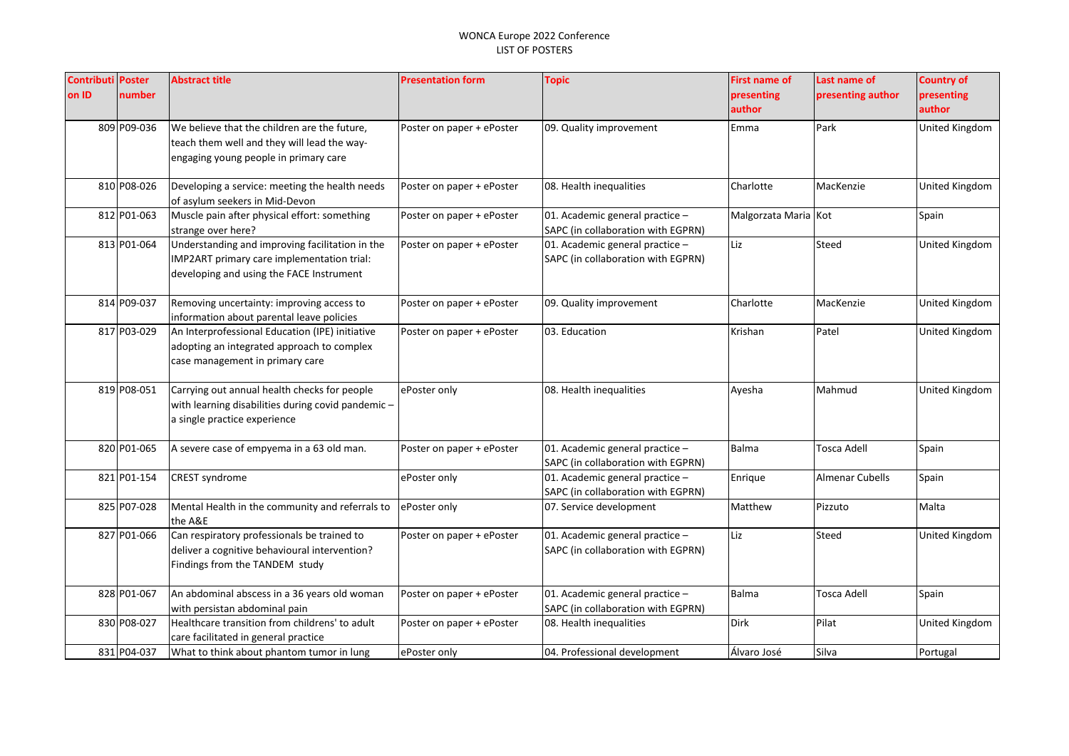| <b>Contributi Poster</b><br>on ID | number      | <b>Abstract title</b>                                                                                                                     | <b>Presentation form</b>  | <b>Topic</b>                                                          | <b>First name of</b><br>presenting<br>author | Last name of<br>presenting author | <b>Country of</b><br>presenting<br>author |
|-----------------------------------|-------------|-------------------------------------------------------------------------------------------------------------------------------------------|---------------------------|-----------------------------------------------------------------------|----------------------------------------------|-----------------------------------|-------------------------------------------|
|                                   | 809 P09-036 | We believe that the children are the future,<br>teach them well and they will lead the way-<br>engaging young people in primary care      | Poster on paper + ePoster | 09. Quality improvement                                               | Emma                                         | Park                              | United Kingdom                            |
|                                   | 810 P08-026 | Developing a service: meeting the health needs<br>of asylum seekers in Mid-Devon                                                          | Poster on paper + ePoster | 08. Health inequalities                                               | Charlotte                                    | MacKenzie                         | United Kingdom                            |
|                                   | 812 P01-063 | Muscle pain after physical effort: something<br>strange over here?                                                                        | Poster on paper + ePoster | 01. Academic general practice -<br>SAPC (in collaboration with EGPRN) | Malgorzata Maria Kot                         |                                   | Spain                                     |
|                                   | 813 P01-064 | Understanding and improving facilitation in the<br>IMP2ART primary care implementation trial:<br>developing and using the FACE Instrument | Poster on paper + ePoster | 01. Academic general practice -<br>SAPC (in collaboration with EGPRN) | Liz                                          | Steed                             | United Kingdom                            |
|                                   | 814 P09-037 | Removing uncertainty: improving access to<br>information about parental leave policies                                                    | Poster on paper + ePoster | 09. Quality improvement                                               | Charlotte                                    | MacKenzie                         | United Kingdom                            |
|                                   | 817 P03-029 | An Interprofessional Education (IPE) initiative<br>adopting an integrated approach to complex<br>case management in primary care          | Poster on paper + ePoster | 03. Education                                                         | Krishan                                      | Patel                             | United Kingdom                            |
|                                   | 819 P08-051 | Carrying out annual health checks for people<br>with learning disabilities during covid pandemic -<br>a single practice experience        | ePoster only              | 08. Health inequalities                                               | Ayesha                                       | Mahmud                            | United Kingdom                            |
|                                   | 820 P01-065 | A severe case of empyema in a 63 old man.                                                                                                 | Poster on paper + ePoster | 01. Academic general practice -<br>SAPC (in collaboration with EGPRN) | <b>Balma</b>                                 | Tosca Adell                       | Spain                                     |
|                                   | 821 P01-154 | CREST syndrome                                                                                                                            | ePoster only              | 01. Academic general practice -<br>SAPC (in collaboration with EGPRN) | Enrique                                      | <b>Almenar Cubells</b>            | Spain                                     |
|                                   | 825 P07-028 | Mental Health in the community and referrals to<br>the A&E                                                                                | ePoster only              | 07. Service development                                               | Matthew                                      | Pizzuto                           | Malta                                     |
|                                   | 827 P01-066 | Can respiratory professionals be trained to<br>deliver a cognitive behavioural intervention?<br>Findings from the TANDEM study            | Poster on paper + ePoster | 01. Academic general practice -<br>SAPC (in collaboration with EGPRN) | Liz                                          | Steed                             | United Kingdom                            |
|                                   | 828 P01-067 | An abdominal abscess in a 36 years old woman<br>with persistan abdominal pain                                                             | Poster on paper + ePoster | 01. Academic general practice -<br>SAPC (in collaboration with EGPRN) | <b>Balma</b>                                 | <b>Tosca Adell</b>                | Spain                                     |
|                                   | 830 P08-027 | Healthcare transition from childrens' to adult<br>care facilitated in general practice                                                    | Poster on paper + ePoster | 08. Health inequalities                                               | <b>Dirk</b>                                  | Pilat                             | United Kingdom                            |
|                                   | 831 P04-037 | What to think about phantom tumor in lung                                                                                                 | ePoster only              | 04. Professional development                                          | Álvaro José                                  | Silva                             | Portugal                                  |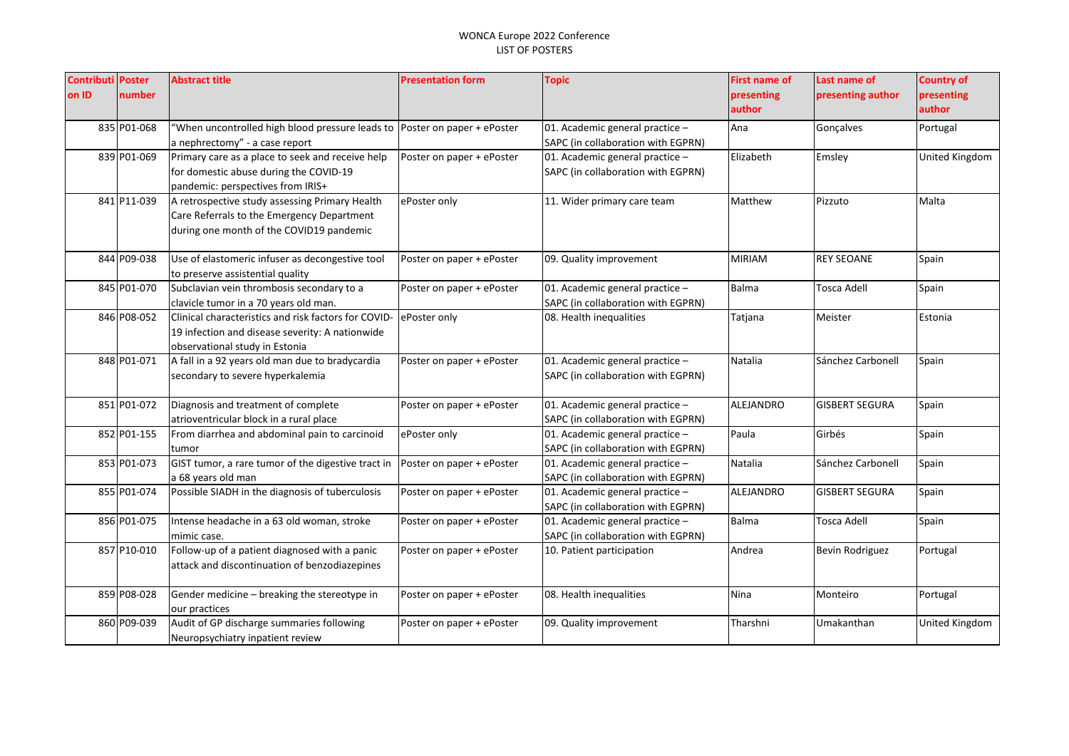| <b>Contributi Poster</b> |             | <b>Abstract title</b>                                | <b>Presentation form</b>  | <b>Topic</b>                       | First name of | Last name of           | <b>Country of</b> |
|--------------------------|-------------|------------------------------------------------------|---------------------------|------------------------------------|---------------|------------------------|-------------------|
| on ID                    | number      |                                                      |                           |                                    | presenting    | presenting author      | presenting        |
|                          |             |                                                      |                           |                                    | author        |                        | author            |
|                          | 835 P01-068 | "When uncontrolled high blood pressure leads to      | Poster on paper + ePoster | 01. Academic general practice -    | Ana           | Goncalves              | Portugal          |
|                          |             | a nephrectomy" - a case report                       |                           | SAPC (in collaboration with EGPRN) |               |                        |                   |
|                          | 839 P01-069 | Primary care as a place to seek and receive help     | Poster on paper + ePoster | 01. Academic general practice $-$  | Elizabeth     | Emsley                 | United Kingdom    |
|                          |             | for domestic abuse during the COVID-19               |                           | SAPC (in collaboration with EGPRN) |               |                        |                   |
|                          |             | pandemic: perspectives from IRIS+                    |                           |                                    |               |                        |                   |
|                          | 841 P11-039 | A retrospective study assessing Primary Health       | ePoster only              | 11. Wider primary care team        | Matthew       | Pizzuto                | Malta             |
|                          |             | Care Referrals to the Emergency Department           |                           |                                    |               |                        |                   |
|                          |             | during one month of the COVID19 pandemic             |                           |                                    |               |                        |                   |
|                          | 844 P09-038 | Use of elastomeric infuser as decongestive tool      | Poster on paper + ePoster | 09. Quality improvement            | <b>MIRIAM</b> | <b>REY SEOANE</b>      | Spain             |
|                          |             | to preserve assistential quality                     |                           |                                    |               |                        |                   |
|                          | 845 P01-070 | Subclavian vein thrombosis secondary to a            | Poster on paper + ePoster | 01. Academic general practice -    | <b>Balma</b>  | <b>Tosca Adell</b>     | Spain             |
|                          |             | clavicle tumor in a 70 years old man.                |                           | SAPC (in collaboration with EGPRN) |               |                        |                   |
|                          | 846 P08-052 | Clinical characteristics and risk factors for COVID- | ePoster only              | 08. Health inequalities            | Tatjana       | Meister                | Estonia           |
|                          |             | 19 infection and disease severity: A nationwide      |                           |                                    |               |                        |                   |
|                          |             | observational study in Estonia                       |                           |                                    |               |                        |                   |
|                          | 848 P01-071 | A fall in a 92 years old man due to bradycardia      | Poster on paper + ePoster | 01. Academic general practice -    | Natalia       | Sánchez Carbonell      | Spain             |
|                          |             | secondary to severe hyperkalemia                     |                           | SAPC (in collaboration with EGPRN) |               |                        |                   |
|                          | 851 P01-072 | Diagnosis and treatment of complete                  | Poster on paper + ePoster | 01. Academic general practice -    | ALEJANDRO     | <b>GISBERT SEGURA</b>  | Spain             |
|                          |             | atrioventricular block in a rural place              |                           | SAPC (in collaboration with EGPRN) |               |                        |                   |
|                          | 852 P01-155 | From diarrhea and abdominal pain to carcinoid        | ePoster only              | 01. Academic general practice -    | Paula         | Girbés                 | Spain             |
|                          |             | tumor                                                |                           | SAPC (in collaboration with EGPRN) |               |                        |                   |
|                          | 853 P01-073 | GIST tumor, a rare tumor of the digestive tract in   | Poster on paper + ePoster | 01. Academic general practice -    | Natalia       | Sánchez Carbonell      | Spain             |
|                          |             | a 68 years old man                                   |                           | SAPC (in collaboration with EGPRN) |               |                        |                   |
|                          | 855 P01-074 | Possible SIADH in the diagnosis of tuberculosis      | Poster on paper + ePoster | 01. Academic general practice -    | ALEJANDRO     | <b>GISBERT SEGURA</b>  | Spain             |
|                          |             |                                                      |                           | SAPC (in collaboration with EGPRN) |               |                        |                   |
|                          | 856 P01-075 | Intense headache in a 63 old woman, stroke           | Poster on paper + ePoster | 01. Academic general practice -    | Balma         | Tosca Adell            | Spain             |
|                          |             | mimic case.                                          |                           | SAPC (in collaboration with EGPRN) |               |                        |                   |
|                          | 857 P10-010 | Follow-up of a patient diagnosed with a panic        | Poster on paper + ePoster | 10. Patient participation          | Andrea        | <b>Bevin Rodriguez</b> | Portugal          |
|                          |             | attack and discontinuation of benzodiazepines        |                           |                                    |               |                        |                   |
|                          | 859 P08-028 | Gender medicine - breaking the stereotype in         | Poster on paper + ePoster | 08. Health inequalities            | Nina          | Monteiro               | Portugal          |
|                          |             | our practices                                        |                           |                                    |               |                        |                   |
|                          | 860 P09-039 | Audit of GP discharge summaries following            | Poster on paper + ePoster | 09. Quality improvement            | Tharshni      | Umakanthan             | United Kingdom    |
|                          |             | Neuropsychiatry inpatient review                     |                           |                                    |               |                        |                   |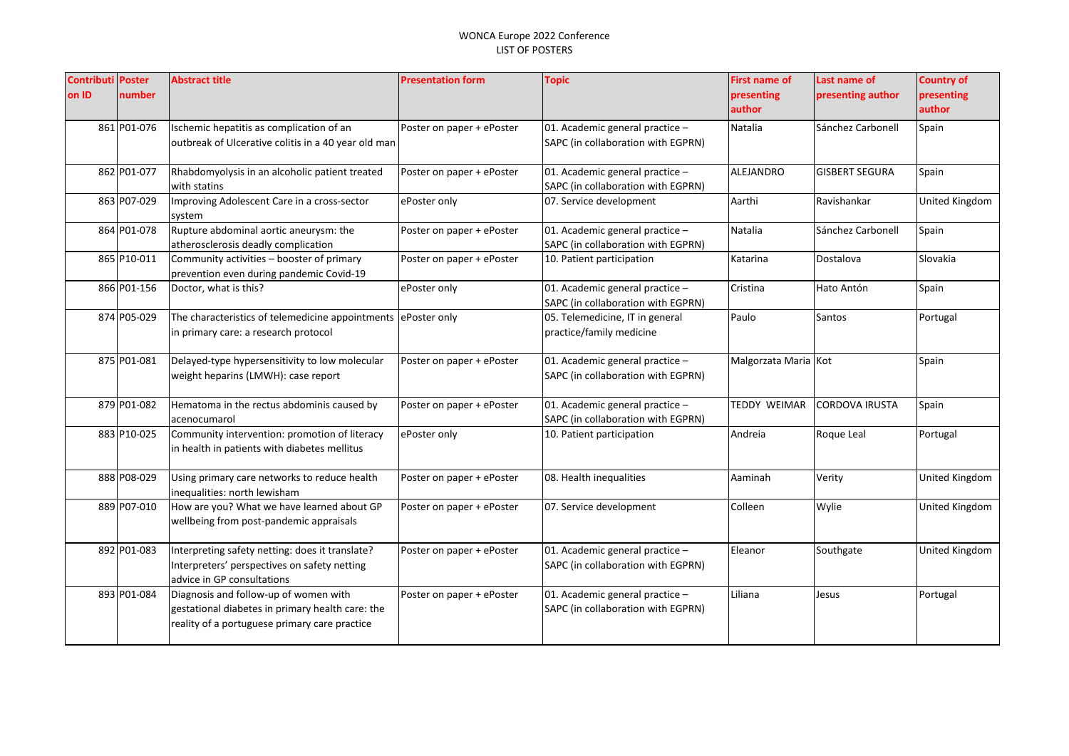| <b>Contributi</b><br>on ID | <b>Poster</b><br>number | <b>Abstract title</b>                                                                                                                      | <b>Presentation form</b>  | <b>Topic</b>                                                          | <b>First name of</b><br>presenting<br>author | Last name of<br>presenting author | <b>Country of</b><br>presenting<br>author |
|----------------------------|-------------------------|--------------------------------------------------------------------------------------------------------------------------------------------|---------------------------|-----------------------------------------------------------------------|----------------------------------------------|-----------------------------------|-------------------------------------------|
|                            | 861 P01-076             | Ischemic hepatitis as complication of an<br>outbreak of Ulcerative colitis in a 40 year old man                                            | Poster on paper + ePoster | 01. Academic general practice -<br>SAPC (in collaboration with EGPRN) | Natalia                                      | Sánchez Carbonell                 | Spain                                     |
|                            | 862 P01-077             | Rhabdomyolysis in an alcoholic patient treated<br>with statins                                                                             | Poster on paper + ePoster | 01. Academic general practice -<br>SAPC (in collaboration with EGPRN) | ALEJANDRO                                    | <b>GISBERT SEGURA</b>             | Spain                                     |
|                            | 863 P07-029             | Improving Adolescent Care in a cross-sector<br>system                                                                                      | ePoster only              | 07. Service development                                               | Aarthi                                       | Ravishankar                       | United Kingdom                            |
|                            | 864 P01-078             | Rupture abdominal aortic aneurysm: the<br>atherosclerosis deadly complication                                                              | Poster on paper + ePoster | 01. Academic general practice -<br>SAPC (in collaboration with EGPRN) | <b>Natalia</b>                               | Sánchez Carbonell                 | Spain                                     |
|                            | 865 P10-011             | Community activities - booster of primary<br>prevention even during pandemic Covid-19                                                      | Poster on paper + ePoster | 10. Patient participation                                             | Katarina                                     | Dostalova                         | Slovakia                                  |
|                            | 866 P01-156             | Doctor, what is this?                                                                                                                      | ePoster only              | 01. Academic general practice -<br>SAPC (in collaboration with EGPRN) | Cristina                                     | Hato Antón                        | Spain                                     |
|                            | 874 P05-029             | The characteristics of telemedicine appointments<br>in primary care: a research protocol                                                   | ePoster only              | 05. Telemedicine, IT in general<br>practice/family medicine           | Paulo                                        | Santos                            | Portugal                                  |
|                            | 875 P01-081             | Delayed-type hypersensitivity to low molecular<br>weight heparins (LMWH): case report                                                      | Poster on paper + ePoster | 01. Academic general practice -<br>SAPC (in collaboration with EGPRN) | Malgorzata Maria Kot                         |                                   | Spain                                     |
|                            | 879 P01-082             | Hematoma in the rectus abdominis caused by<br>acenocumarol                                                                                 | Poster on paper + ePoster | 01. Academic general practice -<br>SAPC (in collaboration with EGPRN) | TEDDY WEIMAR                                 | <b>CORDOVA IRUSTA</b>             | Spain                                     |
|                            | 883 P10-025             | Community intervention: promotion of literacy<br>in health in patients with diabetes mellitus                                              | ePoster only              | 10. Patient participation                                             | Andreia                                      | Roque Leal                        | Portugal                                  |
|                            | 888 P08-029             | Using primary care networks to reduce health<br>inequalities: north lewisham                                                               | Poster on paper + ePoster | 08. Health inequalities                                               | Aaminah                                      | Verity                            | United Kingdom                            |
|                            | 889 P07-010             | How are you? What we have learned about GP<br>wellbeing from post-pandemic appraisals                                                      | Poster on paper + ePoster | 07. Service development                                               | Colleen                                      | Wylie                             | United Kingdom                            |
|                            | 892 P01-083             | Interpreting safety netting: does it translate?<br>Interpreters' perspectives on safety netting<br>advice in GP consultations              | Poster on paper + ePoster | 01. Academic general practice -<br>SAPC (in collaboration with EGPRN) | Eleanor                                      | Southgate                         | United Kingdom                            |
|                            | 893 P01-084             | Diagnosis and follow-up of women with<br>gestational diabetes in primary health care: the<br>reality of a portuguese primary care practice | Poster on paper + ePoster | 01. Academic general practice -<br>SAPC (in collaboration with EGPRN) | Liliana                                      | Jesus                             | Portugal                                  |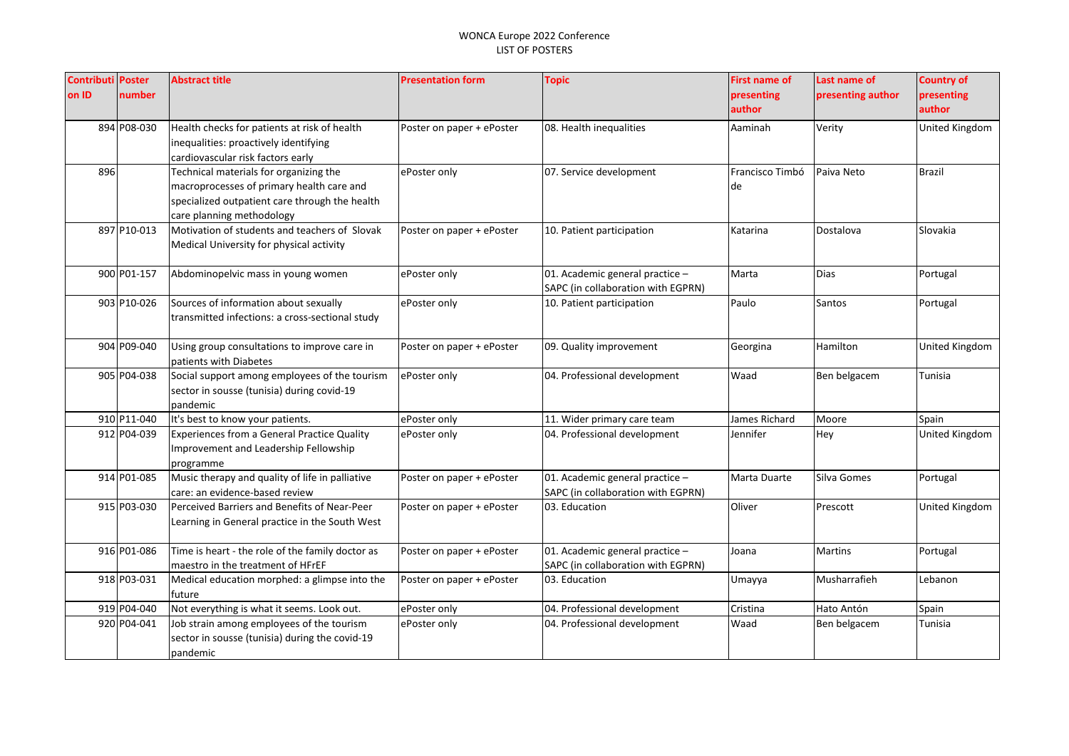| <b>Contributi Poster</b><br>on ID | number      | Abstract title                                                                                                                                                     | <b>Presentation form</b>  | <b>Topic</b>                                                            | <b>First name of</b><br>presenting<br>author | Last name of<br>presenting author | <b>Country of</b><br>presenting<br>author |
|-----------------------------------|-------------|--------------------------------------------------------------------------------------------------------------------------------------------------------------------|---------------------------|-------------------------------------------------------------------------|----------------------------------------------|-----------------------------------|-------------------------------------------|
|                                   | 894 P08-030 | Health checks for patients at risk of health<br>inequalities: proactively identifying<br>cardiovascular risk factors early                                         | Poster on paper + ePoster | 08. Health inequalities                                                 | Aaminah                                      | Verity                            | United Kingdom                            |
| 896                               |             | Technical materials for organizing the<br>macroprocesses of primary health care and<br>specialized outpatient care through the health<br>care planning methodology | ePoster only              | 07. Service development                                                 | Francisco Timbó<br>de                        | Paiva Neto                        | Brazil                                    |
|                                   | 897 P10-013 | Motivation of students and teachers of Slovak<br>Medical University for physical activity                                                                          | Poster on paper + ePoster | 10. Patient participation                                               | Katarina                                     | Dostalova                         | Slovakia                                  |
|                                   | 900 P01-157 | Abdominopelvic mass in young women                                                                                                                                 | ePoster only              | 01. Academic general practice $-$<br>SAPC (in collaboration with EGPRN) | Marta                                        | <b>Dias</b>                       | Portugal                                  |
|                                   | 903 P10-026 | Sources of information about sexually<br>transmitted infections: a cross-sectional study                                                                           | ePoster only              | 10. Patient participation                                               | Paulo                                        | Santos                            | Portugal                                  |
|                                   | 904 P09-040 | Using group consultations to improve care in<br>patients with Diabetes                                                                                             | Poster on paper + ePoster | 09. Quality improvement                                                 | Georgina                                     | Hamilton                          | United Kingdom                            |
|                                   | 905 P04-038 | Social support among employees of the tourism<br>sector in sousse (tunisia) during covid-19<br>pandemic                                                            | ePoster only              | 04. Professional development                                            | Waad                                         | Ben belgacem                      | Tunisia                                   |
|                                   | 910 P11-040 | It's best to know your patients.                                                                                                                                   | ePoster only              | 11. Wider primary care team                                             | James Richard                                | Moore                             | Spain                                     |
|                                   | 912 P04-039 | Experiences from a General Practice Quality<br>Improvement and Leadership Fellowship<br>programme                                                                  | ePoster only              | 04. Professional development                                            | Jennifer                                     | Hey                               | United Kingdom                            |
|                                   | 914 P01-085 | Music therapy and quality of life in palliative<br>care: an evidence-based review                                                                                  | Poster on paper + ePoster | 01. Academic general practice -<br>SAPC (in collaboration with EGPRN)   | Marta Duarte                                 | Silva Gomes                       | Portugal                                  |
|                                   | 915 P03-030 | Perceived Barriers and Benefits of Near-Peer<br>Learning in General practice in the South West                                                                     | Poster on paper + ePoster | 03. Education                                                           | Oliver                                       | Prescott                          | United Kingdom                            |
|                                   | 916 P01-086 | Time is heart - the role of the family doctor as<br>maestro in the treatment of HFrEF                                                                              | Poster on paper + ePoster | 01. Academic general practice -<br>SAPC (in collaboration with EGPRN)   | Joana                                        | <b>Martins</b>                    | Portugal                                  |
|                                   | 918 P03-031 | Medical education morphed: a glimpse into the<br>future                                                                                                            | Poster on paper + ePoster | 03. Education                                                           | Umayya                                       | Musharrafieh                      | Lebanon                                   |
|                                   | 919 P04-040 | Not everything is what it seems. Look out.                                                                                                                         | ePoster only              | 04. Professional development                                            | Cristina                                     | Hato Antón                        | Spain                                     |
|                                   | 920 P04-041 | Job strain among employees of the tourism<br>sector in sousse (tunisia) during the covid-19<br>pandemic                                                            | ePoster only              | 04. Professional development                                            | Waad                                         | Ben belgacem                      | Tunisia                                   |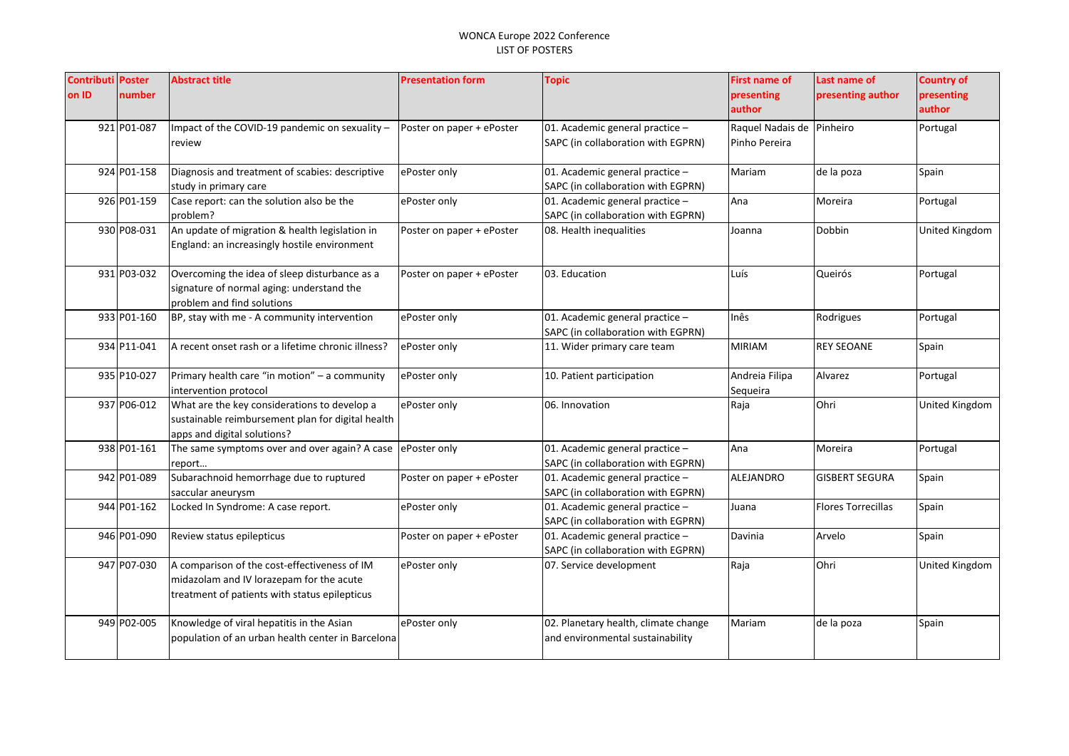| <b>Contributi Poster</b><br>on ID | number      | <b>Abstract title</b>                                                                                                                     | <b>Presentation form</b>  | <b>Topic</b>                                                             | <b>First name of</b><br>presenting<br>author | Last name of<br>presenting author | <b>Country of</b><br>presenting<br>author |
|-----------------------------------|-------------|-------------------------------------------------------------------------------------------------------------------------------------------|---------------------------|--------------------------------------------------------------------------|----------------------------------------------|-----------------------------------|-------------------------------------------|
|                                   | 921 P01-087 | Impact of the COVID-19 pandemic on sexuality -<br>review                                                                                  | Poster on paper + ePoster | 01. Academic general practice -<br>SAPC (in collaboration with EGPRN)    | Raquel Nadais de Pinheiro<br>Pinho Pereira   |                                   | Portugal                                  |
|                                   | 924 P01-158 | Diagnosis and treatment of scabies: descriptive<br>study in primary care                                                                  | ePoster only              | 01. Academic general practice -<br>SAPC (in collaboration with EGPRN)    | Mariam                                       | de la poza                        | Spain                                     |
|                                   | 926 P01-159 | Case report: can the solution also be the<br>problem?                                                                                     | ePoster only              | 01. Academic general practice -<br>SAPC (in collaboration with EGPRN)    | Ana                                          | Moreira                           | Portugal                                  |
|                                   | 930 P08-031 | An update of migration & health legislation in<br>England: an increasingly hostile environment                                            | Poster on paper + ePoster | 08. Health inequalities                                                  | Joanna                                       | Dobbin                            | United Kingdom                            |
|                                   | 931 P03-032 | Overcoming the idea of sleep disturbance as a<br>signature of normal aging: understand the<br>problem and find solutions                  | Poster on paper + ePoster | 03. Education                                                            | Luís                                         | Queirós                           | Portugal                                  |
|                                   | 933 P01-160 | BP, stay with me - A community intervention                                                                                               | ePoster only              | 01. Academic general practice -<br>SAPC (in collaboration with EGPRN)    | Inês                                         | Rodrigues                         | Portugal                                  |
|                                   | 934 P11-041 | A recent onset rash or a lifetime chronic illness?                                                                                        | ePoster only              | 11. Wider primary care team                                              | <b>MIRIAM</b>                                | <b>REY SEOANE</b>                 | Spain                                     |
|                                   | 935 P10-027 | Primary health care "in motion" - a community<br>intervention protocol                                                                    | ePoster only              | 10. Patient participation                                                | Andreia Filipa<br>Sequeira                   | Alvarez                           | Portugal                                  |
|                                   | 937 P06-012 | What are the key considerations to develop a<br>sustainable reimbursement plan for digital health<br>apps and digital solutions?          | ePoster only              | 06. Innovation                                                           | Raja                                         | Ohri                              | United Kingdom                            |
|                                   | 938 P01-161 | The same symptoms over and over again? A case<br>report                                                                                   | ePoster only              | 01. Academic general practice -<br>SAPC (in collaboration with EGPRN)    | Ana                                          | Moreira                           | Portugal                                  |
|                                   | 942 P01-089 | Subarachnoid hemorrhage due to ruptured<br>saccular aneurysm                                                                              | Poster on paper + ePoster | 01. Academic general practice -<br>SAPC (in collaboration with EGPRN)    | ALEJANDRO                                    | <b>GISBERT SEGURA</b>             | Spain                                     |
|                                   | 944 P01-162 | Locked In Syndrome: A case report.                                                                                                        | ePoster only              | 01. Academic general practice -<br>SAPC (in collaboration with EGPRN)    | Juana                                        | <b>Flores Torrecillas</b>         | Spain                                     |
|                                   | 946 P01-090 | Review status epilepticus                                                                                                                 | Poster on paper + ePoster | 01. Academic general practice -<br>SAPC (in collaboration with EGPRN)    | Davinia                                      | Arvelo                            | Spain                                     |
|                                   | 947 P07-030 | A comparison of the cost-effectiveness of IM<br>midazolam and IV lorazepam for the acute<br>treatment of patients with status epilepticus | ePoster only              | 07. Service development                                                  | Raja                                         | Ohri                              | United Kingdom                            |
|                                   | 949 P02-005 | Knowledge of viral hepatitis in the Asian<br>population of an urban health center in Barcelona                                            | ePoster only              | 02. Planetary health, climate change<br>and environmental sustainability | Mariam                                       | de la poza                        | Spain                                     |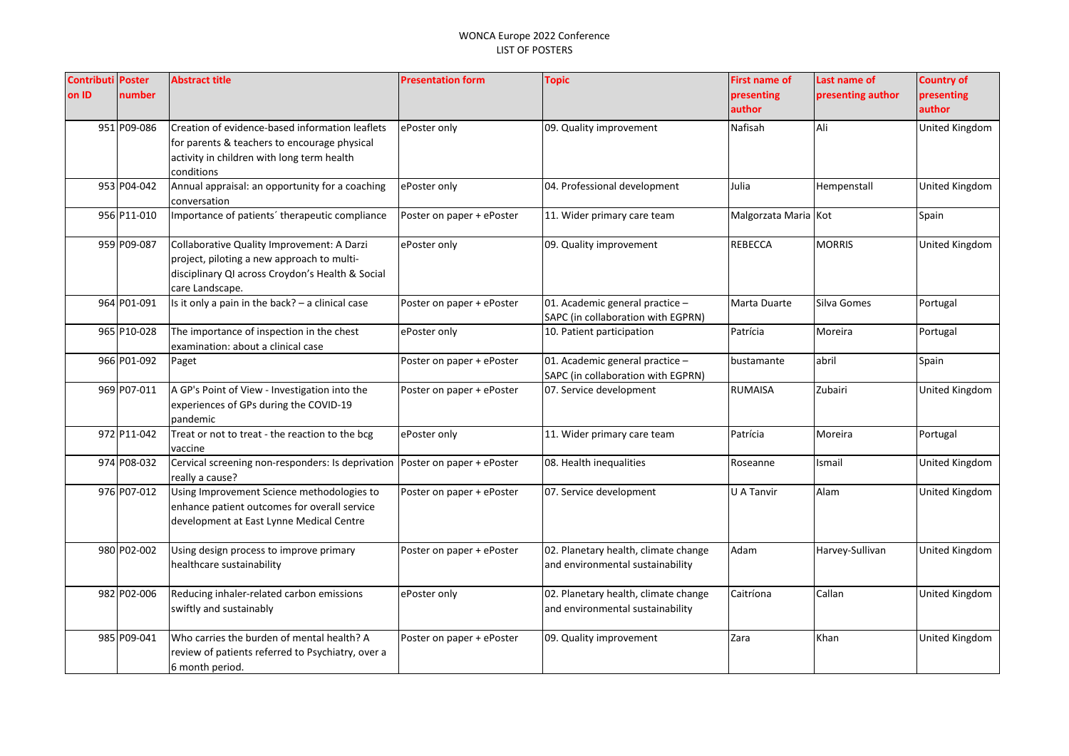| <b>Contributi Poster</b> |             | <b>Abstract title</b>                             | <b>Presentation form</b>  | <b>Topic</b>                         | <b>First name of</b> | Last name of      | <b>Country of</b>     |
|--------------------------|-------------|---------------------------------------------------|---------------------------|--------------------------------------|----------------------|-------------------|-----------------------|
| on ID                    | number      |                                                   |                           |                                      | presenting           | presenting author | presenting            |
|                          |             |                                                   |                           |                                      | author               |                   | author                |
|                          | 951 P09-086 | Creation of evidence-based information leaflets   | ePoster only              | 09. Quality improvement              | Nafisah              | Ali               | United Kingdom        |
|                          |             | for parents & teachers to encourage physical      |                           |                                      |                      |                   |                       |
|                          |             | activity in children with long term health        |                           |                                      |                      |                   |                       |
|                          |             | conditions                                        |                           |                                      |                      |                   |                       |
|                          | 953 P04-042 | Annual appraisal: an opportunity for a coaching   | ePoster only              | 04. Professional development         | Julia                | Hempenstall       | United Kingdom        |
|                          |             | conversation                                      |                           |                                      |                      |                   |                       |
|                          | 956 P11-010 | Importance of patients' therapeutic compliance    | Poster on paper + ePoster | 11. Wider primary care team          | Malgorzata Maria Kot |                   | Spain                 |
|                          | 959 P09-087 | Collaborative Quality Improvement: A Darzi        | ePoster only              | 09. Quality improvement              | <b>REBECCA</b>       | <b>MORRIS</b>     | United Kingdom        |
|                          |             | project, piloting a new approach to multi-        |                           |                                      |                      |                   |                       |
|                          |             | disciplinary QI across Croydon's Health & Social  |                           |                                      |                      |                   |                       |
|                          |             | care Landscape.                                   |                           |                                      |                      |                   |                       |
|                          | 964 P01-091 | Is it only a pain in the back? - a clinical case  | Poster on paper + ePoster | 01. Academic general practice -      | Marta Duarte         | Silva Gomes       | Portugal              |
|                          |             |                                                   |                           | SAPC (in collaboration with EGPRN)   |                      |                   |                       |
|                          | 965 P10-028 | The importance of inspection in the chest         | ePoster only              | 10. Patient participation            | Patrícia             | Moreira           | Portugal              |
|                          |             | examination: about a clinical case                |                           |                                      |                      |                   |                       |
|                          | 966 P01-092 | Paget                                             | Poster on paper + ePoster | 01. Academic general practice -      | bustamante           | abril             | Spain                 |
|                          |             |                                                   |                           | SAPC (in collaboration with EGPRN)   |                      |                   |                       |
|                          | 969 P07-011 | A GP's Point of View - Investigation into the     | Poster on paper + ePoster | 07. Service development              | <b>RUMAISA</b>       | Zubairi           | <b>United Kingdom</b> |
|                          |             | experiences of GPs during the COVID-19            |                           |                                      |                      |                   |                       |
|                          |             | pandemic                                          |                           |                                      |                      |                   |                       |
|                          | 972 P11-042 | Treat or not to treat - the reaction to the bcg   | ePoster only              | 11. Wider primary care team          | Patrícia             | Moreira           | Portugal              |
|                          |             | vaccine                                           |                           |                                      |                      |                   |                       |
|                          | 974 P08-032 | Cervical screening non-responders: Is deprivation | Poster on paper + ePoster | 08. Health inequalities              | Roseanne             | Ismail            | United Kingdom        |
|                          |             | really a cause?                                   |                           |                                      |                      |                   |                       |
|                          | 976 P07-012 | Using Improvement Science methodologies to        | Poster on paper + ePoster | 07. Service development              | U A Tanvir           | Alam              | United Kingdom        |
|                          |             | enhance patient outcomes for overall service      |                           |                                      |                      |                   |                       |
|                          |             | development at East Lynne Medical Centre          |                           |                                      |                      |                   |                       |
|                          | 980 P02-002 | Using design process to improve primary           | Poster on paper + ePoster | 02. Planetary health, climate change | Adam                 | Harvey-Sullivan   | United Kingdom        |
|                          |             | healthcare sustainability                         |                           | and environmental sustainability     |                      |                   |                       |
|                          |             |                                                   |                           |                                      |                      |                   |                       |
|                          | 982 P02-006 | Reducing inhaler-related carbon emissions         | ePoster only              | 02. Planetary health, climate change | Caitríona            | Callan            | United Kingdom        |
|                          |             | swiftly and sustainably                           |                           | and environmental sustainability     |                      |                   |                       |
|                          |             |                                                   |                           |                                      |                      |                   |                       |
|                          | 985 P09-041 | Who carries the burden of mental health? A        | Poster on paper + ePoster | 09. Quality improvement              | Zara                 | Khan              | <b>United Kingdom</b> |
|                          |             | review of patients referred to Psychiatry, over a |                           |                                      |                      |                   |                       |
|                          |             | 6 month period.                                   |                           |                                      |                      |                   |                       |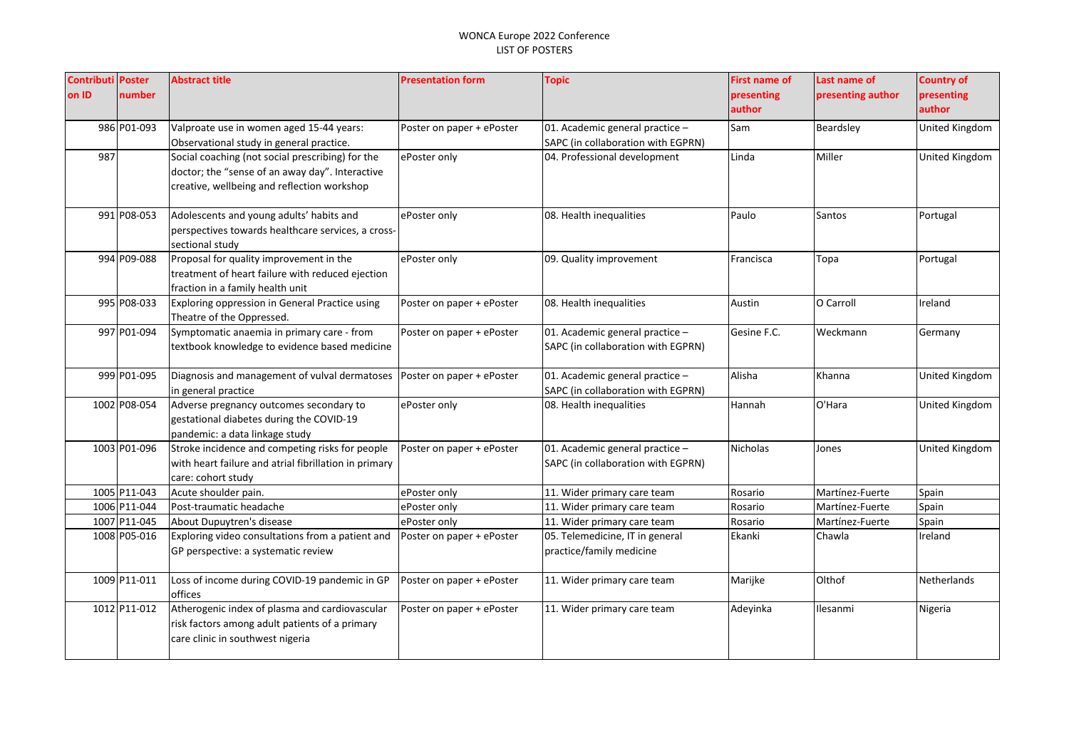| <b>Contributi Poster</b> |              | <b>Abstract title</b>                                 | <b>Presentation form</b>  | <b>Topic</b>                       | <b>First name of</b> | Last name of      | <b>Country of</b>  |
|--------------------------|--------------|-------------------------------------------------------|---------------------------|------------------------------------|----------------------|-------------------|--------------------|
| on ID                    | number       |                                                       |                           |                                    | presenting           | presenting author | presenting         |
|                          |              |                                                       |                           |                                    | author               |                   | author             |
|                          | 986 P01-093  | Valproate use in women aged 15-44 years:              | Poster on paper + ePoster | 01. Academic general practice -    | Sam                  | Beardsley         | United Kingdom     |
|                          |              | Observational study in general practice.              |                           | SAPC (in collaboration with EGPRN) |                      |                   |                    |
| 987                      |              | Social coaching (not social prescribing) for the      | ePoster only              | 04. Professional development       | Linda                | Miller            | United Kingdom     |
|                          |              | doctor; the "sense of an away day". Interactive       |                           |                                    |                      |                   |                    |
|                          |              | creative, wellbeing and reflection workshop           |                           |                                    |                      |                   |                    |
|                          | 991 P08-053  | Adolescents and young adults' habits and              | ePoster only              | 08. Health inequalities            | Paulo                | Santos            | Portugal           |
|                          |              | perspectives towards healthcare services, a cross-    |                           |                                    |                      |                   |                    |
|                          |              | sectional study                                       |                           |                                    |                      |                   |                    |
|                          | 994 P09-088  | Proposal for quality improvement in the               | ePoster only              | 09. Quality improvement            | Francisca            | Topa              | Portugal           |
|                          |              | treatment of heart failure with reduced ejection      |                           |                                    |                      |                   |                    |
|                          |              | fraction in a family health unit                      |                           |                                    |                      |                   |                    |
|                          | 995 P08-033  | Exploring oppression in General Practice using        | Poster on paper + ePoster | 08. Health inequalities            | Austin               | O Carroll         | Ireland            |
|                          |              | Theatre of the Oppressed.                             |                           |                                    |                      |                   |                    |
|                          | 997 P01-094  | Symptomatic anaemia in primary care - from            | Poster on paper + ePoster | 01. Academic general practice -    | Gesine F.C.          | Weckmann          | Germany            |
|                          |              | textbook knowledge to evidence based medicine         |                           | SAPC (in collaboration with EGPRN) |                      |                   |                    |
|                          |              |                                                       |                           |                                    |                      |                   |                    |
|                          | 999 P01-095  | Diagnosis and management of vulval dermatoses         | Poster on paper + ePoster | 01. Academic general practice -    | Alisha               | Khanna            | United Kingdom     |
|                          |              | in general practice                                   |                           | SAPC (in collaboration with EGPRN) |                      |                   |                    |
|                          | 1002 P08-054 | Adverse pregnancy outcomes secondary to               | ePoster only              | 08. Health inequalities            | Hannah               | O'Hara            | United Kingdom     |
|                          |              | gestational diabetes during the COVID-19              |                           |                                    |                      |                   |                    |
|                          |              | pandemic: a data linkage study                        |                           |                                    |                      |                   |                    |
|                          | 1003 P01-096 | Stroke incidence and competing risks for people       | Poster on paper + ePoster | 01. Academic general practice -    | Nicholas             | Jones             | United Kingdom     |
|                          |              | with heart failure and atrial fibrillation in primary |                           | SAPC (in collaboration with EGPRN) |                      |                   |                    |
|                          |              | care: cohort study                                    |                           |                                    |                      |                   |                    |
|                          | 1005 P11-043 | Acute shoulder pain.                                  | ePoster only              | 11. Wider primary care team        | Rosario              | Martínez-Fuerte   | Spain              |
|                          | 1006 P11-044 | Post-traumatic headache                               | ePoster only              | 11. Wider primary care team        | Rosario              | Martínez-Fuerte   | Spain              |
|                          | 1007 P11-045 | About Dupuytren's disease                             | ePoster only              | 11. Wider primary care team        | Rosario              | Martínez-Fuerte   | Spain              |
|                          | 1008 P05-016 | Exploring video consultations from a patient and      | Poster on paper + ePoster | 05. Telemedicine, IT in general    | Ekanki               | Chawla            | Ireland            |
|                          |              | GP perspective: a systematic review                   |                           | practice/family medicine           |                      |                   |                    |
|                          | 1009 P11-011 | Loss of income during COVID-19 pandemic in GP         | Poster on paper + ePoster | 11. Wider primary care team        | Marijke              | Olthof            | <b>Netherlands</b> |
|                          |              | offices                                               |                           |                                    |                      |                   |                    |
|                          | 1012 P11-012 | Atherogenic index of plasma and cardiovascular        | Poster on paper + ePoster | 11. Wider primary care team        | Adeyinka             | Ilesanmi          | Nigeria            |
|                          |              | risk factors among adult patients of a primary        |                           |                                    |                      |                   |                    |
|                          |              | care clinic in southwest nigeria                      |                           |                                    |                      |                   |                    |
|                          |              |                                                       |                           |                                    |                      |                   |                    |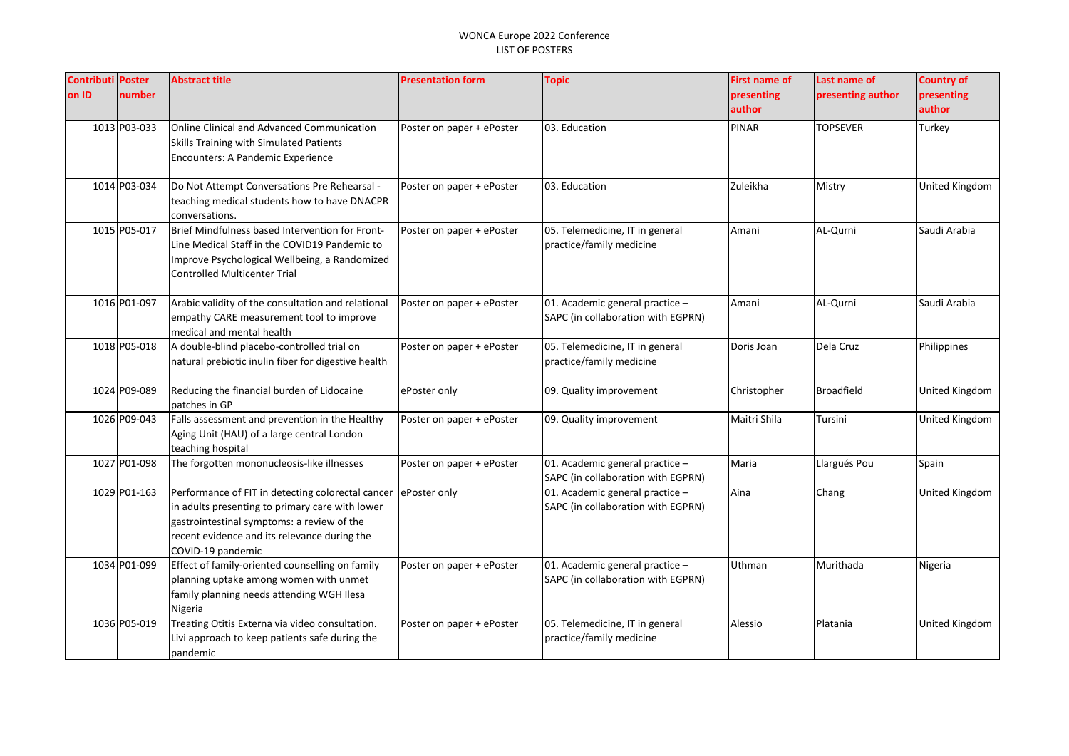| <b>Contributi Poster</b><br>on ID | number       | <b>Abstract title</b>                                                                                                                                                                                                   | <b>Presentation form</b>  | <b>Topic</b>                                                          | <b>First name of</b><br>presenting<br>author | Last name of<br>presenting author | <b>Country of</b><br>presenting<br>author |
|-----------------------------------|--------------|-------------------------------------------------------------------------------------------------------------------------------------------------------------------------------------------------------------------------|---------------------------|-----------------------------------------------------------------------|----------------------------------------------|-----------------------------------|-------------------------------------------|
|                                   | 1013 P03-033 | Online Clinical and Advanced Communication<br>Skills Training with Simulated Patients<br>Encounters: A Pandemic Experience                                                                                              | Poster on paper + ePoster | 03. Education                                                         | <b>PINAR</b>                                 | <b>TOPSEVER</b>                   | Turkey                                    |
|                                   | 1014 P03-034 | Do Not Attempt Conversations Pre Rehearsal -<br>teaching medical students how to have DNACPR<br>conversations.                                                                                                          | Poster on paper + ePoster | 03. Education                                                         | Zuleikha                                     | Mistry                            | <b>United Kingdom</b>                     |
|                                   | 1015 P05-017 | Brief Mindfulness based Intervention for Front-<br>Line Medical Staff in the COVID19 Pandemic to<br>Improve Psychological Wellbeing, a Randomized<br><b>Controlled Multicenter Trial</b>                                | Poster on paper + ePoster | 05. Telemedicine, IT in general<br>practice/family medicine           | Amani                                        | AL-Qurni                          | Saudi Arabia                              |
|                                   | 1016 P01-097 | Arabic validity of the consultation and relational<br>empathy CARE measurement tool to improve<br>medical and mental health                                                                                             | Poster on paper + ePoster | 01. Academic general practice -<br>SAPC (in collaboration with EGPRN) | Amani                                        | AL-Qurni                          | Saudi Arabia                              |
|                                   | 1018 P05-018 | A double-blind placebo-controlled trial on<br>natural prebiotic inulin fiber for digestive health                                                                                                                       | Poster on paper + ePoster | 05. Telemedicine, IT in general<br>practice/family medicine           | Doris Joan                                   | Dela Cruz                         | Philippines                               |
|                                   | 1024 P09-089 | Reducing the financial burden of Lidocaine<br>patches in GP                                                                                                                                                             | ePoster only              | 09. Quality improvement                                               | Christopher                                  | <b>Broadfield</b>                 | United Kingdom                            |
|                                   | 1026 P09-043 | Falls assessment and prevention in the Healthy<br>Aging Unit (HAU) of a large central London<br>teaching hospital                                                                                                       | Poster on paper + ePoster | 09. Quality improvement                                               | Maitri Shila                                 | Tursini                           | United Kingdom                            |
|                                   | 1027 P01-098 | The forgotten mononucleosis-like illnesses                                                                                                                                                                              | Poster on paper + ePoster | 01. Academic general practice -<br>SAPC (in collaboration with EGPRN) | Maria                                        | Llargués Pou                      | Spain                                     |
|                                   | 1029 P01-163 | Performance of FIT in detecting colorectal cancer<br>in adults presenting to primary care with lower<br>gastrointestinal symptoms: a review of the<br>recent evidence and its relevance during the<br>COVID-19 pandemic | ePoster only              | 01. Academic general practice -<br>SAPC (in collaboration with EGPRN) | Aina                                         | Chang                             | United Kingdom                            |
|                                   | 1034 P01-099 | Effect of family-oriented counselling on family<br>planning uptake among women with unmet<br>family planning needs attending WGH Ilesa<br>Nigeria                                                                       | Poster on paper + ePoster | 01. Academic general practice -<br>SAPC (in collaboration with EGPRN) | Uthman                                       | Murithada                         | Nigeria                                   |
|                                   | 1036 P05-019 | Treating Otitis Externa via video consultation.<br>Livi approach to keep patients safe during the<br>pandemic                                                                                                           | Poster on paper + ePoster | 05. Telemedicine, IT in general<br>practice/family medicine           | Alessio                                      | Platania                          | United Kingdom                            |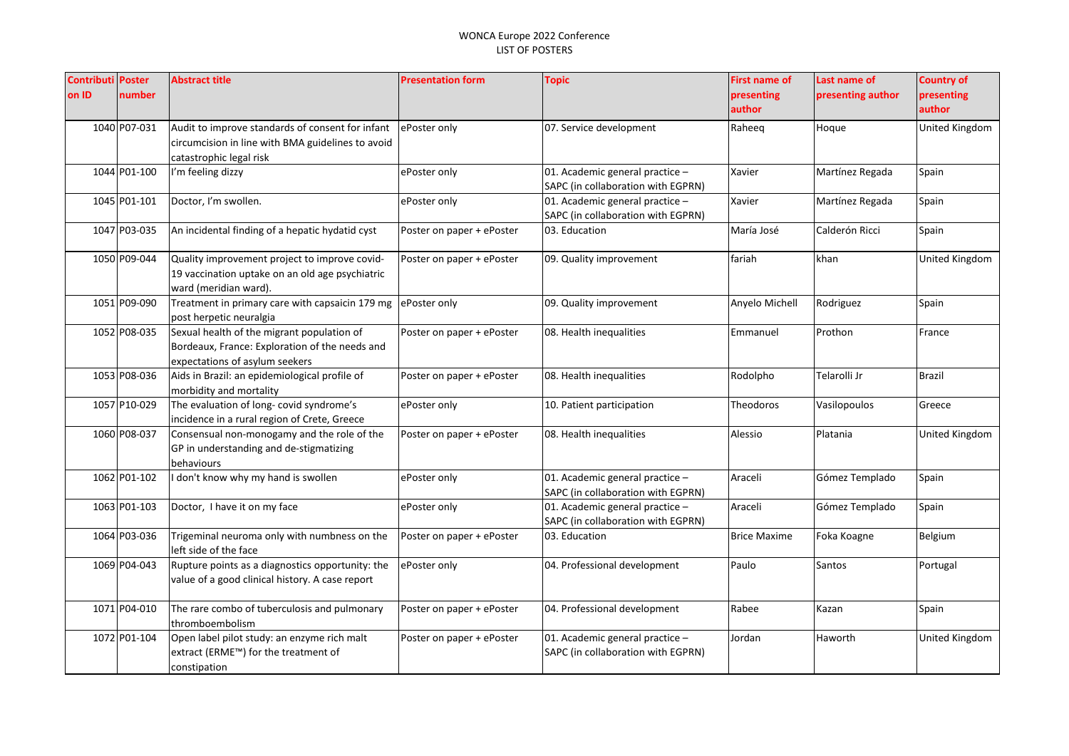| <b>Contributi Poster</b> |              | <b>Abstract title</b>                             | <b>Presentation form</b>  | <b>Topic</b>                       | <b>First name of</b> | Last name of      | <b>Country of</b> |
|--------------------------|--------------|---------------------------------------------------|---------------------------|------------------------------------|----------------------|-------------------|-------------------|
| on ID                    | number       |                                                   |                           |                                    | presenting           | presenting author | presenting        |
|                          |              |                                                   |                           |                                    | author               |                   | author            |
|                          | 1040 P07-031 | Audit to improve standards of consent for infant  | ePoster only              | 07. Service development            | Raheeq               | Hoque             | United Kingdom    |
|                          |              | circumcision in line with BMA guidelines to avoid |                           |                                    |                      |                   |                   |
|                          |              | catastrophic legal risk                           |                           |                                    |                      |                   |                   |
|                          | 1044 P01-100 | I'm feeling dizzy                                 | ePoster only              | 01. Academic general practice -    | Xavier               | Martínez Regada   | Spain             |
|                          |              |                                                   |                           | SAPC (in collaboration with EGPRN) |                      |                   |                   |
|                          | 1045 P01-101 | Doctor, I'm swollen.                              | ePoster only              | 01. Academic general practice -    | Xavier               | Martínez Regada   | Spain             |
|                          |              |                                                   |                           | SAPC (in collaboration with EGPRN) |                      |                   |                   |
|                          | 1047 P03-035 | An incidental finding of a hepatic hydatid cyst   | Poster on paper + ePoster | 03. Education                      | María José           | Calderón Ricci    | Spain             |
|                          | 1050 P09-044 | Quality improvement project to improve covid-     | Poster on paper + ePoster | 09. Quality improvement            | fariah               | khan              | United Kingdom    |
|                          |              | 19 vaccination uptake on an old age psychiatric   |                           |                                    |                      |                   |                   |
|                          |              | ward (meridian ward).                             |                           |                                    |                      |                   |                   |
|                          | 1051 P09-090 | Treatment in primary care with capsaicin 179 mg   | ePoster only              | 09. Quality improvement            | Anyelo Michell       | Rodriguez         | Spain             |
|                          |              | post herpetic neuralgia                           |                           |                                    |                      |                   |                   |
|                          | 1052 P08-035 | Sexual health of the migrant population of        | Poster on paper + ePoster | 08. Health inequalities            | Emmanuel             | Prothon           | France            |
|                          |              | Bordeaux, France: Exploration of the needs and    |                           |                                    |                      |                   |                   |
|                          |              | expectations of asylum seekers                    |                           |                                    |                      |                   |                   |
|                          | 1053 P08-036 | Aids in Brazil: an epidemiological profile of     | Poster on paper + ePoster | 08. Health inequalities            | Rodolpho             | Telarolli Jr      | <b>Brazil</b>     |
|                          |              | morbidity and mortality                           |                           |                                    |                      |                   |                   |
|                          | 1057 P10-029 | The evaluation of long- covid syndrome's          | ePoster only              | 10. Patient participation          | Theodoros            | Vasilopoulos      | Greece            |
|                          |              | incidence in a rural region of Crete, Greece      |                           |                                    |                      |                   |                   |
|                          | 1060 P08-037 | Consensual non-monogamy and the role of the       | Poster on paper + ePoster | 08. Health inequalities            | Alessio              | Platania          | United Kingdom    |
|                          |              | GP in understanding and de-stigmatizing           |                           |                                    |                      |                   |                   |
|                          |              | behaviours                                        |                           |                                    |                      |                   |                   |
|                          | 1062 P01-102 | don't know why my hand is swollen                 | ePoster only              | 01. Academic general practice -    | Araceli              | Gómez Templado    | Spain             |
|                          |              |                                                   |                           | SAPC (in collaboration with EGPRN) |                      |                   |                   |
|                          | 1063 P01-103 | Doctor, I have it on my face                      | ePoster only              | 01. Academic general practice -    | Araceli              | Gómez Templado    | Spain             |
|                          | 1064 P03-036 | Trigeminal neuroma only with numbness on the      |                           | SAPC (in collaboration with EGPRN) | <b>Brice Maxime</b>  |                   | Belgium           |
|                          |              | left side of the face                             | Poster on paper + ePoster | 03. Education                      |                      | Foka Koagne       |                   |
|                          | 1069 P04-043 | Rupture points as a diagnostics opportunity: the  | ePoster only              | 04. Professional development       | Paulo                | Santos            | Portugal          |
|                          |              | value of a good clinical history. A case report   |                           |                                    |                      |                   |                   |
|                          |              |                                                   |                           |                                    |                      |                   |                   |
|                          | 1071 P04-010 | The rare combo of tuberculosis and pulmonary      | Poster on paper + ePoster | 04. Professional development       | Rabee                | Kazan             | Spain             |
|                          |              | thromboembolism                                   |                           |                                    |                      |                   |                   |
|                          | 1072 P01-104 | Open label pilot study: an enzyme rich malt       | Poster on paper + ePoster | 01. Academic general practice -    | Jordan               | Haworth           | United Kingdom    |
|                          |              | extract (ERME <sup>™</sup> ) for the treatment of |                           | SAPC (in collaboration with EGPRN) |                      |                   |                   |
|                          |              | constipation                                      |                           |                                    |                      |                   |                   |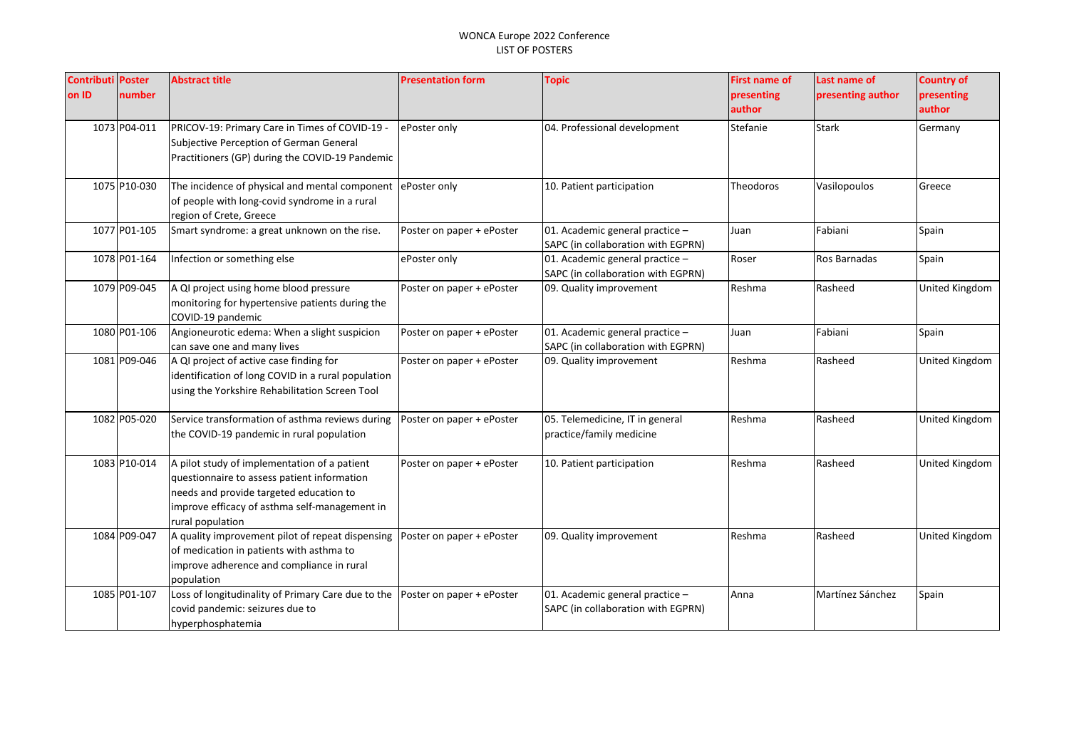| <b>Contributi Poster</b> |              | <b>Abstract title</b>                                                    | <b>Presentation form</b>  | <b>Topic</b>                       | <b>First name of</b> | Last name of      | <b>Country of</b> |
|--------------------------|--------------|--------------------------------------------------------------------------|---------------------------|------------------------------------|----------------------|-------------------|-------------------|
| on ID                    | number       |                                                                          |                           |                                    | presenting           | presenting author | presenting        |
|                          |              |                                                                          |                           |                                    | author               |                   | author            |
|                          | 1073 P04-011 | PRICOV-19: Primary Care in Times of COVID-19 -                           | ePoster only              | 04. Professional development       | Stefanie             | <b>Stark</b>      | Germany           |
|                          |              | Subjective Perception of German General                                  |                           |                                    |                      |                   |                   |
|                          |              | Practitioners (GP) during the COVID-19 Pandemic                          |                           |                                    |                      |                   |                   |
|                          | 1075 P10-030 | The incidence of physical and mental component                           | ePoster only              | 10. Patient participation          | Theodoros            | Vasilopoulos      | Greece            |
|                          |              | of people with long-covid syndrome in a rural<br>region of Crete, Greece |                           |                                    |                      |                   |                   |
|                          | 1077 P01-105 | Smart syndrome: a great unknown on the rise.                             | Poster on paper + ePoster | 01. Academic general practice -    | Juan                 | Fabiani           | Spain             |
|                          |              |                                                                          |                           | SAPC (in collaboration with EGPRN) |                      |                   |                   |
|                          | 1078 P01-164 | Infection or something else                                              | ePoster only              | 01. Academic general practice -    | Roser                | Ros Barnadas      | Spain             |
|                          |              |                                                                          |                           | SAPC (in collaboration with EGPRN) |                      |                   |                   |
|                          | 1079 P09-045 | A QI project using home blood pressure                                   | Poster on paper + ePoster | 09. Quality improvement            | Reshma               | Rasheed           | United Kingdom    |
|                          |              | monitoring for hypertensive patients during the                          |                           |                                    |                      |                   |                   |
|                          |              | COVID-19 pandemic                                                        |                           |                                    |                      |                   |                   |
|                          | 1080 P01-106 | Angioneurotic edema: When a slight suspicion                             | Poster on paper + ePoster | 01. Academic general practice -    | Juan                 | Fabiani           | Spain             |
|                          |              | can save one and many lives                                              |                           | SAPC (in collaboration with EGPRN) |                      |                   |                   |
|                          | 1081 P09-046 | A QI project of active case finding for                                  | Poster on paper + ePoster | 09. Quality improvement            | Reshma               | Rasheed           | United Kingdom    |
|                          |              | identification of long COVID in a rural population                       |                           |                                    |                      |                   |                   |
|                          |              | using the Yorkshire Rehabilitation Screen Tool                           |                           |                                    |                      |                   |                   |
|                          | 1082 P05-020 | Service transformation of asthma reviews during                          | Poster on paper + ePoster | 05. Telemedicine, IT in general    | Reshma               | Rasheed           | United Kingdom    |
|                          |              | the COVID-19 pandemic in rural population                                |                           | practice/family medicine           |                      |                   |                   |
|                          |              |                                                                          |                           |                                    |                      |                   |                   |
|                          | 1083 P10-014 | A pilot study of implementation of a patient                             | Poster on paper + ePoster | 10. Patient participation          | Reshma               | Rasheed           | United Kingdom    |
|                          |              | questionnaire to assess patient information                              |                           |                                    |                      |                   |                   |
|                          |              | needs and provide targeted education to                                  |                           |                                    |                      |                   |                   |
|                          |              | improve efficacy of asthma self-management in                            |                           |                                    |                      |                   |                   |
|                          |              | rural population                                                         |                           |                                    |                      |                   |                   |
|                          | 1084 P09-047 | A quality improvement pilot of repeat dispensing                         | Poster on paper + ePoster | 09. Quality improvement            | Reshma               | Rasheed           | United Kingdom    |
|                          |              | of medication in patients with asthma to                                 |                           |                                    |                      |                   |                   |
|                          |              | improve adherence and compliance in rural                                |                           |                                    |                      |                   |                   |
|                          |              | population                                                               |                           |                                    |                      |                   |                   |
|                          | 1085 P01-107 | Loss of longitudinality of Primary Care due to the                       | Poster on paper + ePoster | 01. Academic general practice -    | Anna                 | Martínez Sánchez  | Spain             |
|                          |              | covid pandemic: seizures due to                                          |                           | SAPC (in collaboration with EGPRN) |                      |                   |                   |
|                          |              | hyperphosphatemia                                                        |                           |                                    |                      |                   |                   |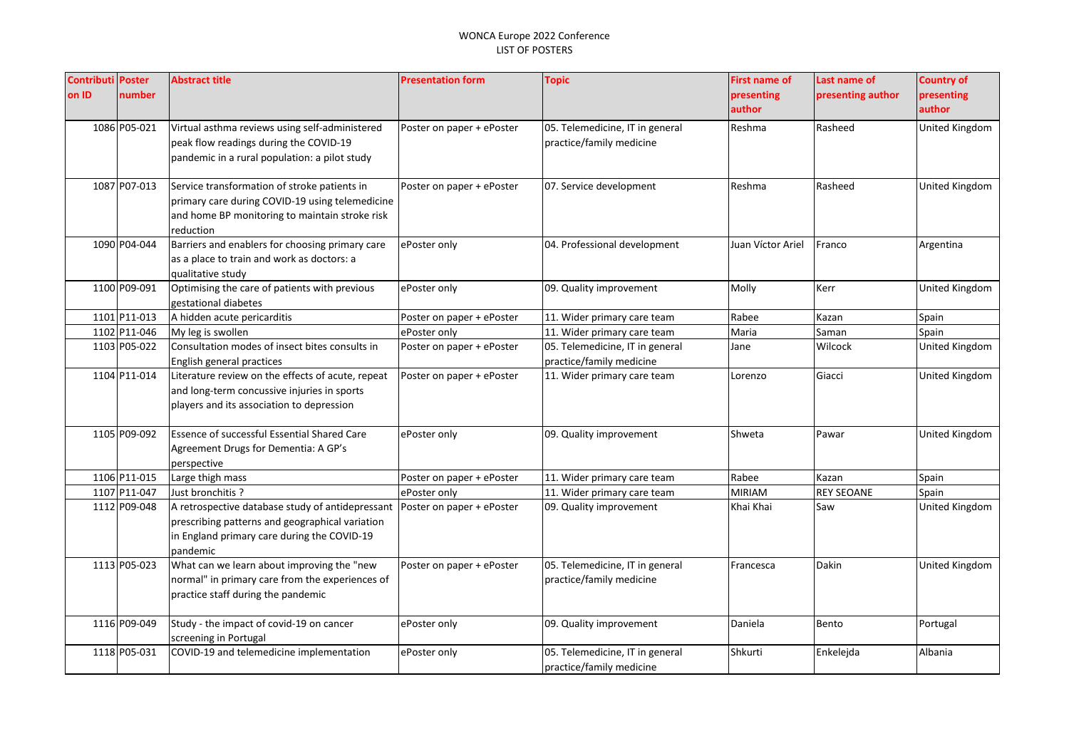| <b>Contributi Poster</b> |              | <b>Abstract title</b>                                                                                                                                          | <b>Presentation form</b>  | <b>Topic</b>                                                | <b>First name of</b> | Last name of      | <b>Country of</b>    |
|--------------------------|--------------|----------------------------------------------------------------------------------------------------------------------------------------------------------------|---------------------------|-------------------------------------------------------------|----------------------|-------------------|----------------------|
| on ID                    | number       |                                                                                                                                                                |                           |                                                             | presenting<br>author | presenting author | presenting<br>author |
|                          | 1086 P05-021 | Virtual asthma reviews using self-administered<br>peak flow readings during the COVID-19<br>pandemic in a rural population: a pilot study                      | Poster on paper + ePoster | 05. Telemedicine, IT in general<br>practice/family medicine | Reshma               | Rasheed           | United Kingdom       |
|                          | 1087 P07-013 | Service transformation of stroke patients in<br>primary care during COVID-19 using telemedicine<br>and home BP monitoring to maintain stroke risk<br>reduction | Poster on paper + ePoster | 07. Service development                                     | Reshma               | Rasheed           | United Kingdom       |
|                          | 1090 P04-044 | Barriers and enablers for choosing primary care<br>as a place to train and work as doctors: a<br>qualitative study                                             | ePoster only              | 04. Professional development                                | Juan Víctor Ariel    | Franco            | Argentina            |
|                          | 1100 P09-091 | Optimising the care of patients with previous<br>gestational diabetes                                                                                          | ePoster only              | 09. Quality improvement                                     | Molly                | Kerr              | United Kingdom       |
|                          | 1101 P11-013 | A hidden acute pericarditis                                                                                                                                    | Poster on paper + ePoster | 11. Wider primary care team                                 | Rabee                | Kazan             | Spain                |
|                          | 1102 P11-046 | My leg is swollen                                                                                                                                              | ePoster only              | 11. Wider primary care team                                 | Maria                | Saman             | Spain                |
|                          | 1103 P05-022 | Consultation modes of insect bites consults in<br>English general practices                                                                                    | Poster on paper + ePoster | 05. Telemedicine, IT in general<br>practice/family medicine | Jane                 | Wilcock           | United Kingdom       |
|                          | 1104 P11-014 | Literature review on the effects of acute, repeat<br>and long-term concussive injuries in sports<br>players and its association to depression                  | Poster on paper + ePoster | 11. Wider primary care team                                 | Lorenzo              | Giacci            | United Kingdom       |
|                          | 1105 P09-092 | Essence of successful Essential Shared Care<br>Agreement Drugs for Dementia: A GP's<br>perspective                                                             | ePoster only              | 09. Quality improvement                                     | Shweta               | Pawar             | United Kingdom       |
|                          | 1106 P11-015 | Large thigh mass                                                                                                                                               | Poster on paper + ePoster | 11. Wider primary care team                                 | Rabee                | Kazan             | Spain                |
|                          | 1107 P11-047 | Just bronchitis?                                                                                                                                               | ePoster only              | 11. Wider primary care team                                 | MIRIAM               | <b>REY SEOANE</b> | Spain                |
|                          | 1112 P09-048 | A retrospective database study of antidepressant<br>prescribing patterns and geographical variation<br>in England primary care during the COVID-19<br>pandemic | Poster on paper + ePoster | 09. Quality improvement                                     | Khai Khai            | Saw               | United Kingdom       |
|                          | 1113 P05-023 | What can we learn about improving the "new<br>normal" in primary care from the experiences of<br>practice staff during the pandemic                            | Poster on paper + ePoster | 05. Telemedicine, IT in general<br>practice/family medicine | Francesca            | <b>Dakin</b>      | United Kingdom       |
|                          | 1116 P09-049 | Study - the impact of covid-19 on cancer<br>screening in Portugal                                                                                              | ePoster only              | 09. Quality improvement                                     | Daniela              | Bento             | Portugal             |
|                          | 1118 P05-031 | COVID-19 and telemedicine implementation                                                                                                                       | ePoster only              | 05. Telemedicine, IT in general<br>practice/family medicine | Shkurti              | Enkelejda         | Albania              |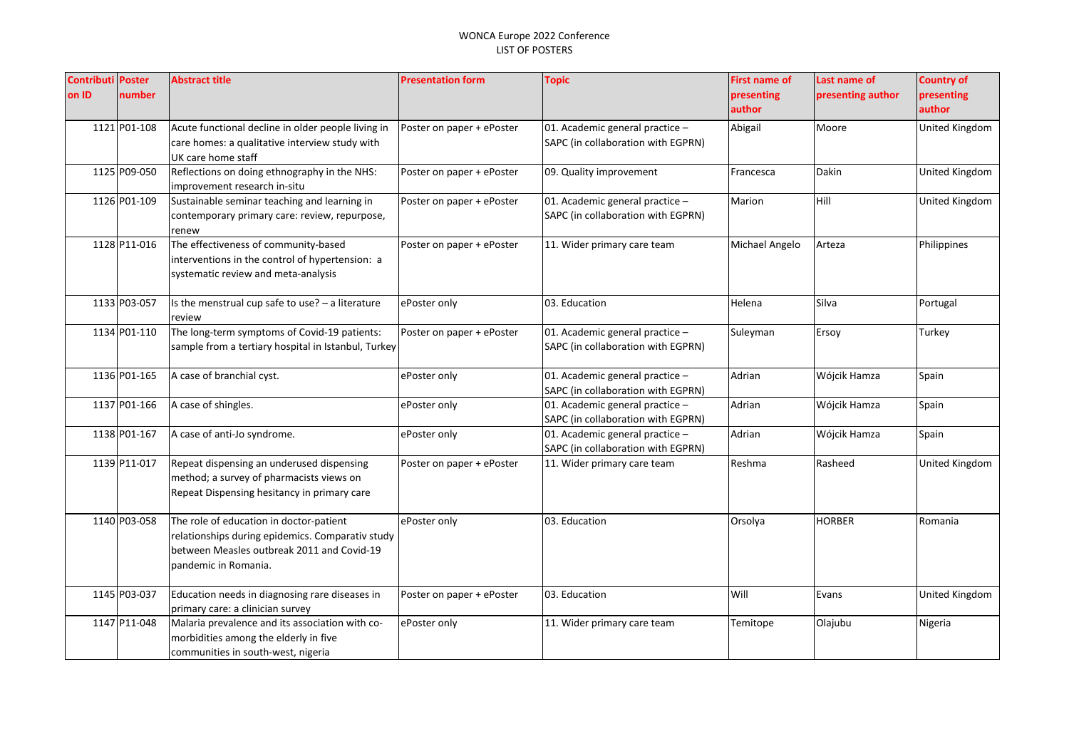| <b>Contributi Poster</b> |              | <b>Abstract title</b>                               | <b>Presentation form</b>  | <b>Topic</b>                       | <b>First name of</b> | Last name of      | <b>Country of</b> |
|--------------------------|--------------|-----------------------------------------------------|---------------------------|------------------------------------|----------------------|-------------------|-------------------|
| on ID                    | number       |                                                     |                           |                                    | presenting           | presenting author | presenting        |
|                          |              |                                                     |                           |                                    | author               |                   | author            |
|                          | 1121 P01-108 | Acute functional decline in older people living in  | Poster on paper + ePoster | 01. Academic general practice -    | Abigail              | Moore             | United Kingdom    |
|                          |              | care homes: a qualitative interview study with      |                           | SAPC (in collaboration with EGPRN) |                      |                   |                   |
|                          |              | UK care home staff                                  |                           |                                    |                      |                   |                   |
|                          | 1125 P09-050 | Reflections on doing ethnography in the NHS:        | Poster on paper + ePoster | 09. Quality improvement            | Francesca            | Dakin             | United Kingdom    |
|                          |              | improvement research in-situ                        |                           |                                    |                      |                   |                   |
|                          | 1126 P01-109 | Sustainable seminar teaching and learning in        | Poster on paper + ePoster | 01. Academic general practice -    | Marion               | Hill              | United Kingdom    |
|                          |              | contemporary primary care: review, repurpose,       |                           | SAPC (in collaboration with EGPRN) |                      |                   |                   |
|                          |              | renew                                               |                           |                                    |                      |                   |                   |
|                          | 1128 P11-016 | The effectiveness of community-based                | Poster on paper + ePoster | 11. Wider primary care team        | Michael Angelo       | Arteza            | Philippines       |
|                          |              | interventions in the control of hypertension: a     |                           |                                    |                      |                   |                   |
|                          |              | systematic review and meta-analysis                 |                           |                                    |                      |                   |                   |
|                          | 1133 P03-057 | Is the menstrual cup safe to use? - a literature    | ePoster only              | 03. Education                      | Helena               | Silva             | Portugal          |
|                          |              | review                                              |                           |                                    |                      |                   |                   |
|                          | 1134 P01-110 | The long-term symptoms of Covid-19 patients:        | Poster on paper + ePoster | 01. Academic general practice -    | Suleyman             | Ersoy             | Turkey            |
|                          |              | sample from a tertiary hospital in Istanbul, Turkey |                           | SAPC (in collaboration with EGPRN) |                      |                   |                   |
|                          |              |                                                     |                           |                                    |                      |                   |                   |
|                          | 1136 P01-165 | A case of branchial cyst.                           | ePoster only              | 01. Academic general practice -    | Adrian               | Wójcik Hamza      | Spain             |
|                          |              |                                                     |                           | SAPC (in collaboration with EGPRN) |                      |                   |                   |
|                          | 1137 P01-166 | A case of shingles.                                 | ePoster only              | 01. Academic general practice -    | Adrian               | Wójcik Hamza      | Spain             |
|                          |              |                                                     |                           | SAPC (in collaboration with EGPRN) |                      |                   |                   |
|                          | 1138 P01-167 | A case of anti-Jo syndrome.                         | ePoster only              | 01. Academic general practice -    | Adrian               | Wójcik Hamza      | Spain             |
|                          |              |                                                     |                           | SAPC (in collaboration with EGPRN) |                      |                   |                   |
|                          | 1139 P11-017 | Repeat dispensing an underused dispensing           | Poster on paper + ePoster | 11. Wider primary care team        | Reshma               | Rasheed           | United Kingdom    |
|                          |              | method; a survey of pharmacists views on            |                           |                                    |                      |                   |                   |
|                          |              | Repeat Dispensing hesitancy in primary care         |                           |                                    |                      |                   |                   |
|                          | 1140 P03-058 | The role of education in doctor-patient             | ePoster only              | 03. Education                      | Orsolya              | <b>HORBER</b>     | Romania           |
|                          |              | relationships during epidemics. Comparativ study    |                           |                                    |                      |                   |                   |
|                          |              | between Measles outbreak 2011 and Covid-19          |                           |                                    |                      |                   |                   |
|                          |              | pandemic in Romania.                                |                           |                                    |                      |                   |                   |
|                          |              |                                                     |                           |                                    |                      |                   |                   |
|                          | 1145 P03-037 | Education needs in diagnosing rare diseases in      | Poster on paper + ePoster | 03. Education                      | Will                 | Evans             | United Kingdom    |
|                          |              | primary care: a clinician survey                    |                           |                                    |                      |                   |                   |
|                          | 1147 P11-048 | Malaria prevalence and its association with co-     | ePoster only              | 11. Wider primary care team        | Temitope             | Olajubu           | Nigeria           |
|                          |              | morbidities among the elderly in five               |                           |                                    |                      |                   |                   |
|                          |              | communities in south-west, nigeria                  |                           |                                    |                      |                   |                   |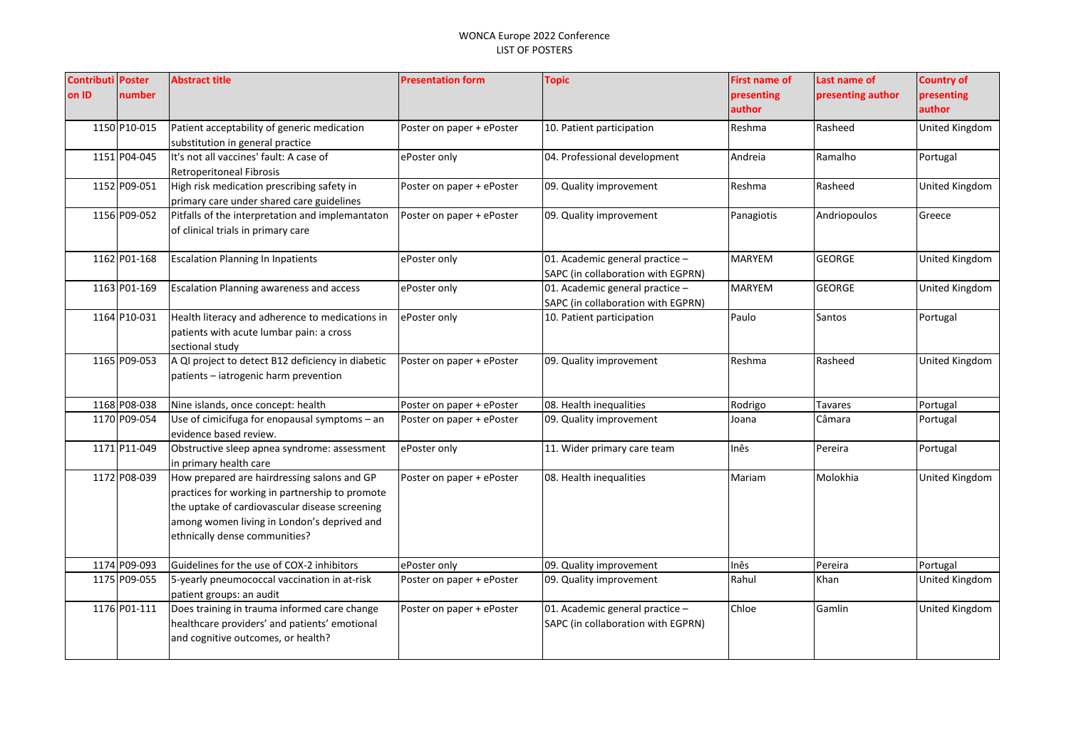| <b>Contributi Poster</b><br>on ID | number       | <b>Abstract title</b>                                                                                                                                                                                                            | <b>Presentation form</b>  | <b>Topic</b>                                                          | <b>First name of</b><br>presenting<br>author | Last name of<br>presenting author | <b>Country of</b><br>presenting<br>author |
|-----------------------------------|--------------|----------------------------------------------------------------------------------------------------------------------------------------------------------------------------------------------------------------------------------|---------------------------|-----------------------------------------------------------------------|----------------------------------------------|-----------------------------------|-------------------------------------------|
|                                   | 1150 P10-015 | Patient acceptability of generic medication<br>substitution in general practice                                                                                                                                                  | Poster on paper + ePoster | 10. Patient participation                                             | Reshma                                       | Rasheed                           | United Kingdom                            |
|                                   | 1151 P04-045 | It's not all vaccines' fault: A case of<br><b>Retroperitoneal Fibrosis</b>                                                                                                                                                       | ePoster only              | 04. Professional development                                          | Andreia                                      | Ramalho                           | Portugal                                  |
|                                   | 1152 P09-051 | High risk medication prescribing safety in<br>primary care under shared care guidelines                                                                                                                                          | Poster on paper + ePoster | 09. Quality improvement                                               | Reshma                                       | Rasheed                           | United Kingdom                            |
|                                   | 1156 P09-052 | Pitfalls of the interpretation and implemantaton<br>of clinical trials in primary care                                                                                                                                           | Poster on paper + ePoster | 09. Quality improvement                                               | Panagiotis                                   | Andriopoulos                      | Greece                                    |
|                                   | 1162 P01-168 | <b>Escalation Planning In Inpatients</b>                                                                                                                                                                                         | ePoster only              | 01. Academic general practice -<br>SAPC (in collaboration with EGPRN) | <b>MARYEM</b>                                | <b>GEORGE</b>                     | United Kingdom                            |
|                                   | 1163 P01-169 | <b>Escalation Planning awareness and access</b>                                                                                                                                                                                  | ePoster only              | 01. Academic general practice -<br>SAPC (in collaboration with EGPRN) | MARYEM                                       | <b>GEORGE</b>                     | United Kingdom                            |
|                                   | 1164 P10-031 | Health literacy and adherence to medications in<br>patients with acute lumbar pain: a cross<br>sectional study                                                                                                                   | ePoster only              | 10. Patient participation                                             | Paulo                                        | Santos                            | Portugal                                  |
|                                   | 1165 P09-053 | A QI project to detect B12 deficiency in diabetic<br>patients - iatrogenic harm prevention                                                                                                                                       | Poster on paper + ePoster | 09. Quality improvement                                               | Reshma                                       | Rasheed                           | United Kingdom                            |
|                                   | 1168 P08-038 | Nine islands, once concept: health                                                                                                                                                                                               | Poster on paper + ePoster | 08. Health inequalities                                               | Rodrigo                                      | Tavares                           | Portugal                                  |
|                                   | 1170 P09-054 | Use of cimicifuga for enopausal symptoms - an<br>evidence based review.                                                                                                                                                          | Poster on paper + ePoster | 09. Quality improvement                                               | Joana                                        | Câmara                            | Portugal                                  |
|                                   | 1171 P11-049 | Obstructive sleep apnea syndrome: assessment<br>in primary health care                                                                                                                                                           | ePoster only              | 11. Wider primary care team                                           | Inês                                         | Pereira                           | Portugal                                  |
|                                   | 1172 P08-039 | How prepared are hairdressing salons and GP<br>practices for working in partnership to promote<br>the uptake of cardiovascular disease screening<br>among women living in London's deprived and<br>ethnically dense communities? | Poster on paper + ePoster | 08. Health inequalities                                               | Mariam                                       | Molokhia                          | United Kingdom                            |
|                                   | 1174 P09-093 | Guidelines for the use of COX-2 inhibitors                                                                                                                                                                                       | ePoster only              | 09. Quality improvement                                               | Inês                                         | Pereira                           | Portugal                                  |
|                                   | 1175 P09-055 | 5-yearly pneumococcal vaccination in at-risk<br>patient groups: an audit                                                                                                                                                         | Poster on paper + ePoster | 09. Quality improvement                                               | Rahul                                        | Khan                              | United Kingdom                            |
|                                   | 1176 P01-111 | Does training in trauma informed care change<br>healthcare providers' and patients' emotional<br>and cognitive outcomes, or health?                                                                                              | Poster on paper + ePoster | 01. Academic general practice -<br>SAPC (in collaboration with EGPRN) | Chloe                                        | Gamlin                            | United Kingdom                            |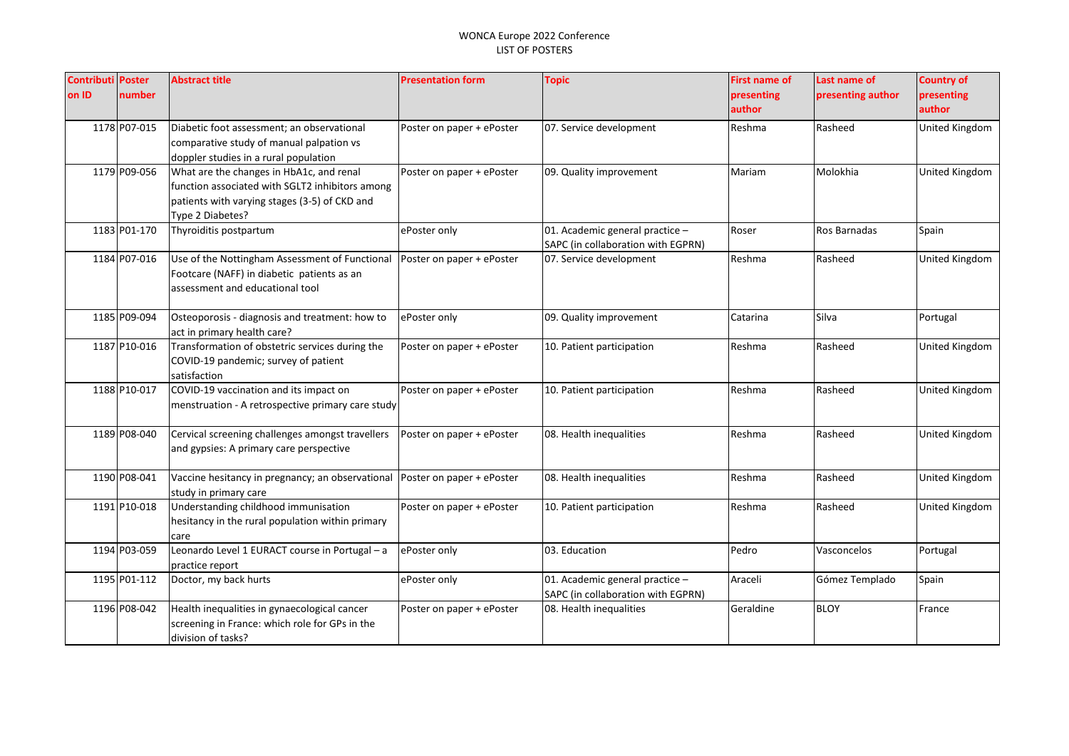| <b>Contributi Poster</b> |              | <b>Abstract title</b>                                         | <b>Presentation form</b>  | <b>Topic</b>                       | <b>First name of</b> | Last name of      | <b>Country of</b> |
|--------------------------|--------------|---------------------------------------------------------------|---------------------------|------------------------------------|----------------------|-------------------|-------------------|
| on ID                    | number       |                                                               |                           |                                    | presenting           | presenting author | presenting        |
|                          |              |                                                               |                           |                                    | author               |                   | author            |
|                          | 1178 P07-015 | Diabetic foot assessment; an observational                    | Poster on paper + ePoster | 07. Service development            | Reshma               | Rasheed           | United Kingdom    |
|                          |              | comparative study of manual palpation vs                      |                           |                                    |                      |                   |                   |
|                          |              | doppler studies in a rural population                         |                           |                                    |                      |                   |                   |
|                          | 1179 P09-056 | What are the changes in HbA1c, and renal                      | Poster on paper + ePoster | 09. Quality improvement            | Mariam               | Molokhia          | United Kingdom    |
|                          |              | function associated with SGLT2 inhibitors among               |                           |                                    |                      |                   |                   |
|                          |              | patients with varying stages (3-5) of CKD and                 |                           |                                    |                      |                   |                   |
|                          |              | Type 2 Diabetes?                                              |                           |                                    |                      |                   |                   |
|                          | 1183 P01-170 | Thyroiditis postpartum                                        | ePoster only              | 01. Academic general practice -    | Roser                | Ros Barnadas      | Spain             |
|                          |              |                                                               |                           | SAPC (in collaboration with EGPRN) |                      |                   |                   |
|                          | 1184 P07-016 | Use of the Nottingham Assessment of Functional                | Poster on paper + ePoster | 07. Service development            | Reshma               | Rasheed           | United Kingdom    |
|                          |              | Footcare (NAFF) in diabetic patients as an                    |                           |                                    |                      |                   |                   |
|                          |              | assessment and educational tool                               |                           |                                    |                      |                   |                   |
|                          |              |                                                               |                           |                                    |                      |                   |                   |
|                          | 1185 P09-094 | Osteoporosis - diagnosis and treatment: how to                | ePoster only              | 09. Quality improvement            | Catarina             | Silva             | Portugal          |
|                          |              | act in primary health care?                                   |                           |                                    |                      |                   |                   |
|                          | 1187 P10-016 | Transformation of obstetric services during the               | Poster on paper + ePoster | 10. Patient participation          | Reshma               | Rasheed           | United Kingdom    |
|                          |              | COVID-19 pandemic; survey of patient                          |                           |                                    |                      |                   |                   |
|                          |              | satisfaction                                                  |                           |                                    |                      |                   |                   |
|                          | 1188 P10-017 | COVID-19 vaccination and its impact on                        | Poster on paper + ePoster | 10. Patient participation          | Reshma               | Rasheed           | United Kingdom    |
|                          |              | menstruation - A retrospective primary care study             |                           |                                    |                      |                   |                   |
|                          |              |                                                               |                           |                                    |                      |                   |                   |
|                          | 1189 P08-040 | Cervical screening challenges amongst travellers              | Poster on paper + ePoster | 08. Health inequalities            | Reshma               | Rasheed           | United Kingdom    |
|                          |              | and gypsies: A primary care perspective                       |                           |                                    |                      |                   |                   |
|                          |              |                                                               |                           |                                    |                      |                   |                   |
|                          | 1190 P08-041 | Vaccine hesitancy in pregnancy; an observational              | Poster on paper + ePoster | 08. Health inequalities            | Reshma               | Rasheed           | United Kingdom    |
|                          | 1191 P10-018 | study in primary care<br>Understanding childhood immunisation |                           |                                    | Reshma               | Rasheed           |                   |
|                          |              | hesitancy in the rural population within primary              | Poster on paper + ePoster | 10. Patient participation          |                      |                   | United Kingdom    |
|                          |              | care                                                          |                           |                                    |                      |                   |                   |
|                          | 1194 P03-059 | Leonardo Level 1 EURACT course in Portugal - a                | ePoster only              | 03. Education                      | Pedro                | Vasconcelos       | Portugal          |
|                          |              | practice report                                               |                           |                                    |                      |                   |                   |
|                          | 1195 P01-112 | Doctor, my back hurts                                         | ePoster only              | 01. Academic general practice -    | Araceli              | Gómez Templado    | Spain             |
|                          |              |                                                               |                           | SAPC (in collaboration with EGPRN) |                      |                   |                   |
|                          | 1196 P08-042 | Health inequalities in gynaecological cancer                  | Poster on paper + ePoster | 08. Health inequalities            | Geraldine            | <b>BLOY</b>       | France            |
|                          |              | screening in France: which role for GPs in the                |                           |                                    |                      |                   |                   |
|                          |              | division of tasks?                                            |                           |                                    |                      |                   |                   |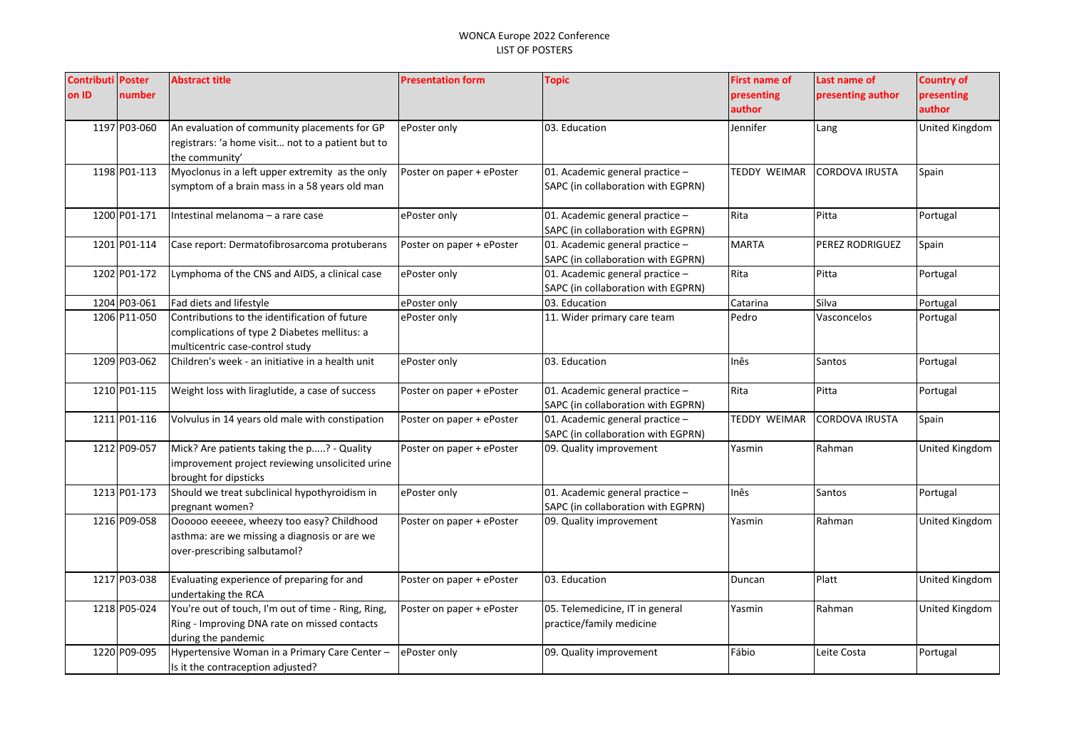| <b>Contributi Poster</b> |              | <b>Abstract title</b>                              | <b>Presentation form</b>  | <b>Topic</b>                       | <b>First name of</b> | Last name of          | <b>Country of</b>     |
|--------------------------|--------------|----------------------------------------------------|---------------------------|------------------------------------|----------------------|-----------------------|-----------------------|
| on ID                    | number       |                                                    |                           |                                    | presenting           | presenting author     | presenting            |
|                          |              |                                                    |                           |                                    | author               |                       | author                |
|                          | 1197 P03-060 | An evaluation of community placements for GP       | ePoster only              | 03. Education                      | Jennifer             | Lang                  | United Kingdom        |
|                          |              | registrars: 'a home visit not to a patient but to  |                           |                                    |                      |                       |                       |
|                          |              | the community'                                     |                           |                                    |                      |                       |                       |
|                          | 1198 P01-113 | Myoclonus in a left upper extremity as the only    | Poster on paper + ePoster | 01. Academic general practice -    | <b>TEDDY WEIMAR</b>  | <b>CORDOVA IRUSTA</b> | Spain                 |
|                          |              | symptom of a brain mass in a 58 years old man      |                           | SAPC (in collaboration with EGPRN) |                      |                       |                       |
|                          | 1200 P01-171 | Intestinal melanoma - a rare case                  | ePoster only              | 01. Academic general practice -    | Rita                 | Pitta                 | Portugal              |
|                          |              |                                                    |                           | SAPC (in collaboration with EGPRN) |                      |                       |                       |
|                          | 1201 P01-114 | Case report: Dermatofibrosarcoma protuberans       | Poster on paper + ePoster | 01. Academic general practice -    | <b>MARTA</b>         | PEREZ RODRIGUEZ       | Spain                 |
|                          |              |                                                    |                           | SAPC (in collaboration with EGPRN) |                      |                       |                       |
|                          | 1202 P01-172 | Lymphoma of the CNS and AIDS, a clinical case      | ePoster only              | 01. Academic general practice -    | Rita                 | Pitta                 | Portugal              |
|                          |              |                                                    |                           | SAPC (in collaboration with EGPRN) |                      |                       |                       |
|                          | 1204 P03-061 | Fad diets and lifestyle                            | ePoster only              | 03. Education                      | Catarina             | Silva                 | Portugal              |
|                          | 1206 P11-050 | Contributions to the identification of future      | ePoster only              | 11. Wider primary care team        | Pedro                | Vasconcelos           | Portugal              |
|                          |              | complications of type 2 Diabetes mellitus: a       |                           |                                    |                      |                       |                       |
|                          |              | multicentric case-control study                    |                           |                                    |                      |                       |                       |
|                          | 1209 P03-062 | Children's week - an initiative in a health unit   | ePoster only              | 03. Education                      | Inês                 | Santos                | Portugal              |
|                          | 1210 P01-115 | Weight loss with liraglutide, a case of success    | Poster on paper + ePoster | 01. Academic general practice -    | Rita                 | Pitta                 | Portugal              |
|                          |              |                                                    |                           | SAPC (in collaboration with EGPRN) |                      |                       |                       |
|                          | 1211 P01-116 | Volvulus in 14 years old male with constipation    | Poster on paper + ePoster | 01. Academic general practice -    | <b>TEDDY WEIMAR</b>  | <b>CORDOVA IRUSTA</b> | Spain                 |
|                          |              |                                                    |                           | SAPC (in collaboration with EGPRN) |                      |                       |                       |
|                          | 1212 P09-057 | Mick? Are patients taking the p? - Quality         | Poster on paper + ePoster | 09. Quality improvement            | Yasmin               | Rahman                | United Kingdom        |
|                          |              | improvement project reviewing unsolicited urine    |                           |                                    |                      |                       |                       |
|                          |              | brought for dipsticks                              |                           |                                    |                      |                       |                       |
|                          | 1213 P01-173 | Should we treat subclinical hypothyroidism in      | ePoster only              | 01. Academic general practice -    | Inês                 | Santos                | Portugal              |
|                          |              | pregnant women?                                    |                           | SAPC (in collaboration with EGPRN) |                      |                       |                       |
|                          | 1216 P09-058 | Oooooo eeeeee, wheezy too easy? Childhood          | Poster on paper + ePoster | 09. Quality improvement            | Yasmin               | Rahman                | United Kingdom        |
|                          |              | asthma: are we missing a diagnosis or are we       |                           |                                    |                      |                       |                       |
|                          |              | over-prescribing salbutamol?                       |                           |                                    |                      |                       |                       |
|                          | 1217 P03-038 | Evaluating experience of preparing for and         | Poster on paper + ePoster | 03. Education                      | Duncan               | Platt                 | United Kingdom        |
|                          |              | undertaking the RCA                                |                           |                                    |                      |                       |                       |
|                          | 1218 P05-024 | You're out of touch, I'm out of time - Ring, Ring, | Poster on paper + ePoster | 05. Telemedicine, IT in general    | Yasmin               | Rahman                | <b>United Kingdom</b> |
|                          |              | Ring - Improving DNA rate on missed contacts       |                           | practice/family medicine           |                      |                       |                       |
|                          |              | during the pandemic                                |                           |                                    |                      |                       |                       |
|                          | 1220 P09-095 | Hypertensive Woman in a Primary Care Center -      | ePoster only              | 09. Quality improvement            | Fábio                | Leite Costa           | Portugal              |
|                          |              | Is it the contraception adjusted?                  |                           |                                    |                      |                       |                       |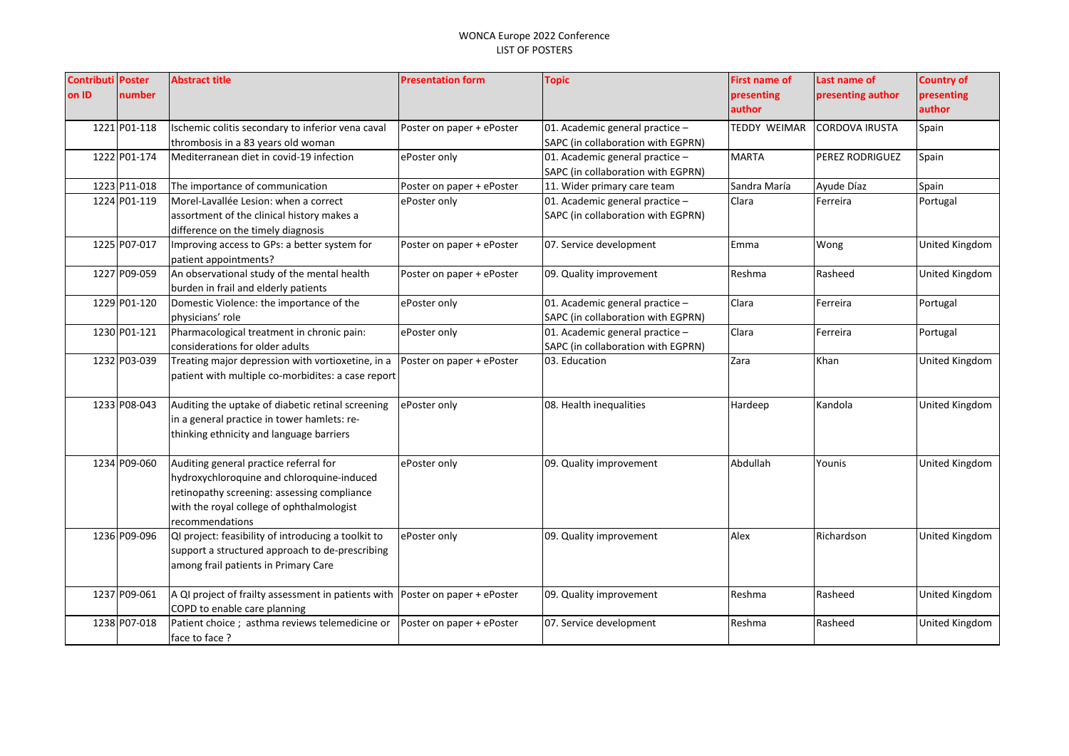| <b>Contributi</b> | <b>Poster</b> | <b>Abstract title</b>                               | <b>Presentation form</b>  | <b>Topic</b>                       | First name of | Last name of          | <b>Country of</b> |
|-------------------|---------------|-----------------------------------------------------|---------------------------|------------------------------------|---------------|-----------------------|-------------------|
| on ID             | number        |                                                     |                           |                                    | presenting    | presenting author     | presenting        |
|                   |               |                                                     |                           |                                    | author        |                       | author            |
|                   | 1221 P01-118  | Ischemic colitis secondary to inferior vena caval   | Poster on paper + ePoster | 01. Academic general practice -    | TEDDY WEIMAR  | <b>CORDOVA IRUSTA</b> | Spain             |
|                   |               | thrombosis in a 83 years old woman                  |                           | SAPC (in collaboration with EGPRN) |               |                       |                   |
|                   | 1222 P01-174  | Mediterranean diet in covid-19 infection            | ePoster only              | 01. Academic general practice -    | <b>MARTA</b>  | PEREZ RODRIGUEZ       | Spain             |
|                   |               |                                                     |                           | SAPC (in collaboration with EGPRN) |               |                       |                   |
|                   | 1223 P11-018  | The importance of communication                     | Poster on paper + ePoster | 11. Wider primary care team        | Sandra María  | Ayude Díaz            | Spain             |
|                   | 1224 P01-119  | Morel-Lavallée Lesion: when a correct               | ePoster only              | 01. Academic general practice -    | Clara         | Ferreira              | Portugal          |
|                   |               | assortment of the clinical history makes a          |                           | SAPC (in collaboration with EGPRN) |               |                       |                   |
|                   |               | difference on the timely diagnosis                  |                           |                                    |               |                       |                   |
|                   | 1225 P07-017  | Improving access to GPs: a better system for        | Poster on paper + ePoster | 07. Service development            | Emma          | Wong                  | United Kingdom    |
|                   |               | patient appointments?                               |                           |                                    |               |                       |                   |
|                   | 1227 P09-059  | An observational study of the mental health         | Poster on paper + ePoster | 09. Quality improvement            | Reshma        | Rasheed               | United Kingdom    |
|                   |               | burden in frail and elderly patients                |                           |                                    |               |                       |                   |
|                   | 1229 P01-120  | Domestic Violence: the importance of the            | ePoster only              | 01. Academic general practice -    | Clara         | Ferreira              | Portugal          |
|                   |               | physicians' role                                    |                           | SAPC (in collaboration with EGPRN) |               |                       |                   |
|                   | 1230 P01-121  | Pharmacological treatment in chronic pain:          | ePoster only              | 01. Academic general practice -    | Clara         | Ferreira              | Portugal          |
|                   |               | considerations for older adults                     |                           | SAPC (in collaboration with EGPRN) |               |                       |                   |
|                   | 1232 P03-039  | Treating major depression with vortioxetine, in a   | Poster on paper + ePoster | 03. Education                      | Zara          | Khan                  | United Kingdom    |
|                   |               | patient with multiple co-morbidites: a case report  |                           |                                    |               |                       |                   |
|                   |               |                                                     |                           |                                    |               |                       |                   |
|                   | 1233 P08-043  | Auditing the uptake of diabetic retinal screening   | ePoster only              | 08. Health inequalities            | Hardeep       | Kandola               | United Kingdom    |
|                   |               | in a general practice in tower hamlets: re-         |                           |                                    |               |                       |                   |
|                   |               | thinking ethnicity and language barriers            |                           |                                    |               |                       |                   |
|                   |               |                                                     |                           |                                    |               |                       |                   |
|                   | 1234 P09-060  | Auditing general practice referral for              | ePoster only              | 09. Quality improvement            | Abdullah      | Younis                | United Kingdom    |
|                   |               | hydroxychloroquine and chloroquine-induced          |                           |                                    |               |                       |                   |
|                   |               | retinopathy screening: assessing compliance         |                           |                                    |               |                       |                   |
|                   |               | with the royal college of ophthalmologist           |                           |                                    |               |                       |                   |
|                   |               | recommendations                                     |                           |                                    |               |                       |                   |
|                   | 1236 P09-096  | QI project: feasibility of introducing a toolkit to | ePoster only              | 09. Quality improvement            | Alex          | Richardson            | United Kingdom    |
|                   |               | support a structured approach to de-prescribing     |                           |                                    |               |                       |                   |
|                   |               | among frail patients in Primary Care                |                           |                                    |               |                       |                   |
|                   |               |                                                     |                           |                                    |               |                       |                   |
|                   | 1237 P09-061  | A QI project of frailty assessment in patients with | Poster on paper + ePoster | 09. Quality improvement            | Reshma        | Rasheed               | United Kingdom    |
|                   |               | COPD to enable care planning                        |                           |                                    |               |                       |                   |
|                   | 1238 P07-018  | Patient choice ; asthma reviews telemedicine or     | Poster on paper + ePoster | 07. Service development            | Reshma        | Rasheed               | United Kingdom    |
|                   |               | face to face ?                                      |                           |                                    |               |                       |                   |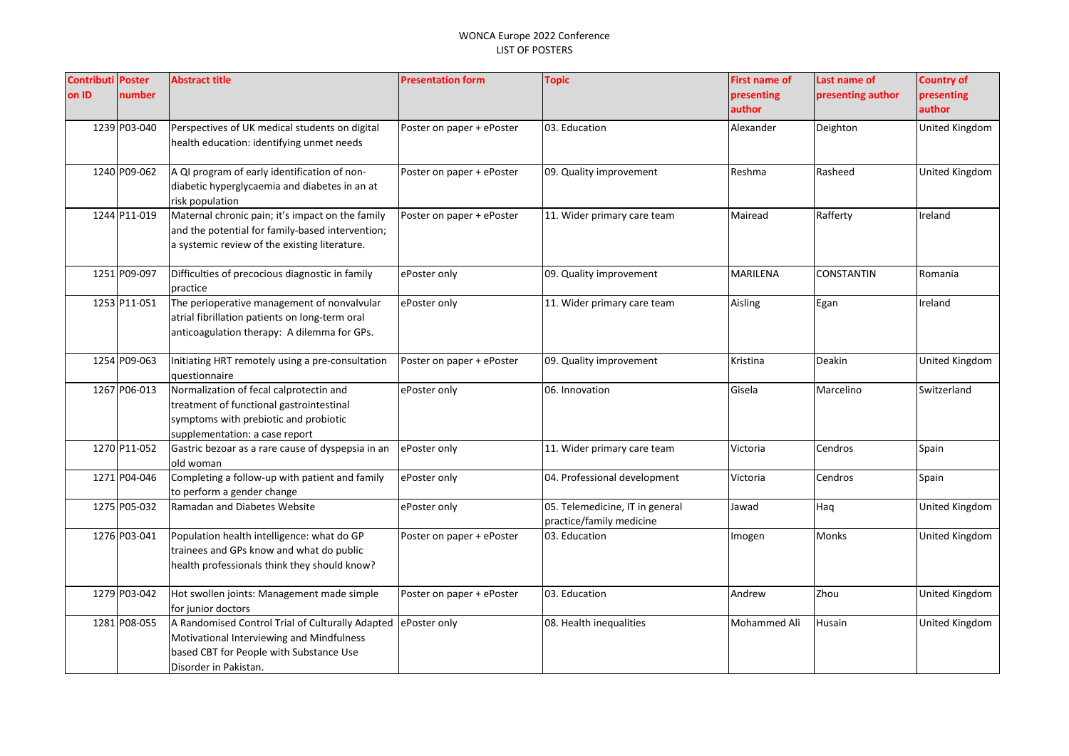| <b>Contributi Poster</b> |              | <b>Abstract title</b>                                                                                                                                             | <b>Presentation form</b>  | <b>Topic</b>                                                | <b>First name of</b> | Last name of      | <b>Country of</b>     |
|--------------------------|--------------|-------------------------------------------------------------------------------------------------------------------------------------------------------------------|---------------------------|-------------------------------------------------------------|----------------------|-------------------|-----------------------|
| on ID                    | number       |                                                                                                                                                                   |                           |                                                             | presenting<br>author | presenting author | presenting<br>author  |
|                          | 1239 P03-040 | Perspectives of UK medical students on digital<br>health education: identifying unmet needs                                                                       | Poster on paper + ePoster | 03. Education                                               | Alexander            | Deighton          | United Kingdom        |
|                          | 1240 P09-062 | A QI program of early identification of non-<br>diabetic hyperglycaemia and diabetes in an at<br>risk population                                                  | Poster on paper + ePoster | 09. Quality improvement                                     | Reshma               | Rasheed           | United Kingdom        |
|                          | 1244 P11-019 | Maternal chronic pain; it's impact on the family<br>and the potential for family-based intervention;<br>a systemic review of the existing literature.             | Poster on paper + ePoster | 11. Wider primary care team                                 | Mairead              | Rafferty          | Ireland               |
|                          | 1251 P09-097 | Difficulties of precocious diagnostic in family<br>practice                                                                                                       | ePoster only              | 09. Quality improvement                                     | MARILENA             | <b>CONSTANTIN</b> | Romania               |
|                          | 1253 P11-051 | The perioperative management of nonvalvular<br>atrial fibrillation patients on long-term oral<br>anticoagulation therapy: A dilemma for GPs.                      | ePoster only              | 11. Wider primary care team                                 | Aisling              | Egan              | Ireland               |
|                          | 1254 P09-063 | Initiating HRT remotely using a pre-consultation<br>questionnaire                                                                                                 | Poster on paper + ePoster | 09. Quality improvement                                     | Kristina             | Deakin            | <b>United Kingdom</b> |
|                          | 1267 P06-013 | Normalization of fecal calprotectin and<br>treatment of functional gastrointestinal<br>symptoms with prebiotic and probiotic<br>supplementation: a case report    | ePoster only              | 06. Innovation                                              | Gisela               | Marcelino         | Switzerland           |
|                          | 1270 P11-052 | Gastric bezoar as a rare cause of dyspepsia in an<br>old woman                                                                                                    | ePoster only              | 11. Wider primary care team                                 | Victoria             | Cendros           | Spain                 |
|                          | 1271 P04-046 | Completing a follow-up with patient and family<br>to perform a gender change                                                                                      | ePoster only              | 04. Professional development                                | Victoria             | Cendros           | Spain                 |
|                          | 1275 P05-032 | Ramadan and Diabetes Website                                                                                                                                      | ePoster only              | 05. Telemedicine, IT in general<br>practice/family medicine | Jawad                | Haq               | United Kingdom        |
|                          | 1276 P03-041 | Population health intelligence: what do GP<br>trainees and GPs know and what do public<br>health professionals think they should know?                            | Poster on paper + ePoster | 03. Education                                               | Imogen               | Monks             | United Kingdom        |
|                          | 1279 P03-042 | Hot swollen joints: Management made simple<br>for junior doctors                                                                                                  | Poster on paper + ePoster | 03. Education                                               | Andrew               | Zhou              | United Kingdom        |
|                          | 1281 P08-055 | A Randomised Control Trial of Culturally Adapted<br>Motivational Interviewing and Mindfulness<br>based CBT for People with Substance Use<br>Disorder in Pakistan. | ePoster only              | 08. Health inequalities                                     | Mohammed Ali         | Husain            | United Kingdom        |